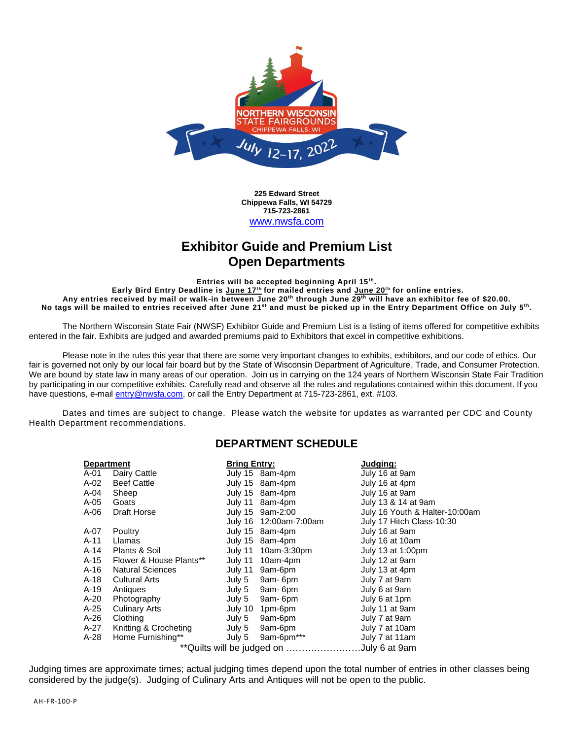

**225 Edward Street Chippewa Falls, WI 54729 715-723-2861** [www.nwsfa.com](http://www.nwsfa.com/)

# **Exhibitor Guide and Premium List Open Departments**

**Entries will be accepted beginning April 15th .** 

**Early Bird Entry Deadline is June 17 th for mailed entries and June 20 th for online entries. Any entries received by mail or walk-in between June 20th through June 29th will have an exhibitor fee of \$20.00.**  No tags will be mailed to entries received after June 21<sup>st</sup> and must be picked up in the Entry Department Office on July 5<sup>th</sup>.

The Northern Wisconsin State Fair (NWSF) Exhibitor Guide and Premium List is a listing of items offered for competitive exhibits entered in the fair. Exhibits are judged and awarded premiums paid to Exhibitors that excel in competitive exhibitions.

Please note in the rules this year that there are some very important changes to exhibits, exhibitors, and our code of ethics. Our fair is governed not only by our local fair board but by the State of Wisconsin Department of Agriculture, Trade, and Consumer Protection. We are bound by state law in many areas of our operation. Join us in carrying on the 124 years of Northern Wisconsin State Fair Tradition by participating in our competitive exhibits. Carefully read and observe all the rules and regulations contained within this document. If you have questions, e-mai[l entry@nwsfa.com,](mailto:entry@nwsfa.com) or call the Entry Department at 715-723-2861, ext. #103.

Dates and times are subject to change. Please watch the website for updates as warranted per CDC and County Health Department recommendations.

### **DEPARTMENT SCHEDULE**

|      | <b>Department</b>                             | <b>Bring Entry:</b> |                        | Judging:                       |  |  |  |  |  |
|------|-----------------------------------------------|---------------------|------------------------|--------------------------------|--|--|--|--|--|
| A-01 | Dairy Cattle                                  |                     | July 15 8am-4pm        | July 16 at 9am                 |  |  |  |  |  |
| A-02 | <b>Beef Cattle</b>                            |                     | July 15 8am-4pm        | July 16 at 4pm                 |  |  |  |  |  |
| A-04 | Sheep                                         |                     | July 15 8am-4pm        | July 16 at 9am                 |  |  |  |  |  |
| A-05 | Goats                                         |                     | July 11 8am-4pm        | July 13 & 14 at 9am            |  |  |  |  |  |
| A-06 | Draft Horse                                   |                     | July 15 9am-2:00       | July 16 Youth & Halter-10:00am |  |  |  |  |  |
|      |                                               |                     | July 16 12:00am-7:00am | July 17 Hitch Class-10:30      |  |  |  |  |  |
| A-07 | Poultry                                       |                     | July 15 8am-4pm        | July 16 at 9am                 |  |  |  |  |  |
| A-11 | Llamas                                        |                     | July 15 8am-4pm        | July 16 at 10am                |  |  |  |  |  |
| A-14 | Plants & Soil                                 |                     | July 11 10am-3:30pm    | July 13 at 1:00pm              |  |  |  |  |  |
| A-15 | Flower & House Plants**                       |                     | July 11 10am-4pm       | July 12 at 9am                 |  |  |  |  |  |
| A-16 | <b>Natural Sciences</b>                       |                     | July 11 9am-6pm        | July 13 at 4pm                 |  |  |  |  |  |
| A-18 | <b>Cultural Arts</b>                          |                     | July 5 9am-6pm         | July 7 at 9am                  |  |  |  |  |  |
| A-19 | Antiques                                      |                     | July 5 9am-6pm         | July 6 at 9am                  |  |  |  |  |  |
| A-20 | Photography                                   |                     | July 5 9am-6pm         | July 6 at 1pm                  |  |  |  |  |  |
| A-25 | <b>Culinary Arts</b>                          | July 10             | 1pm-6pm                | July 11 at 9am                 |  |  |  |  |  |
| A-26 | Clothing                                      | July 5              | 9am-6pm                | July 7 at 9am                  |  |  |  |  |  |
| A-27 | Knitting & Crocheting                         | July 5              | 9am-6pm                | July 7 at 10am                 |  |  |  |  |  |
| A-28 | Home Furnishing**                             | July 5              | 9am-6pm***             | July 7 at 11am                 |  |  |  |  |  |
|      | ** Quilts will be judged on<br>.July 6 at 9am |                     |                        |                                |  |  |  |  |  |

Judging times are approximate times; actual judging times depend upon the total number of entries in other classes being considered by the judge(s). Judging of Culinary Arts and Antiques will not be open to the public.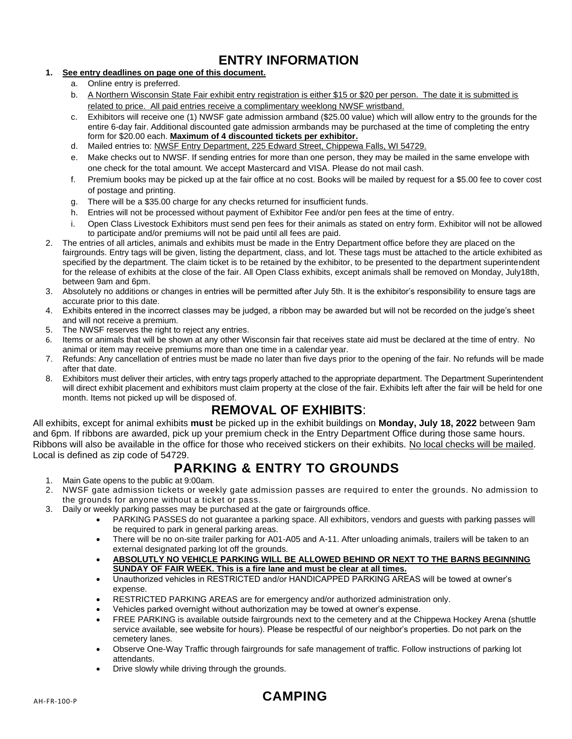# **ENTRY INFORMATION**

### **1. See entry deadlines on page one of this document.**

- a. Online entry is preferred.
- b. A Northern Wisconsin State Fair exhibit entry registration is either \$15 or \$20 per person. The date it is submitted is related to price. All paid entries receive a complimentary weeklong NWSF wristband.
- c. Exhibitors will receive one (1) NWSF gate admission armband (\$25.00 value) which will allow entry to the grounds for the entire 6-day fair. Additional discounted gate admission armbands may be purchased at the time of completing the entry form for \$20.00 each. **Maximum of 4 discounted tickets per exhibitor.**
- d. Mailed entries to: NWSF Entry Department, 225 Edward Street, Chippewa Falls, WI 54729.
- e. Make checks out to NWSF. If sending entries for more than one person, they may be mailed in the same envelope with one check for the total amount. We accept Mastercard and VISA. Please do not mail cash.
- f. Premium books may be picked up at the fair office at no cost. Books will be mailed by request for a \$5.00 fee to cover cost of postage and printing.
- g. There will be a \$35.00 charge for any checks returned for insufficient funds.
- h. Entries will not be processed without payment of Exhibitor Fee and/or pen fees at the time of entry.
- i. Open Class Livestock Exhibitors must send pen fees for their animals as stated on entry form. Exhibitor will not be allowed to participate and/or premiums will not be paid until all fees are paid.
- 2. The entries of all articles, animals and exhibits must be made in the Entry Department office before they are placed on the fairgrounds. Entry tags will be given, listing the department, class, and lot. These tags must be attached to the article exhibited as specified by the department. The claim ticket is to be retained by the exhibitor, to be presented to the department superintendent for the release of exhibits at the close of the fair. All Open Class exhibits, except animals shall be removed on Monday, July18th, between 9am and 6pm.
- 3. Absolutely no additions or changes in entries will be permitted after July 5th. It is the exhibitor's responsibility to ensure tags are accurate prior to this date.
- 4. Exhibits entered in the incorrect classes may be judged, a ribbon may be awarded but will not be recorded on the judge's sheet and will not receive a premium.
- 5. The NWSF reserves the right to reject any entries.
- 6. Items or animals that will be shown at any other Wisconsin fair that receives state aid must be declared at the time of entry. No animal or item may receive premiums more than one time in a calendar year.
- 7. Refunds: Any cancellation of entries must be made no later than five days prior to the opening of the fair. No refunds will be made after that date.
- 8. Exhibitors must deliver their articles, with entry tags properly attached to the appropriate department. The Department Superintendent will direct exhibit placement and exhibitors must claim property at the close of the fair. Exhibits left after the fair will be held for one month. Items not picked up will be disposed of.

# **REMOVAL OF EXHIBITS**:

All exhibits, except for animal exhibits **must** be picked up in the exhibit buildings on **Monday, July 18, 2022** between 9am and 6pm. If ribbons are awarded, pick up your premium check in the Entry Department Office during those same hours. Ribbons will also be available in the office for those who received stickers on their exhibits. No local checks will be mailed. Local is defined as zip code of 54729.

# **PARKING & ENTRY TO GROUNDS**

- 1. Main Gate opens to the public at 9:00am.
- 2. NWSF gate admission tickets or weekly gate admission passes are required to enter the grounds. No admission to the grounds for anyone without a ticket or pass.
- 3. Daily or weekly parking passes may be purchased at the gate or fairgrounds office.
	- PARKING PASSES do not guarantee a parking space. All exhibitors, vendors and guests with parking passes will be required to park in general parking areas.
	- There will be no on-site trailer parking for A01-A05 and A-11. After unloading animals, trailers will be taken to an external designated parking lot off the grounds.
	- **ABSOLUTLY NO VEHICLE PARKING WILL BE ALLOWED BEHIND OR NEXT TO THE BARNS BEGINNING SUNDAY OF FAIR WEEK. This is a fire lane and must be clear at all times.**
	- Unauthorized vehicles in RESTRICTED and/or HANDICAPPED PARKING AREAS will be towed at owner's expense.
	- RESTRICTED PARKING AREAS are for emergency and/or authorized administration only.
	- Vehicles parked overnight without authorization may be towed at owner's expense.
	- FREE PARKING is available outside fairgrounds next to the cemetery and at the Chippewa Hockey Arena (shuttle service available, see website for hours). Please be respectful of our neighbor's properties. Do not park on the cemetery lanes.
	- Observe One-Way Traffic through fairgrounds for safe management of traffic. Follow instructions of parking lot attendants.
	- Drive slowly while driving through the grounds.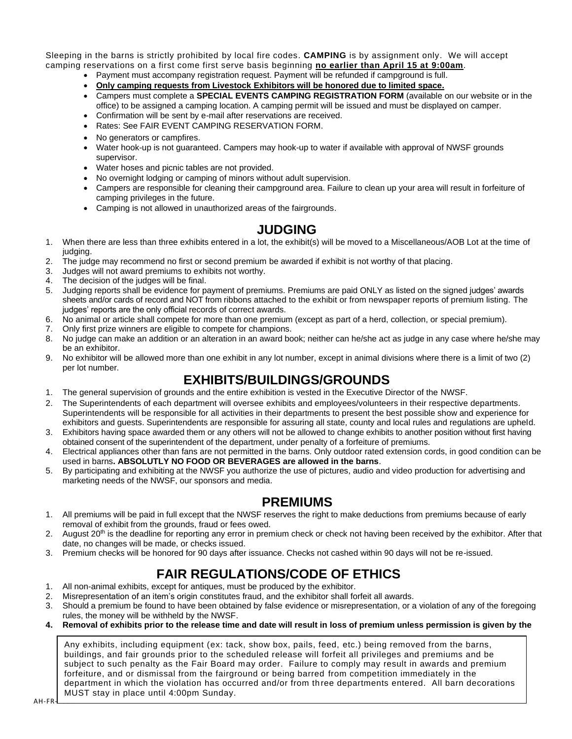Sleeping in the barns is strictly prohibited by local fire codes. **CAMPING** is by assignment only. We will accept camping reservations on a first come first serve basis beginning **no earlier than April 15 at 9:00am**.

- Payment must accompany registration request. Payment will be refunded if campground is full.
- **Only camping requests from Livestock Exhibitors will be honored due to limited space.**
- Campers must complete a **SPECIAL EVENTS CAMPING REGISTRATION FORM** (available on our website or in the office) to be assigned a camping location. A camping permit will be issued and must be displayed on camper.
- Confirmation will be sent by e-mail after reservations are received.
- Rates: See FAIR EVENT CAMPING RESERVATION FORM.
- No generators or campfires.
- Water hook-up is not guaranteed. Campers may hook-up to water if available with approval of NWSF grounds supervisor.
- Water hoses and picnic tables are not provided.
- No overnight lodging or camping of minors without adult supervision.
- Campers are responsible for cleaning their campground area. Failure to clean up your area will result in forfeiture of camping privileges in the future.
- Camping is not allowed in unauthorized areas of the fairgrounds.

## **JUDGING**

- 1. When there are less than three exhibits entered in a lot, the exhibit(s) will be moved to a Miscellaneous/AOB Lot at the time of judaina.
- 2. The judge may recommend no first or second premium be awarded if exhibit is not worthy of that placing.
- 3. Judges will not award premiums to exhibits not worthy.
- 4. The decision of the judges will be final.
- 5. Judging reports shall be evidence for payment of premiums. Premiums are paid ONLY as listed on the signed judges' awards sheets and/or cards of record and NOT from ribbons attached to the exhibit or from newspaper reports of premium listing. The judges' reports are the only official records of correct awards.
- 6. No animal or article shall compete for more than one premium (except as part of a herd, collection, or special premium).
- 7. Only first prize winners are eligible to compete for champions.
- 8. No judge can make an addition or an alteration in an award book; neither can he/she act as judge in any case where he/she may be an exhibitor.
- 9. No exhibitor will be allowed more than one exhibit in any lot number, except in animal divisions where there is a limit of two (2) per lot number.

# **EXHIBITS/BUILDINGS/GROUNDS**

- 1. The general supervision of grounds and the entire exhibition is vested in the Executive Director of the NWSF.
- 2. The Superintendents of each department will oversee exhibits and employees/volunteers in their respective departments. Superintendents will be responsible for all activities in their departments to present the best possible show and experience for exhibitors and guests. Superintendents are responsible for assuring all state, county and local rules and regulations are upheld.
- 3. Exhibitors having space awarded them or any others will not be allowed to change exhibits to another position without first having obtained consent of the superintendent of the department, under penalty of a forfeiture of premiums.
- 4. Electrical appliances other than fans are not permitted in the barns. Only outdoor rated extension cords, in good condition can be used in barns**. ABSOLUTLY NO FOOD OR BEVERAGES are allowed in the barns**.
- 5. By participating and exhibiting at the NWSF you authorize the use of pictures, audio and video production for advertising and marketing needs of the NWSF, our sponsors and media.

# **PREMIUMS**

- 1. All premiums will be paid in full except that the NWSF reserves the right to make deductions from premiums because of early removal of exhibit from the grounds, fraud or fees owed.
- 2. August 20<sup>th</sup> is the deadline for reporting any error in premium check or check not having been received by the exhibitor. After that date, no changes will be made, or checks issued.
- 3. Premium checks will be honored for 90 days after issuance. Checks not cashed within 90 days will not be re-issued.

# **FAIR REGULATIONS/CODE OF ETHICS**

- 1. All non-animal exhibits, except for antiques, must be produced by the exhibitor.
- 2. Misrepresentation of an item's origin constitutes fraud, and the exhibitor shall forfeit all awards.
- 3. Should a premium be found to have been obtained by false evidence or misrepresentation, or a violation of any of the foregoing rules, the money will be withheld by the NWSF.
- **4. Removal of exhibits prior to the release time and date will result in loss of premium unless permission is given by the**

Any exhibits, including equipment (ex: tack, show box, pails, feed, etc.) being removed from the barns, buildings, and fair grounds prior to the scheduled release will forfeit all privileges and premiums and be subject to such penalty as the Fair Board may order. Failure to comply may result in awards and premium forfeiture, and or dismissal from the fairground or being barred from competition immediately in the department in which the violation has occurred and/or from three departments entered. All barn decorations MUST stay in place until 4:00pm Sunday.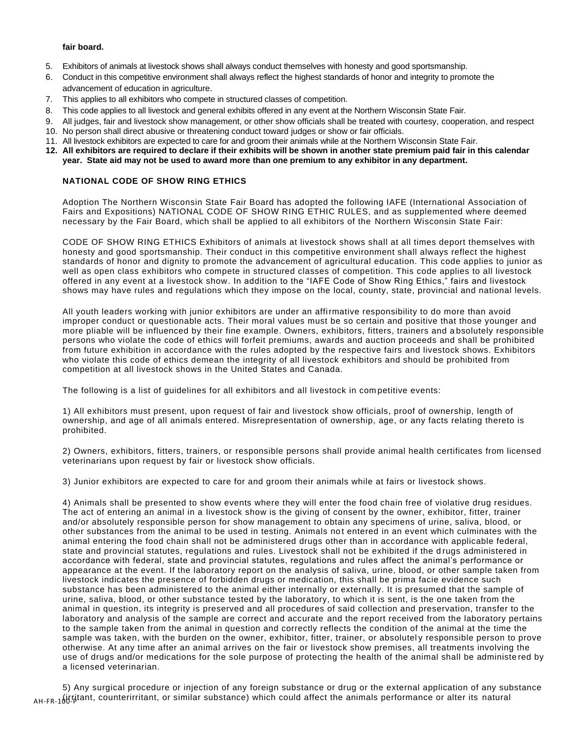### **fair board.**

- 5. Exhibitors of animals at livestock shows shall always conduct themselves with honesty and good sportsmanship.
- 6. Conduct in this competitive environment shall always reflect the highest standards of honor and integrity to promote the advancement of education in agriculture.
- 7. This applies to all exhibitors who compete in structured classes of competition.
- 8. This code applies to all livestock and general exhibits offered in any event at the Northern Wisconsin State Fair.
- 9. All judges, fair and livestock show management, or other show officials shall be treated with courtesy, cooperation, and respect 10. No person shall direct abusive or threatening conduct toward judges or show or fair officials.
- 11. All livestock exhibitors are expected to care for and groom their animals while at the Northern Wisconsin State Fair.
- **12. All exhibitors are required to declare if their exhibits will be shown in another state premium paid fair in this calendar year. State aid may not be used to award more than one premium to any exhibitor in any department.**

### **NATIONAL CODE OF SHOW RING ETHICS**

Adoption The Northern Wisconsin State Fair Board has adopted the following IAFE (International Association of Fairs and Expositions) NATIONAL CODE OF SHOW RING ETHIC RULES, and as supplemented where deemed necessary by the Fair Board, which shall be applied to all exhibitors of the Northern Wisconsin State Fair:

CODE OF SHOW RING ETHICS Exhibitors of animals at livestock shows shall at all times deport themselves with honesty and good sportsmanship. Their conduct in this competitive environment shall always reflect the highest standards of honor and dignity to promote the advancement of agricultural education. This code applies to junior as well as open class exhibitors who compete in structured classes of competition. This code applies to all livestock offered in any event at a livestock show. In addition to the "IAFE Code of Show Ring Ethics," fairs and livestock shows may have rules and regulations which they impose on the local, county, state, provincial and national levels.

All youth leaders working with junior exhibitors are under an affirmative responsibility to do more than avoid improper conduct or questionable acts. Their moral values must be so certain and positive that those younger and more pliable will be influenced by their fine example. Owners, exhibitors, fitters, trainers and a bsolutely responsible persons who violate the code of ethics will forfeit premiums, awards and auction proceeds and shall be prohibited from future exhibition in accordance with the rules adopted by the respective fairs and livestock shows. Exhibitors who violate this code of ethics demean the integrity of all livestock exhibitors and should be prohibited from competition at all livestock shows in the United States and Canada.

The following is a list of guidelines for all exhibitors and all livestock in com petitive events:

1) All exhibitors must present, upon request of fair and livestock show officials, proof of ownership, length of ownership, and age of all animals entered. Misrepresentation of ownership, age, or any facts relating thereto is prohibited.

2) Owners, exhibitors, fitters, trainers, or responsible persons shall provide animal health certificates from licensed veterinarians upon request by fair or livestock show officials.

3) Junior exhibitors are expected to care for and groom their animals while at fairs or livestock shows.

4) Animals shall be presented to show events where they will enter the food chain free of violative drug residues. The act of entering an animal in a livestock show is the giving of consent by the owner, exhibitor, fitter, trainer and/or absolutely responsible person for show management to obtain any specimens of urine, saliva, blood, or other substances from the animal to be used in testing. Animals not entered in an event which culminates with the animal entering the food chain shall not be administered drugs other than in accordance with applicable federal, state and provincial statutes, regulations and rules. Livestock shall not be exhibited if the d rugs administered in accordance with federal, state and provincial statutes, regulations and rules affect the animal's performance or appearance at the event. If the laboratory report on the analysis of saliva, urine, blood, or other sample taken from livestock indicates the presence of forbidden drugs or medication, this shall be prima facie evidence such substance has been administered to the animal either internally or externally. It is presumed that the sample of urine, saliva, blood, or other substance tested by the laboratory, to which it is sent, is the one taken from the animal in question, its integrity is preserved and all procedures of said collection and preservation, transfer to the laboratory and analysis of the sample are correct and accurate and the report received from the laboratory pertains to the sample taken from the animal in question and correctly reflects the condition of the animal at the time the sample was taken, with the burden on the owner, exhibitor, fitter, trainer, or absolutely responsible person to prove otherwise. At any time after an animal arrives on the fair or livestock show premises, all treatments involving the use of drugs and/or medications for the sole purpose of protecting the health of the animal shall be administe red by a licensed veterinarian.

<sub>AH-FR-1</sub>(jrritant, counterirritant, or similar substance) which could affect the animals performance or alter its natural 5) Any surgical procedure or injection of any foreign substance or drug or the external application of any substance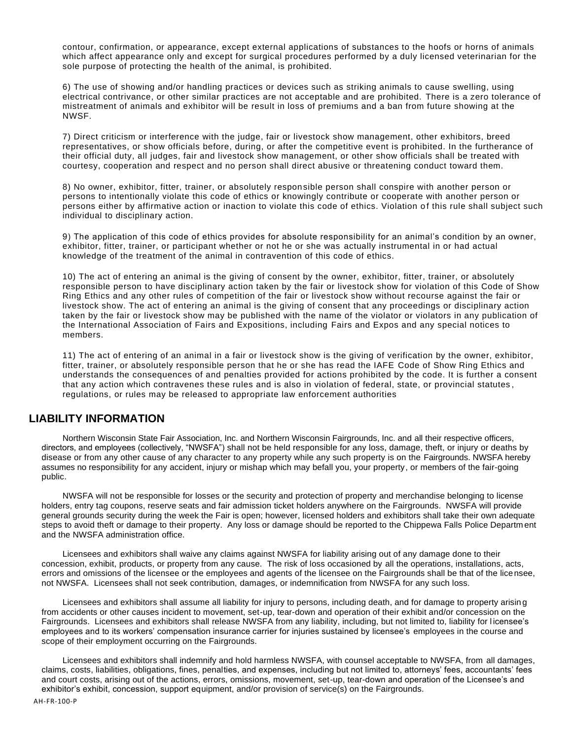contour, confirmation, or appearance, except external applications of substances to the hoofs or horns of animals which affect appearance only and except for surgical procedures performed by a duly licensed veterinarian for the sole purpose of protecting the health of the animal, is prohibited.

6) The use of showing and/or handling practices or devices such as striking animals to cause swelling, using electrical contrivance, or other similar practices are not acceptable and are prohibited. There is a zero tolerance of mistreatment of animals and exhibitor will be result in loss of premiums and a ban from future showing at the NWSF.

7) Direct criticism or interference with the judge, fair or livestock show management, other exhibitors, breed representatives, or show officials before, during, or after the competitive event is prohibited. In the furtherance of their official duty, all judges, fair and livestock show management, or other show officials shall be treated with courtesy, cooperation and respect and no person shall direct abusive or threatening conduct toward them.

8) No owner, exhibitor, fitter, trainer, or absolutely responsible person shall conspire with another person or persons to intentionally violate this code of ethics or knowingly contribute or cooperate with another person or persons either by affirmative action or inaction to violate this code of ethics. Violation of this rule shall subject such individual to disciplinary action.

9) The application of this code of ethics provides for absolute responsibility for an animal's condition by an owner, exhibitor, fitter, trainer, or participant whether or not he or she was actually instrumental in or had actual knowledge of the treatment of the animal in contravention of this code of ethics.

10) The act of entering an animal is the giving of consent by the owner, exhibitor, fitter, trainer, or absolutely responsible person to have disciplinary action taken by the fair or livestock show for violation of this Code of Show Ring Ethics and any other rules of competition of the fair or livestock show without recourse against the fair or livestock show. The act of entering an animal is the giving of consent that any proceedings or disciplinary action taken by the fair or livestock show may be published with the name of the violator or violators in any publication of the International Association of Fairs and Expositions, including Fairs and Expos and any special notices to members.

11) The act of entering of an animal in a fair or livestock show is the giving of verification by the owner, exhibitor, fitter, trainer, or absolutely responsible person that he or she has read the IAFE Code of Show Ring Ethics and understands the consequences of and penalties provided for actions prohibited by the code. It is further a consent that any action which contravenes these rules and is also in violation of federal, state, or provincial statutes , regulations, or rules may be released to appropriate law enforcement authorities

### **LIABILITY INFORMATION**

Northern Wisconsin State Fair Association, Inc. and Northern Wisconsin Fairgrounds, Inc. and all their respective officers, directors, and employees (collectively, "NWSFA") shall not be held responsible for any loss, damage, theft, or injury or deaths by disease or from any other cause of any character to any property while any such property is on the Fairgrounds. NWSFA hereby assumes no responsibility for any accident, injury or mishap which may befall you, your property, or members of the fair-going public.

NWSFA will not be responsible for losses or the security and protection of property and merchandise belonging to license holders, entry tag coupons, reserve seats and fair admission ticket holders anywhere on the Fairgrounds. NWSFA will provide general grounds security during the week the Fair is open; however, licensed holders and exhibitors shall take their own adequate steps to avoid theft or damage to their property. Any loss or damage should be reported to the Chippewa Falls Police Departm ent and the NWSFA administration office.

Licensees and exhibitors shall waive any claims against NWSFA for liability arising out of any damage done to their concession, exhibit, products, or property from any cause. The risk of loss occasioned by all the operations, installations, acts, errors and omissions of the licensee or the employees and agents of the licensee on the Fairgrounds shall be that of the lice nsee, not NWSFA. Licensees shall not seek contribution, damages, or indemnification from NWSFA for any such loss.

Licensees and exhibitors shall assume all liability for injury to persons, including death, and for damage to property arisin g from accidents or other causes incident to movement, set-up, tear-down and operation of their exhibit and/or concession on the Fairgrounds. Licensees and exhibitors shall release NWSFA from any liability, including, but not limited to, liability for l icensee's employees and to its workers' compensation insurance carrier for injuries sustained by licensee's employees in the course and scope of their employment occurring on the Fairgrounds.

Licensees and exhibitors shall indemnify and hold harmless NWSFA, with counsel acceptable to NWSFA, from all damages, claims, costs, liabilities, obligations, fines, penalties, and expenses, including but not limited to, attorneys' fees, accountants' fees and court costs, arising out of the actions, errors, omissions, movement, set-up, tear-down and operation of the Licensee's and exhibitor's exhibit, concession, support equipment, and/or provision of service(s) on the Fairgrounds.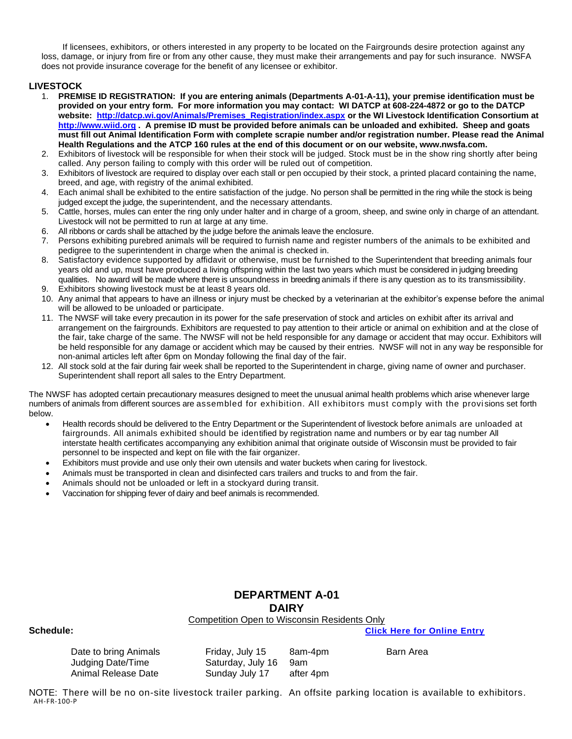If licensees, exhibitors, or others interested in any property to be located on the Fairgrounds desire protection against any loss, damage, or injury from fire or from any other cause, they must make their arrangements and pay for such insurance. NWSFA does not provide insurance coverage for the benefit of any licensee or exhibitor.

### **LIVESTOCK**

- 1. **PREMISE ID REGISTRATION: If you are entering animals (Departments A-01-A-11), your premise identification must be provided on your entry form. For more information you may contact: WI DATCP at 608-224-4872 or go to the DATCP website: [http://datcp.wi.gov/Animals/Premises\\_Registration/index.aspx](http://datcp.wi.gov/Animals/Premises_Registration/index.aspx) or the WI Livestock Identification Consortium at [http://www.wiid.org](http://www.wiid.org/) . A premise ID must be provided before animals can be unloaded and exhibited. Sheep and goats must fill out Animal Identification Form with complete scrapie number and/or registration number. Please read the Animal Health Regulations and the ATCP 160 rules at the end of this document or on our website, www.nwsfa.com.**
- 2. Exhibitors of livestock will be responsible for when their stock will be judged. Stock must be in the show ring shortly after being called. Any person failing to comply with this order will be ruled out of competition.
- 3. Exhibitors of livestock are required to display over each stall or pen occupied by their stock, a printed placard containing the name, breed, and age, with registry of the animal exhibited.
- 4. Each animal shall be exhibited to the entire satisfaction of the judge. No person shall be permitted in the ring while the stock is being judged except the judge, the superintendent, and the necessary attendants.
- 5. Cattle, horses, mules can enter the ring only under halter and in charge of a groom, sheep, and swine only in charge of an attendant. Livestock will not be permitted to run at large at any time.
- 6. All ribbons or cards shall be attached by the judge before the animals leave the enclosure.
- 7. Persons exhibiting purebred animals will be required to furnish name and register numbers of the animals to be exhibited and pedigree to the superintendent in charge when the animal is checked in.
- 8. Satisfactory evidence supported by affidavit or otherwise, must be furnished to the Superintendent that breeding animals four years old and up, must have produced a living offspring within the last two years which must be considered in judging breeding qualities. No award will be made where there is unsoundness in breeding animals if there is any question as to its transmissibility.
- 9. Exhibitors showing livestock must be at least 8 years old.
- 10. Any animal that appears to have an illness or injury must be checked by a veterinarian at the exhibitor's expense before the animal will be allowed to be unloaded or participate.
- 11. The NWSF will take every precaution in its power for the safe preservation of stock and articles on exhibit after its arrival and arrangement on the fairgrounds. Exhibitors are requested to pay attention to their article or animal on exhibition and at the close of the fair, take charge of the same. The NWSF will not be held responsible for any damage or accident that may occur. Exhibitors will be held responsible for any damage or accident which may be caused by their entries. NWSF will not in any way be responsible for non-animal articles left after 6pm on Monday following the final day of the fair.
- 12. All stock sold at the fair during fair week shall be reported to the Superintendent in charge, giving name of owner and purchaser. Superintendent shall report all sales to the Entry Department.

The NWSF has adopted certain precautionary measures designed to meet the unusual animal health problems which arise whenever large numbers of animals from different sources are assembled for exhibition. All exhibitors must comply with the provi sions set forth below.

- Health records should be delivered to the Entry Department or the Superintendent of livestock before animals are unloaded at fairgrounds. All animals exhibited should be identified by registration name and numbers or by ear tag number All interstate health certificates accompanying any exhibition animal that originate outside of Wisconsin must be provided to fair personnel to be inspected and kept on file with the fair organizer.
- Exhibitors must provide and use only their own utensils and water buckets when caring for livestock.
- Animals must be transported in clean and disinfected cars trailers and trucks to and from the fair.
- Animals should not be unloaded or left in a stockyard during transit.
- Vaccination for shipping fever of dairy and beef animals is recommended.

### **DEPARTMENT A-01 DAIRY**

### Competition Open to Wisconsin Residents Only

**Schedule: [Click Here for Online Entry](https://www.blueribbonfair.com/BRFairProd/BlueRibbonStart.aspx?ID=1949)**

Date to bring Animals Friday, July 15 8am-4pm Barn Area Judging Date/Time Saturday, July 16 9am Animal Release Date Sunday July 17 after 4pm

AH-FR-100-P NOTE: There will be no on-site livestock trailer parking. An offsite parking location is available to exhibitors.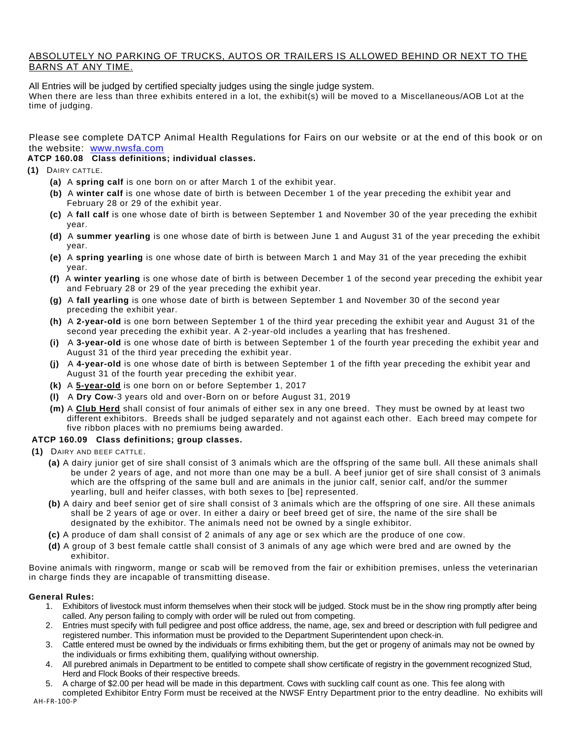### ABSOLUTELY NO PARKING OF TRUCKS, AUTOS OR TRAILERS IS ALLOWED BEHIND OR NEXT TO THE BARNS AT ANY TIME.

All Entries will be judged by certified specialty judges using the single judge system. When there are less than three exhibits entered in a lot, the exhibit(s) will be moved to a Miscellaneous/AOB Lot at the time of judging.

Please see complete DATCP Animal Health Regulations for Fairs on our website or at the end of this book or on the website: [www.nwsfa.com](http://www.northernwistatefair.com/)

### **ATCP 160.08 Class definitions; individual classes.**

- **(1)** DAIRY CATTLE.
	- **(a)** A **spring calf** is one born on or after March 1 of the exhibit year.
	- **(b)** A **winter calf** is one whose date of birth is between December 1 of the year preceding the exhibit year and February 28 or 29 of the exhibit year.
	- **(c)** A **fall calf** is one whose date of birth is between September 1 and November 30 of the year preceding the exhibit year.
	- **(d)** A **summer yearling** is one whose date of birth is between June 1 and August 31 of the year preceding the exhibit year.
	- **(e)** A **spring yearling** is one whose date of birth is between March 1 and May 31 of the year preceding the exhibit year.
	- **(f)** A **winter yearling** is one whose date of birth is between December 1 of the second year preceding the exhibit year and February 28 or 29 of the year preceding the exhibit year.
	- **(g)** A **fall yearling** is one whose date of birth is between September 1 and November 30 of the second year preceding the exhibit year.
	- **(h)** A **2-year-old** is one born between September 1 of the third year preceding the exhibit year and August 31 of the second year preceding the exhibit year. A 2-year-old includes a yearling that has freshened.
	- **(i)** A **3-year-old** is one whose date of birth is between September 1 of the fourth year preceding the exhibit year and August 31 of the third year preceding the exhibit year.
	- **(j)** A **4-year-old** is one whose date of birth is between September 1 of the fifth year preceding the exhibit year and August 31 of the fourth year preceding the exhibit year.
	- **(k)** A **5-year-old** is one born on or before September 1, 2017
	- **(l)** A **Dry Cow**-3 years old and over-Born on or before August 31, 2019
	- **(m)** A **Club Herd** shall consist of four animals of either sex in any one breed. They must be owned by at least two different exhibitors. Breeds shall be judged separately and not against each other. Each breed may compete for five ribbon places with no premiums being awarded.

### **ATCP 160.09 Class definitions; group classes.**

- **(1)** DAIRY AND BEEF CATTLE.
	- **(a)** A dairy junior get of sire shall consist of 3 animals which are the offspring of the same bull. All these animals shall be under 2 years of age, and not more than one may be a bull. A beef junior get of sire shall consist of 3 animals which are the offspring of the same bull and are animals in the junior calf, senior calf, and/or the summer yearling, bull and heifer classes, with both sexes to [be] represented.
	- **(b)** A dairy and beef senior get of sire shall consist of 3 animals which are the offspring of one sire. All these animals shall be 2 years of age or over. In either a dairy or beef breed get of sire, the name of the sire shall be designated by the exhibitor. The animals need not be owned by a single exhibitor.
	- **(c)** A produce of dam shall consist of 2 animals of any age or sex which are the produce of one cow.
	- **(d)** A group of 3 best female cattle shall consist of 3 animals of any age which were bred and are owned by the exhibitor.

Bovine animals with ringworm, mange or scab will be removed from the fair or exhibition premises, unless the veterinarian in charge finds they are incapable of transmitting disease.

### **General Rules:**

- 1. Exhibitors of livestock must inform themselves when their stock will be judged. Stock must be in the show ring promptly after being called. Any person failing to comply with order will be ruled out from competing.
- 2. Entries must specify with full pedigree and post office address, the name, age, sex and breed or description with full pedigree and registered number. This information must be provided to the Department Superintendent upon check-in.
- 3. Cattle entered must be owned by the individuals or firms exhibiting them, but the get or progeny of animals may not be owned by the individuals or firms exhibiting them, qualifying without ownership.
- 4. All purebred animals in Department to be entitled to compete shall show certificate of registry in the government recognized Stud, Herd and Flock Books of their respective breeds.
- 5. A charge of \$2.00 per head will be made in this department. Cows with suckling calf count as one. This fee along with

AH-FR-100-P completed Exhibitor Entry Form must be received at the NWSF Entry Department prior to the entry deadline. No exhibits will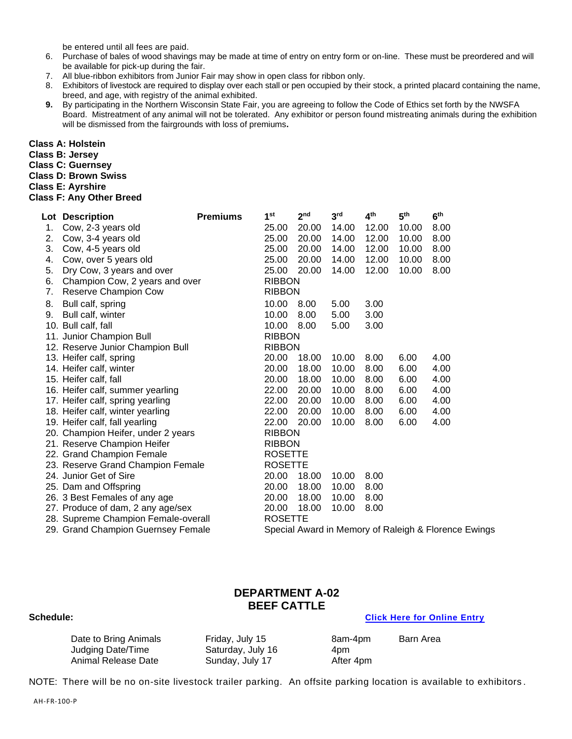be entered until all fees are paid.

- 6. Purchase of bales of wood shavings may be made at time of entry on entry form or on-line. These must be preordered and will be available for pick-up during the fair.
- 7. All blue-ribbon exhibitors from Junior Fair may show in open class for ribbon only.
- 8. Exhibitors of livestock are required to display over each stall or pen occupied by their stock, a printed placard containing the name, breed, and age, with registry of the animal exhibited.
- **9.** By participating in the Northern Wisconsin State Fair, you are agreeing to follow the Code of Ethics set forth by the NWSFA Board. Mistreatment of any animal will not be tolerated. Any exhibitor or person found mistreating animals during the exhibition will be dismissed from the fairgrounds with loss of premiums**.**

**Class A: Holstein**

**Class B: Jersey**

**Class C: Guernsey**

**Class D: Brown Swiss**

**Class E: Ayrshire**

### **Class F: Any Other Breed**

|    | Lot Description                     | <b>Premiums</b> | 1 <sup>st</sup> | 2 <sub>nd</sub> | 3 <sup>rd</sup> | 4 <sup>th</sup> | 5 <sup>th</sup> | 6 <sup>th</sup>                                      |
|----|-------------------------------------|-----------------|-----------------|-----------------|-----------------|-----------------|-----------------|------------------------------------------------------|
| 1. | Cow, 2-3 years old                  |                 | 25.00           | 20.00           | 14.00           | 12.00           | 10.00           | 8.00                                                 |
| 2. | Cow, 3-4 years old                  |                 | 25.00           | 20.00           | 14.00           | 12.00           | 10.00           | 8.00                                                 |
| 3. | Cow, 4-5 years old                  |                 | 25.00           | 20.00           | 14.00           | 12.00           | 10.00           | 8.00                                                 |
| 4. | Cow, over 5 years old               |                 | 25.00           | 20.00           | 14.00           | 12.00           | 10.00           | 8.00                                                 |
| 5. | Dry Cow, 3 years and over           |                 | 25.00           | 20.00           | 14.00           | 12.00           | 10.00           | 8.00                                                 |
| 6. | Champion Cow, 2 years and over      |                 | <b>RIBBON</b>   |                 |                 |                 |                 |                                                      |
| 7. | Reserve Champion Cow                |                 | <b>RIBBON</b>   |                 |                 |                 |                 |                                                      |
| 8. | Bull calf, spring                   |                 | 10.00           | 8.00            | 5.00            | 3.00            |                 |                                                      |
| 9. | Bull calf, winter                   |                 | 10.00           | 8.00            | 5.00            | 3.00            |                 |                                                      |
|    | 10. Bull calf, fall                 |                 | 10.00           | 8.00            | 5.00            | 3.00            |                 |                                                      |
|    | 11. Junior Champion Bull            |                 | <b>RIBBON</b>   |                 |                 |                 |                 |                                                      |
|    | 12. Reserve Junior Champion Bull    |                 | <b>RIBBON</b>   |                 |                 |                 |                 |                                                      |
|    | 13. Heifer calf, spring             |                 | 20.00           | 18.00           | 10.00           | 8.00            | 6.00            | 4.00                                                 |
|    | 14. Heifer calf, winter             |                 | 20.00           | 18.00           | 10.00           | 8.00            | 6.00            | 4.00                                                 |
|    | 15. Heifer calf, fall               |                 | 20.00           | 18.00           | 10.00           | 8.00            | 6.00            | 4.00                                                 |
|    | 16. Heifer calf, summer yearling    |                 | 22.00           | 20.00           | 10.00           | 8.00            | 6.00            | 4.00                                                 |
|    | 17. Heifer calf, spring yearling    |                 | 22.00           | 20.00           | 10.00           | 8.00            | 6.00            | 4.00                                                 |
|    | 18. Heifer calf, winter yearling    |                 | 22.00           | 20.00           | 10.00           | 8.00            | 6.00            | 4.00                                                 |
|    | 19. Heifer calf, fall yearling      |                 | 22.00           | 20.00           | 10.00           | 8.00            | 6.00            | 4.00                                                 |
|    | 20. Champion Heifer, under 2 years  |                 | <b>RIBBON</b>   |                 |                 |                 |                 |                                                      |
|    | 21. Reserve Champion Heifer         |                 | <b>RIBBON</b>   |                 |                 |                 |                 |                                                      |
|    | 22. Grand Champion Female           |                 | <b>ROSETTE</b>  |                 |                 |                 |                 |                                                      |
|    | 23. Reserve Grand Champion Female   |                 | <b>ROSETTE</b>  |                 |                 |                 |                 |                                                      |
|    | 24. Junior Get of Sire              |                 | 20.00           | 18.00           | 10.00           | 8.00            |                 |                                                      |
|    | 25. Dam and Offspring               |                 | 20.00           | 18.00           | 10.00           | 8.00            |                 |                                                      |
|    | 26. 3 Best Females of any age       |                 | 20.00           | 18.00           | 10.00           | 8.00            |                 |                                                      |
|    | 27. Produce of dam, 2 any age/sex   |                 | 20.00           | 18.00           | 10.00           | 8.00            |                 |                                                      |
|    | 28. Supreme Champion Female-overall |                 | <b>ROSETTE</b>  |                 |                 |                 |                 |                                                      |
|    | 29. Grand Champion Guernsey Female  |                 |                 |                 |                 |                 |                 | Special Award in Memory of Raleigh & Florence Ewings |

### **DEPARTMENT A-02 BEEF CATTLE**

### **Schedule: [Click Here for Online Entry](https://www.blueribbonfair.com/BRFairProd/BlueRibbonStart.aspx?ID=1949)**

Judging Date/Time Saturday, July 16 4pm Animal Release Date Sunday, July 17 After 4pm

Date to Bring Animals **Friday, July 15** 8am-4pm Barn Area

NOTE: There will be no on-site livestock trailer parking. An offsite parking location is available to exhibitors .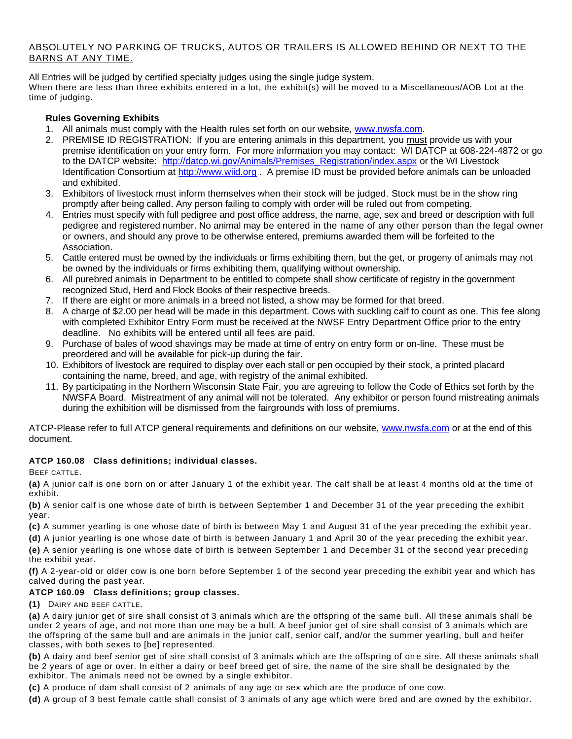### ABSOLUTELY NO PARKING OF TRUCKS, AUTOS OR TRAILERS IS ALLOWED BEHIND OR NEXT TO THE BARNS AT ANY TIME.

All Entries will be judged by certified specialty judges using the single judge system. When there are less than three exhibits entered in a lot, the exhibit(s) will be moved to a Miscellaneous/AOB Lot at the time of judging.

### **Rules Governing Exhibits**

- 1. All animals must comply with the Health rules set forth on our website, [www.nwsfa.com.](http://www.nwsfa.com/)
- 2. PREMISE ID REGISTRATION: If you are entering animals in this department, you must provide us with your premise identification on your entry form. For more information you may contact: WI DATCP at 608-224-4872 or go to the DATCP website: [http://datcp.wi.gov/Animals/Premises\\_Registration/index.aspx](http://datcp.wi.gov/Animals/Premises_Registration/index.aspx) or the WI Livestock Identification Consortium at [http://www.wiid.org](http://www.wiid.org/) . A premise ID must be provided before animals can be unloaded and exhibited.
- 3. Exhibitors of livestock must inform themselves when their stock will be judged. Stock must be in the show ring promptly after being called. Any person failing to comply with order will be ruled out from competing.
- 4. Entries must specify with full pedigree and post office address, the name, age, sex and breed or description with full pedigree and registered number. No animal may be entered in the name of any other person than the legal owner or owners, and should any prove to be otherwise entered, premiums awarded them will be forfeited to the Association.
- 5. Cattle entered must be owned by the individuals or firms exhibiting them, but the get, or progeny of animals may not be owned by the individuals or firms exhibiting them, qualifying without ownership.
- 6. All purebred animals in Department to be entitled to compete shall show certificate of registry in the government recognized Stud, Herd and Flock Books of their respective breeds.
- 7. If there are eight or more animals in a breed not listed, a show may be formed for that breed.
- 8. A charge of \$2.00 per head will be made in this department. Cows with suckling calf to count as one. This fee along with completed Exhibitor Entry Form must be received at the NWSF Entry Department Office prior to the entry deadline. No exhibits will be entered until all fees are paid.
- 9. Purchase of bales of wood shavings may be made at time of entry on entry form or on-line. These must be preordered and will be available for pick-up during the fair.
- 10. Exhibitors of livestock are required to display over each stall or pen occupied by their stock, a printed placard containing the name, breed, and age, with registry of the animal exhibited.
- 11. By participating in the Northern Wisconsin State Fair, you are agreeing to follow the Code of Ethics set forth by the NWSFA Board. Mistreatment of any animal will not be tolerated. Any exhibitor or person found mistreating animals during the exhibition will be dismissed from the fairgrounds with loss of premiums.

ATCP-Please refer to full ATCP general requirements and definitions on our website, [www.nwsfa.com](http://www.nwsfa.com/) or at the end of this document.

### **ATCP 160.08 Class definitions; individual classes.**

BEEF CATTLE.

**(a)** A junior calf is one born on or after January 1 of the exhibit year. The calf shall be at least 4 months old at the time of exhibit.

**(b)** A senior calf is one whose date of birth is between September 1 and December 31 of the year preceding the exhibit year.

**(c)** A summer yearling is one whose date of birth is between May 1 and August 31 of the year preceding the exhibit year.

**(d)** A junior yearling is one whose date of birth is between January 1 and April 30 of the year preceding the exhibit year. **(e)** A senior yearling is one whose date of birth is between September 1 and December 31 of the second year preceding

the exhibit year. **(f)** A 2-year-old or older cow is one born before September 1 of the second year preceding the exhibit year and which has

### calved during the past year. **ATCP 160.09 Class definitions; group classes.**

**(1)** DAIRY AND BEEF CATTLE.

**(a)** A dairy junior get of sire shall consist of 3 animals which are the offspring of the same bull. All these animals shall be under 2 years of age, and not more than one may be a bull. A beef junior get of sire shall consist of 3 animals which are the offspring of the same bull and are animals in the junior calf, senior calf, and/or the summer yearling, bull and heifer classes, with both sexes to [be] represented.

**(b)** A dairy and beef senior get of sire shall consist of 3 animals which are the offspring of on e sire. All these animals shall be 2 years of age or over. In either a dairy or beef breed get of sire, the name of the sire shall be designated by the exhibitor. The animals need not be owned by a single exhibitor.

**(c)** A produce of dam shall consist of 2 animals of any age or sex which are the produce of one cow.

**(d)** A group of 3 best female cattle shall consist of 3 animals of any age which were bred and are owned by the exhibitor.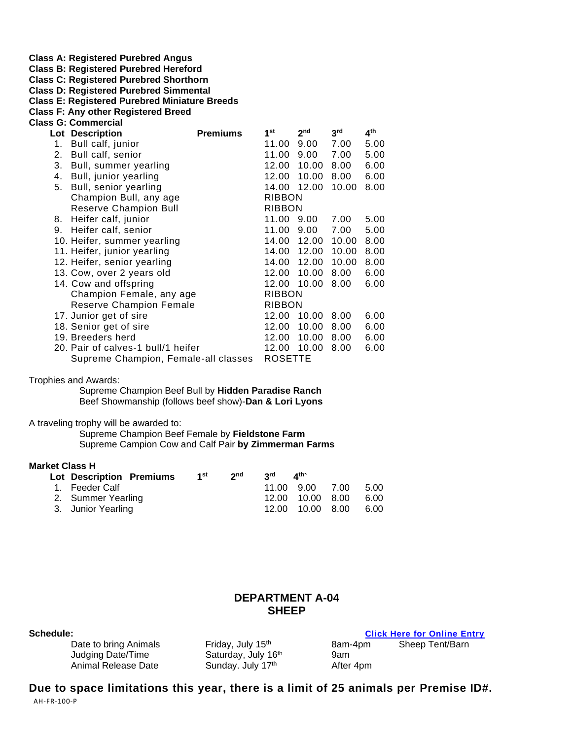**Class A: Registered Purebred Angus**

**Class B: Registered Purebred Hereford**

**Class C: Registered Purebred Shorthorn**

**Class D: Registered Purebred Simmental**

**Class E: Registered Purebred Miniature Breeds**

**Class F: Any other Registered Breed Class G: Commercial**

|    | Lot Description                      | <b>Premiums</b> | 1 <sup>st</sup> | 2 <sub>nd</sub> | 3 <sup>rd</sup> | 4 <sup>th</sup> |
|----|--------------------------------------|-----------------|-----------------|-----------------|-----------------|-----------------|
| 1. | Bull calf, junior                    |                 | 11.00           | 9.00            | 7.00            | 5.00            |
| 2. | Bull calf, senior                    |                 | 11.00           | 9.00            | 7.00            | 5.00            |
| 3. | Bull, summer yearling                |                 | 12.00           | 10.00           | 8.00            | 6.00            |
| 4. | Bull, junior yearling                |                 | 12.00           | 10.00           | 8.00            | 6.00            |
| 5. | Bull, senior yearling                |                 | 14.00           | 12.00           | 10.00           | 8.00            |
|    | Champion Bull, any age               |                 | <b>RIBBON</b>   |                 |                 |                 |
|    | <b>Reserve Champion Bull</b>         |                 | <b>RIBBON</b>   |                 |                 |                 |
| 8. | Heifer calf, junior                  |                 | 11.00           | 9.00            | 7.00            | 5.00            |
| 9. | Heifer calf, senior                  |                 | 11.00           | 9.00            | 7.00            | 5.00            |
|    | 10. Heifer, summer yearling          |                 | 14.00           | 12.00           | 10.00           | 8.00            |
|    | 11. Heifer, junior yearling          |                 | 14.00           | 12.00           | 10.00           | 8.00            |
|    | 12. Heifer, senior yearling          |                 | 14.00           | 12.00           | 10.00           | 8.00            |
|    | 13. Cow, over 2 years old            |                 | 12.00           | 10.00           | 8.00            | 6.00            |
|    | 14. Cow and offspring                |                 | 12.00           | 10.00           | 8.00            | 6.00            |
|    | Champion Female, any age             |                 | <b>RIBBON</b>   |                 |                 |                 |
|    | <b>Reserve Champion Female</b>       |                 | <b>RIBBON</b>   |                 |                 |                 |
|    | 17. Junior get of sire               |                 | 12.00           | 10.00           | 8.00            | 6.00            |
|    | 18. Senior get of sire               |                 | 12.00           | 10.00           | 8.00            | 6.00            |
|    | 19. Breeders herd                    |                 | 12.00           | 10.00           | 8.00            | 6.00            |
|    | 20. Pair of calves-1 bull/1 heifer   |                 | 12.00           | 10.00           | 8.00            | 6.00            |
|    | Supreme Champion, Female-all classes |                 | <b>ROSETTE</b>  |                 |                 |                 |

Trophies and Awards:

Supreme Champion Beef Bull by **Hidden Paradise Ranch** Beef Showmanship (follows beef show)-**Dan & Lori Lyons**

A traveling trophy will be awarded to:

Supreme Champion Beef Female by **Fieldstone Farm** Supreme Campion Cow and Calf Pair **by Zimmerman Farms**

### **Market Class H**

| Lot Description Premiums | 1st | 2 <sub>nd</sub> | <b>2</b> rd | $\mathbf{A}^{\text{th}}$ |      |
|--------------------------|-----|-----------------|-------------|--------------------------|------|
| 1. Feeder Calf           |     |                 |             | 11.00 9.00 7.00 5.00     |      |
| 2. Summer Yearling       |     |                 |             | 12.00 10.00 8.00 6.00    |      |
| 3. Junior Yearling       |     |                 |             | 12.00 10.00 8.00         | 6.00 |

### **DEPARTMENT A-04 SHEEP**

| Date to bring Animals |  |
|-----------------------|--|
| Judging Date/Time     |  |
| Animal Release Date   |  |

Saturday, July 16th Sunday. July 17th

**Solick Here for Online Entry**<br> **Sheep Tent/Barn**<br> **Sheep Tent/Barn** 8am-4pm Sheep Tent/Barn 9am After 4pm

AH-FR-100-P **Due to space limitations this year, there is a limit of 25 animals per Premise ID#.**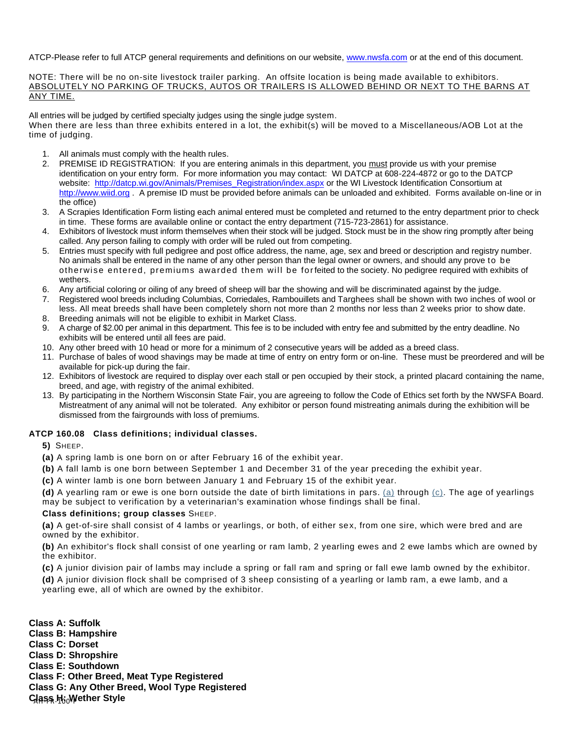ATCP-Please refer to full ATCP general requirements and definitions on our website, [www.nwsfa.com](http://www.nwsfa.com/) or at the end of this document.

NOTE: There will be no on-site livestock trailer parking. An offsite location is being made available to exhibitors. ABSOLUTELY NO PARKING OF TRUCKS, AUTOS OR TRAILERS IS ALLOWED BEHIND OR NEXT TO THE BARNS AT ANY TIME.

All entries will be judged by certified specialty judges using the single judge system.

When there are less than three exhibits entered in a lot, the exhibit(s) will be moved to a Miscellaneous/AOB Lot at the time of judging.

- 1. All animals must comply with the health rules.
- 2. PREMISE ID REGISTRATION: If you are entering animals in this department, you must provide us with your premise identification on your entry form. For more information you may contact: WI DATCP at 608-224-4872 or go to the DATCP website: [http://datcp.wi.gov/Animals/Premises\\_Registration/index.aspx](http://datcp.wi.gov/Animals/Premises_Registration/index.aspx) or the WI Livestock Identification Consortium at [http://www.wiid.org](http://www.wiid.org/) . A premise ID must be provided before animals can be unloaded and exhibited. Forms available on-line or in the office)
- 3. A Scrapies Identification Form listing each animal entered must be completed and returned to the entry department prior to check in time. These forms are available online or contact the entry department (715-723-2861) for assistance.
- 4. Exhibitors of livestock must inform themselves when their stock will be judged. Stock must be in the show ring promptly after being called. Any person failing to comply with order will be ruled out from competing.
- 5. Entries must specify with full pedigree and post office address, the name, age, sex and breed or description and registry number. No animals shall be entered in the name of any other person than the legal owner or owners, and should any prove to be otherwi se entered, premiums awarded them will be for feited to the society. No pedigree required with exhibits of wethers.
- 6. Any artificial coloring or oiling of any breed of sheep will bar the showing and will be discriminated against by the judge.
- 7. Registered wool breeds including Columbias, Corriedales, Rambouillets and Targhees shall be shown with two inches of wool or less. All meat breeds shall have been completely shorn not more than 2 months nor less than 2 weeks prior to show date.
- 8. Breeding animals will not be eligible to exhibit in Market Class.
- 9. A charge of \$2.00 per animal in this department. This fee is to be included with entry fee and submitted by the entry deadline. No exhibits will be entered until all fees are paid.
- 10. Any other breed with 10 head or more for a minimum of 2 consecutive years will be added as a breed class.
- 11. Purchase of bales of wood shavings may be made at time of entry on entry form or on-line. These must be preordered and will be available for pick-up during the fair.
- 12. Exhibitors of livestock are required to display over each stall or pen occupied by their stock, a printed placard containing the name, breed, and age, with registry of the animal exhibited.
- 13. By participating in the Northern Wisconsin State Fair, you are agreeing to follow the Code of Ethics set forth by the NWSFA Board. Mistreatment of any animal will not be tolerated. Any exhibitor or person found mistreating animals during the exhibition will be dismissed from the fairgrounds with loss of premiums.

### **ATCP 160.08 Class definitions; individual classes.**

- **5)** SHEEP.
- **(a)** A spring lamb is one born on or after February 16 of the exhibit year.
- **(b)** A fall lamb is one born between September 1 and December 31 of the year preceding the exhibit year.

**(c)** A winter lamb is one born between January 1 and February 15 of the exhibit year.

**(d)** A yearling ram or ewe is one born outside the date of birth limitations in pars. [\(a\)](https://docs.legis.wisconsin.gov/document/administrativecode/ATCP%20160.08(5)(a)) through [\(c\).](https://docs.legis.wisconsin.gov/document/administrativecode/ATCP%20160.08(5)(c)) The age of yearlings may be subject to verification by a veterinarian's examination whose findings shall be final.

### **Class definitions; group classes** SHEEP.

**(a)** A get-of-sire shall consist of 4 lambs or yearlings, or both, of either sex, from one sire, which were bred and are owned by the exhibitor.

**(b)** An exhibitor's flock shall consist of one yearling or ram lamb, 2 yearling ewes and 2 ewe lambs which are owned by the exhibitor.

**(c)** A junior division pair of lambs may include a spring or fall ram and spring or fall ewe lamb owned by the exhibitor.

**(d)** A junior division flock shall be comprised of 3 sheep consisting of a yearling or lamb ram, a ewe lamb, and a yearling ewe, all of which are owned by the exhibitor.

<u>Class կ<sub>Ն</sub> Wether Style</u> **Class A: Suffolk Class B: Hampshire Class C: Dorset Class D: Shropshire Class E: Southdown Class F: Other Breed, Meat Type Registered Class G: Any Other Breed, Wool Type Registered**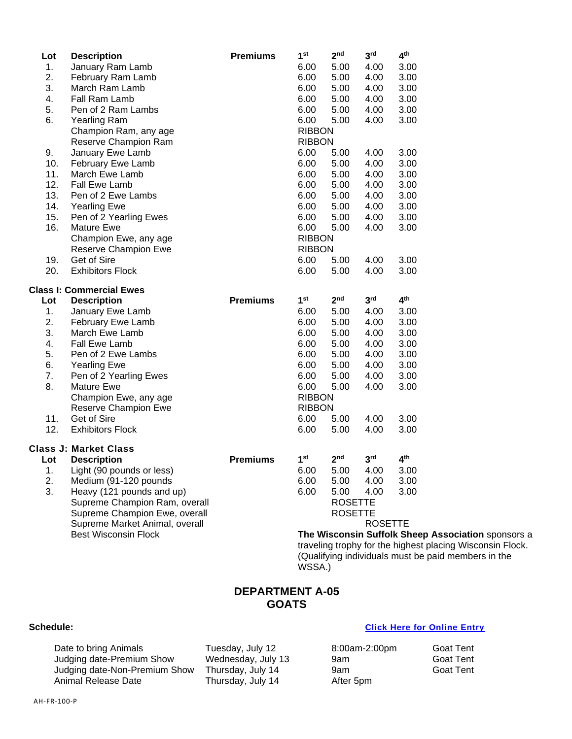| Lot | <b>Description</b>              | <b>Premiums</b> | 1 <sup>st</sup> | 2 <sub>nd</sub> | 3 <sup>rd</sup> | 4 <sup>th</sup>                    |
|-----|---------------------------------|-----------------|-----------------|-----------------|-----------------|------------------------------------|
| 1.  | January Ram Lamb                |                 | 6.00            | 5.00            | 4.00            | 3.00                               |
| 2.  | February Ram Lamb               |                 | 6.00            | 5.00            | 4.00            | 3.00                               |
| 3.  | March Ram Lamb                  |                 | 6.00            | 5.00            | 4.00            | 3.00                               |
| 4.  | Fall Ram Lamb                   |                 | 6.00            | 5.00            | 4.00            | 3.00                               |
| 5.  | Pen of 2 Ram Lambs              |                 | 6.00            | 5.00            | 4.00            | 3.00                               |
| 6.  | <b>Yearling Ram</b>             |                 | 6.00            | 5.00            | 4.00            | 3.00                               |
|     | Champion Ram, any age           |                 | <b>RIBBON</b>   |                 |                 |                                    |
|     | Reserve Champion Ram            |                 | <b>RIBBON</b>   |                 |                 |                                    |
| 9.  | January Ewe Lamb                |                 | 6.00            | 5.00            | 4.00            | 3.00                               |
| 10. | February Ewe Lamb               |                 | 6.00            | 5.00            | 4.00            | 3.00                               |
| 11. | March Ewe Lamb                  |                 | 6.00            | 5.00            | 4.00            | 3.00                               |
| 12. | <b>Fall Ewe Lamb</b>            |                 | 6.00            | 5.00            | 4.00            | 3.00                               |
| 13. | Pen of 2 Ewe Lambs              |                 | 6.00            | 5.00            | 4.00            | 3.00                               |
| 14. | <b>Yearling Ewe</b>             |                 | 6.00            | 5.00            | 4.00            | 3.00                               |
| 15. | Pen of 2 Yearling Ewes          |                 | 6.00            | 5.00            | 4.00            | 3.00                               |
| 16. | <b>Mature Ewe</b>               |                 | 6.00            | 5.00            | 4.00            | 3.00                               |
|     | Champion Ewe, any age           |                 | <b>RIBBON</b>   |                 |                 |                                    |
|     | Reserve Champion Ewe            |                 | <b>RIBBON</b>   |                 |                 |                                    |
| 19. | Get of Sire                     |                 | 6.00            | 5.00            | 4.00            | 3.00                               |
| 20. | <b>Exhibitors Flock</b>         |                 | 6.00            | 5.00            | 4.00            | 3.00                               |
|     | <b>Class I: Commercial Ewes</b> |                 |                 |                 |                 |                                    |
| Lot | <b>Description</b>              | <b>Premiums</b> | 1 <sup>st</sup> | 2 <sub>nd</sub> | 3 <sup>rd</sup> | 4 <sup>th</sup>                    |
| 1.  | January Ewe Lamb                |                 | 6.00            | 5.00            | 4.00            | 3.00                               |
| 2.  | February Ewe Lamb               |                 | 6.00            | 5.00            | 4.00            | 3.00                               |
| 3.  | March Ewe Lamb                  |                 | 6.00            | 5.00            | 4.00            | 3.00                               |
| 4.  | Fall Ewe Lamb                   |                 | 6.00            | 5.00            | 4.00            | 3.00                               |
| 5.  | Pen of 2 Ewe Lambs              |                 | 6.00            | 5.00            | 4.00            | 3.00                               |
| 6.  | <b>Yearling Ewe</b>             |                 | 6.00            | 5.00            | 4.00            | 3.00                               |
| 7.  | Pen of 2 Yearling Ewes          |                 | 6.00            | 5.00            | 4.00            | 3.00                               |
| 8.  | Mature Ewe                      |                 | 6.00            | 5.00            | 4.00            | 3.00                               |
|     | Champion Ewe, any age           |                 | <b>RIBBON</b>   |                 |                 |                                    |
|     | Reserve Champion Ewe            |                 | <b>RIBBON</b>   |                 |                 |                                    |
| 11. | Get of Sire                     |                 | 6.00            | 5.00            | 4.00            | 3.00                               |
| 12. | <b>Exhibitors Flock</b>         |                 | 6.00            | 5.00            | 4.00            | 3.00                               |
|     | <b>Class J: Market Class</b>    |                 |                 |                 |                 |                                    |
| Lot | <b>Description</b>              | <b>Premiums</b> | 1 <sup>st</sup> | 2 <sup>nd</sup> | 3 <sup>rd</sup> | 4 <sup>th</sup>                    |
| 1.  | Light (90 pounds or less)       |                 | 6.00            | 5.00            | 4.00            | 3.00                               |
| 2.  | Medium (91-120 pounds           |                 | 6.00            | 5.00            | 4.00            | 3.00                               |
| 3.  | Heavy (121 pounds and up)       |                 | 6.00            | 5.00            | 4.00            | 3.00                               |
|     | Supreme Champion Ram, overall   |                 |                 | <b>ROSETTE</b>  |                 |                                    |
|     | Supreme Champion Ewe, overall   |                 |                 | <b>ROSETTE</b>  |                 |                                    |
|     | Supreme Market Animal, overall  |                 |                 |                 | <b>ROSETTE</b>  |                                    |
|     | <b>Best Wisconsin Flock</b>     |                 |                 |                 |                 | The Wisconsin Suffolk Sheep        |
|     |                                 |                 |                 |                 |                 | traveling trophy for the highest p |
|     |                                 |                 |                 |                 |                 |                                    |

**Association** sponsors a lacing Wisconsin Flock. (Qualifying individuals must be paid members in the WSSA.)

### **DEPARTMENT A-05 GOATS**

### **Schedule: [Click Here for Online Entry](https://www.blueribbonfair.com/BRFairProd/BlueRibbonStart.aspx?ID=1949)**

Date to bring Animals Tuesday, July 12 8:00am-2:00pm Goat Tent<br>
Judging date-Premium Show Wednesday, July 13 9am Goat Tent Judging date-Premium Show Wednesday, July 13 9am Goat Tent<br>
Judging date-Non-Premium Show Thursday, July 14 9am Goat Tent Judging date-Non-Premium Show Thursday, July 14 9am<br>Animal Release Date Thursday, July 14 After Thursday, July 14 After 5pm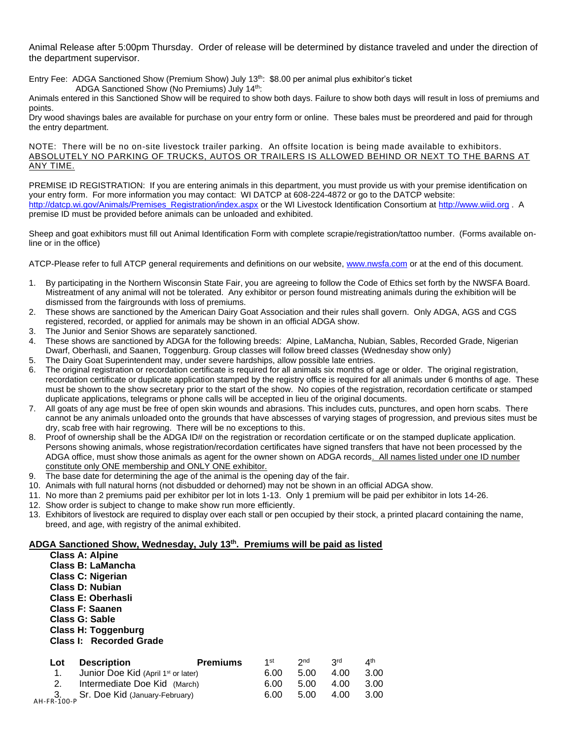Animal Release after 5:00pm Thursday. Order of release will be determined by distance traveled and under the direction of the department supervisor.

Entry Fee: ADGA Sanctioned Show (Premium Show) July  $13<sup>th</sup>$ : \$8.00 per animal plus exhibitor's ticket ADGA Sanctioned Show (No Premiums) July 14<sup>th</sup>:

Animals entered in this Sanctioned Show will be required to show both days. Failure to show both days will result in loss of premiums and points.

Dry wood shavings bales are available for purchase on your entry form or online. These bales must be preordered and paid for through the entry department.

NOTE: There will be no on-site livestock trailer parking. An offsite location is being made available to exhibitors. ABSOLUTELY NO PARKING OF TRUCKS, AUTOS OR TRAILERS IS ALLOWED BEHIND OR NEXT TO THE BARNS AT ANY TIME.

PREMISE ID REGISTRATION: If you are entering animals in this department, you must provide us with your premise identification on your entry form. For more information you may contact: WI DATCP at 608-224-4872 or go to the DATCP website: [http://datcp.wi.gov/Animals/Premises\\_Registration/index.aspx](http://datcp.wi.gov/Animals/Premises_Registration/index.aspx) or the WI Livestock Identification Consortium a[t http://www.wiid.org](http://www.wiid.org/) . A premise ID must be provided before animals can be unloaded and exhibited.

Sheep and goat exhibitors must fill out Animal Identification Form with complete scrapie/registration/tattoo number. (Forms available online or in the office)

ATCP-Please refer to full ATCP general requirements and definitions on our website, [www.nwsfa.com](http://www.nwsfa.com/) or at the end of this document.

- 1. By participating in the Northern Wisconsin State Fair, you are agreeing to follow the Code of Ethics set forth by the NWSFA Board. Mistreatment of any animal will not be tolerated. Any exhibitor or person found mistreating animals during the exhibition will be dismissed from the fairgrounds with loss of premiums.
- 2. These shows are sanctioned by the American Dairy Goat Association and their rules shall govern. Only ADGA, AGS and CGS registered, recorded, or applied for animals may be shown in an official ADGA show.
- 3. The Junior and Senior Shows are separately sanctioned.
- 4. These shows are sanctioned by ADGA for the following breeds: Alpine, LaMancha, Nubian, Sables, Recorded Grade, Nigerian Dwarf, Oberhasli, and Saanen, Toggenburg. Group classes will follow breed classes (Wednesday show only)
- 5. The Dairy Goat Superintendent may, under severe hardships, allow possible late entries.
- 6. The original registration or recordation certificate is required for all animals six months of age or older. The original registration, recordation certificate or duplicate application stamped by the registry office is required for all animals under 6 months of age. These must be shown to the show secretary prior to the start of the show. No copies of the registration, recordation certificate or stamped duplicate applications, telegrams or phone calls will be accepted in lieu of the original documents.
- 7. All goats of any age must be free of open skin wounds and abrasions. This includes cuts, punctures, and open horn scabs. There cannot be any animals unloaded onto the grounds that have abscesses of varying stages of progression, and previous sites must be dry, scab free with hair regrowing. There will be no exceptions to this.
- 8. Proof of ownership shall be the ADGA ID# on the registration or recordation certificate or on the stamped duplicate application. Persons showing animals, whose registration/recordation certificates have signed transfers that have not been processed by the ADGA office, must show those animals as agent for the owner shown on ADGA records. All names listed under one ID number constitute only ONE membership and ONLY ONE exhibitor.
- 9. The base date for determining the age of the animal is the opening day of the fair.
- 10. Animals with full natural horns (not disbudded or dehorned) may not be shown in an official ADGA show.
- 11. No more than 2 premiums paid per exhibitor per lot in lots 1-13. Only 1 premium will be paid per exhibitor in lots 14-26.
- 12. Show order is subject to change to make show run more efficiently.

**Class A: Alpine Class B: LaMancha**

13. Exhibitors of livestock are required to display over each stall or pen occupied by their stock, a printed placard containing the name, breed, and age, with registry of the animal exhibited.

### **ADGA Sanctioned Show, Wednesday, July 13th. Premiums will be paid as listed**

|                   | <b>Class C: Nigerian</b><br><b>Class D: Nubian</b><br>Class E: Oberhasli<br>Class F: Saanen<br><b>Class G: Sable</b><br><b>Class H: Toggenburg</b><br>Class I: Recorded Grade |                 |      |                 |                 |                 |
|-------------------|-------------------------------------------------------------------------------------------------------------------------------------------------------------------------------|-----------------|------|-----------------|-----------------|-----------------|
| Lot               | <b>Description</b>                                                                                                                                                            | <b>Premiums</b> | 1st  | 2 <sub>nd</sub> | 3 <sub>rd</sub> | 4 <sup>th</sup> |
| 1.                | Junior Doe Kid (April 1 <sup>st</sup> or later)                                                                                                                               |                 | 6.00 | 5.00            | 4.00            | 3.00            |
| 2.                | Intermediate Doe Kid (March)                                                                                                                                                  |                 | 6.00 | 5.00            | 4.00            | 3.00            |
| 3.<br>AH-FR-100-P | Sr. Doe Kid (January-February)                                                                                                                                                |                 | 6.00 | 5.00            | 4.00            | 3.00            |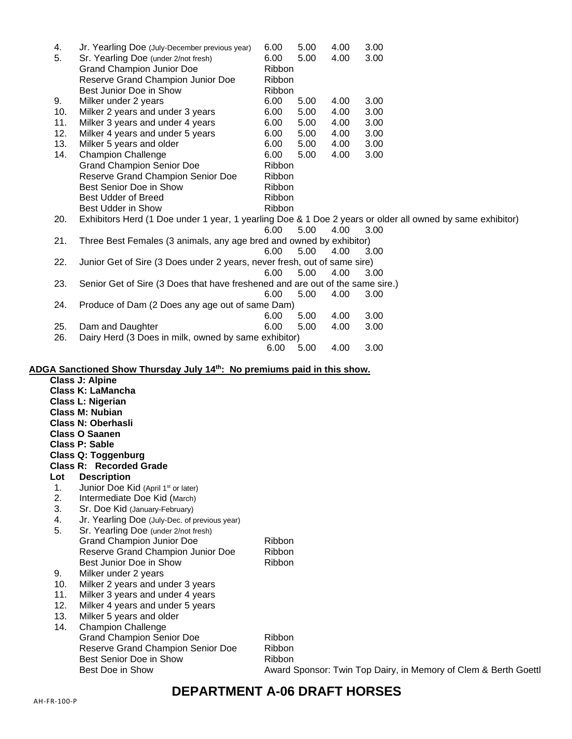| 4.  | Jr. Yearling Doe (July-December previous year)                                                            | 6.00          | 5.00 | 4.00 | 3.00                                                            |
|-----|-----------------------------------------------------------------------------------------------------------|---------------|------|------|-----------------------------------------------------------------|
| 5.  | Sr. Yearling Doe (under 2/not fresh)                                                                      | 6.00          | 5.00 | 4.00 | 3.00                                                            |
|     | <b>Grand Champion Junior Doe</b>                                                                          | Ribbon        |      |      |                                                                 |
|     | Reserve Grand Champion Junior Doe                                                                         | Ribbon        |      |      |                                                                 |
|     | Best Junior Doe in Show                                                                                   | Ribbon        |      |      |                                                                 |
| 9.  | Milker under 2 years                                                                                      | 6.00          | 5.00 | 4.00 | 3.00                                                            |
| 10. | Milker 2 years and under 3 years                                                                          | 6.00          | 5.00 | 4.00 | 3.00                                                            |
| 11. | Milker 3 years and under 4 years                                                                          | 6.00          | 5.00 | 4.00 | 3.00                                                            |
| 12. | Milker 4 years and under 5 years                                                                          | 6.00          | 5.00 | 4.00 | 3.00                                                            |
| 13. | Milker 5 years and older                                                                                  | 6.00          | 5.00 | 4.00 | 3.00                                                            |
| 14. | <b>Champion Challenge</b>                                                                                 | 6.00          | 5.00 | 4.00 | 3.00                                                            |
|     | <b>Grand Champion Senior Doe</b>                                                                          | Ribbon        |      |      |                                                                 |
|     | Reserve Grand Champion Senior Doe                                                                         | Ribbon        |      |      |                                                                 |
|     | Best Senior Doe in Show                                                                                   | Ribbon        |      |      |                                                                 |
|     | <b>Best Udder of Breed</b>                                                                                | Ribbon        |      |      |                                                                 |
|     | Best Udder in Show                                                                                        | Ribbon        |      |      |                                                                 |
| 20. | Exhibitors Herd (1 Doe under 1 year, 1 yearling Doe & 1 Doe 2 years or older all owned by same exhibitor) |               |      |      |                                                                 |
|     |                                                                                                           | 6.00          | 5.00 | 4.00 | 3.00                                                            |
| 21. | Three Best Females (3 animals, any age bred and owned by exhibitor)                                       |               |      |      |                                                                 |
|     |                                                                                                           | 6.00          | 5.00 | 4.00 | 3.00                                                            |
| 22. | Junior Get of Sire (3 Does under 2 years, never fresh, out of same sire)                                  |               |      |      |                                                                 |
|     |                                                                                                           | 6.00          | 5.00 | 4.00 | 3.00                                                            |
|     |                                                                                                           |               |      |      |                                                                 |
| 23. | Senior Get of Sire (3 Does that have freshened and are out of the same sire.)                             |               |      |      |                                                                 |
|     |                                                                                                           | 6.00          | 5.00 | 4.00 | 3.00                                                            |
| 24. | Produce of Dam (2 Does any age out of same Dam)                                                           |               |      |      |                                                                 |
|     |                                                                                                           | 6.00          | 5.00 | 4.00 | 3.00                                                            |
| 25. | Dam and Daughter                                                                                          | 6.00          | 5.00 | 4.00 | 3.00                                                            |
| 26. | Dairy Herd (3 Does in milk, owned by same exhibitor)                                                      |               |      |      |                                                                 |
|     |                                                                                                           | 6.00          | 5.00 | 4.00 | 3.00                                                            |
|     |                                                                                                           |               |      |      |                                                                 |
|     | ADGA Sanctioned Show Thursday July 14th: No premiums paid in this show.<br><b>Class J: Alpine</b>         |               |      |      |                                                                 |
|     | <b>Class K: LaMancha</b>                                                                                  |               |      |      |                                                                 |
|     |                                                                                                           |               |      |      |                                                                 |
|     | <b>Class L: Nigerian</b><br><b>Class M: Nubian</b>                                                        |               |      |      |                                                                 |
|     |                                                                                                           |               |      |      |                                                                 |
|     | <b>Class N: Oberhasli</b>                                                                                 |               |      |      |                                                                 |
|     | <b>Class O Saanen</b>                                                                                     |               |      |      |                                                                 |
|     | <b>Class P: Sable</b>                                                                                     |               |      |      |                                                                 |
|     | <b>Class Q: Toggenburg</b>                                                                                |               |      |      |                                                                 |
|     | <b>Class R: Recorded Grade</b>                                                                            |               |      |      |                                                                 |
| Lot | <b>Description</b>                                                                                        |               |      |      |                                                                 |
| 1.  | Junior Doe Kid (April 1 <sup>st</sup> or later)                                                           |               |      |      |                                                                 |
| 2.  | Intermediate Doe Kid (March)                                                                              |               |      |      |                                                                 |
| 3.  | Sr. Doe Kid (January-February)                                                                            |               |      |      |                                                                 |
| 4.  | Jr. Yearling Doe (July-Dec. of previous year)                                                             |               |      |      |                                                                 |
| 5.  | Sr. Yearling Doe (under 2/not fresh)                                                                      |               |      |      |                                                                 |
|     | <b>Grand Champion Junior Doe</b>                                                                          | <b>Ribbon</b> |      |      |                                                                 |
|     | Reserve Grand Champion Junior Doe                                                                         | Ribbon        |      |      |                                                                 |
|     | Best Junior Doe in Show                                                                                   | Ribbon        |      |      |                                                                 |
| 9.  | Milker under 2 years                                                                                      |               |      |      |                                                                 |
| 10. | Milker 2 years and under 3 years                                                                          |               |      |      |                                                                 |
| 11. | Milker 3 years and under 4 years                                                                          |               |      |      |                                                                 |
| 12. | Milker 4 years and under 5 years                                                                          |               |      |      |                                                                 |
| 13. | Milker 5 years and older                                                                                  |               |      |      |                                                                 |
| 14. | <b>Champion Challenge</b>                                                                                 |               |      |      |                                                                 |
|     | <b>Grand Champion Senior Doe</b>                                                                          | Ribbon        |      |      |                                                                 |
|     | Reserve Grand Champion Senior Doe                                                                         | Ribbon        |      |      |                                                                 |
|     | Best Senior Doe in Show                                                                                   | Ribbon        |      |      |                                                                 |
|     | <b>Best Doe in Show</b>                                                                                   |               |      |      | Award Sponsor: Twin Top Dairy, in Memory of Clem & Berth Goettl |
|     |                                                                                                           |               |      |      |                                                                 |

# **DEPARTMENT A-06 DRAFT HORSES**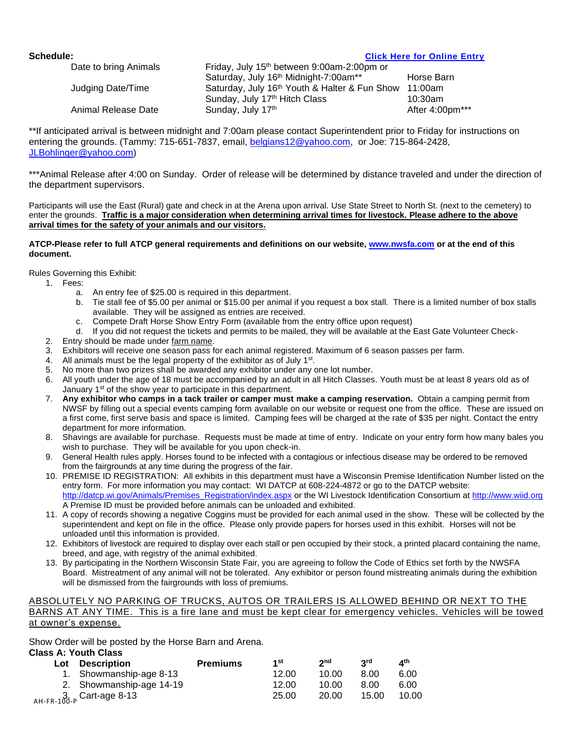### **Schedule: [Click Here for Online Entry](https://www.blueribbonfair.com/BRFairProd/BlueRibbonStart.aspx?ID=1949)**

| Date to bring Animals | Friday, July 15 <sup>th</sup> between 9:00am-2:00pm or |                 |  |  |  |
|-----------------------|--------------------------------------------------------|-----------------|--|--|--|
|                       | Saturday, July 16th Midnight-7:00am**                  | Horse Barn      |  |  |  |
| Judging Date/Time     | Saturday, July 16th Youth & Halter & Fun Show          | 11:00am         |  |  |  |
|                       | Sunday, July 17th Hitch Class                          | $10:30$ am      |  |  |  |
| Animal Release Date   | Sunday, July 17th                                      | After 4:00pm*** |  |  |  |

\*\*If anticipated arrival is between midnight and 7:00am please contact Superintendent prior to Friday for instructions on entering the grounds. (Tammy: 715-651-7837, email, [belgians12@yahoo.com,](mailto:belgians12@yahoo.com) or Joe: 715-864-2428, [JLBohlinger@yahoo.com\)](mailto:JLBohlinger@yahoo.com)

\*\*\*Animal Release after 4:00 on Sunday. Order of release will be determined by distance traveled and under the direction of the department supervisors.

Participants will use the East (Rural) gate and check in at the Arena upon arrival. Use State Street to North St. (next to the cemetery) to enter the grounds. **Traffic is a major consideration when determining arrival times for livestock. Please adhere to the above arrival times for the safety of your animals and our visitors.**

### **ATCP-Please refer to full ATCP general requirements and definitions on our website, [www.nwsfa.com](http://www.nwsfa.com/) or at the end of this document.**

Rules Governing this Exhibit:

- 1. Fees:
	- a. An entry fee of \$25.00 is required in this department.
	- b. Tie stall fee of \$5.00 per animal or \$15.00 per animal if you request a box stall. There is a limited number of box stalls available. They will be assigned as entries are received.
	- c. Compete Draft Horse Show Entry Form (available from the entry office upon request)
	- d. If you did not request the tickets and permits to be mailed, they will be available at the East Gate Volunteer Check-
- 2. Entry should be made under farm name.
- 3. Exhibitors will receive one season pass for each animal registered. Maximum of 6 season passes per farm.
- 4. All animals must be the legal property of the exhibitor as of July 1<sup>st</sup>.
- 5. No more than two prizes shall be awarded any exhibitor under any one lot number.
- 6. All youth under the age of 18 must be accompanied by an adult in all Hitch Classes. Youth must be at least 8 years old as of January 1<sup>st</sup> of the show year to participate in this department.
- 7. **Any exhibitor who camps in a tack trailer or camper must make a camping reservation.** Obtain a camping permit from NWSF by filling out a special events camping form available on our website or request one from the office. These are issued on a first come, first serve basis and space is limited. Camping fees will be charged at the rate of \$35 per night. Contact the entry department for more information.
- 8. Shavings are available for purchase. Requests must be made at time of entry. Indicate on your entry form how many bales you wish to purchase. They will be available for you upon check-in.
- 9. General Health rules apply. Horses found to be infected with a contagious or infectious disease may be ordered to be removed from the fairgrounds at any time during the progress of the fair.
- 10. PREMISE ID REGISTRATION: All exhibits in this department must have a Wisconsin Premise Identification Number listed on the entry form. For more information you may contact: WI DATCP at 608-224-4872 or go to the DATCP website: [http://datcp.wi.gov/Animals/Premises\\_Registration/index.aspx](http://datcp.wi.gov/Animals/Premises_Registration/index.aspx) or the WI Livestock Identification Consortium a[t http://www.wiid.org](http://www.wiid.org/)  A Premise ID must be provided before animals can be unloaded and exhibited.
- 11. A copy of records showing a negative Coggins must be provided for each animal used in the show. These will be collected by the superintendent and kept on file in the office. Please only provide papers for horses used in this exhibit. Horses will not be unloaded until this information is provided.
- 12. Exhibitors of livestock are required to display over each stall or pen occupied by their stock, a printed placard containing the name, breed, and age, with registry of the animal exhibited.
- 13. By participating in the Northern Wisconsin State Fair, you are agreeing to follow the Code of Ethics set forth by the NWSFA Board. Mistreatment of any animal will not be tolerated. Any exhibitor or person found mistreating animals during the exhibition will be dismissed from the fairgrounds with loss of premiums.

### ABSOLUTELY NO PARKING OF TRUCKS, AUTOS OR TRAILERS IS ALLOWED BEHIND OR NEXT TO THE BARNS AT ANY TIME. This is a fire lane and must be kept clear for emergency vehicles. Vehicles will be towed at owner's expense.

Show Order will be posted by the Horse Barn and Arena.

### **Class A: Youth Class**

| Lot | <b>Description</b>       | <b>Premiums</b> | 1st   | 2 <sub>nd</sub> | <b>Rud</b> | ⊿th   |
|-----|--------------------------|-----------------|-------|-----------------|------------|-------|
|     | 1. Showmanship-age 8-13  |                 | 12.00 | 10.00           | 8.00       | 6.00  |
|     | 2. Showmanship-age 14-19 |                 | 12.00 | 10.00           | 8.00       | 6.00  |
|     | $3, 3, 6$ Cart-age 8-13  |                 | 25.00 | 20.00           | 15.00      | 10.00 |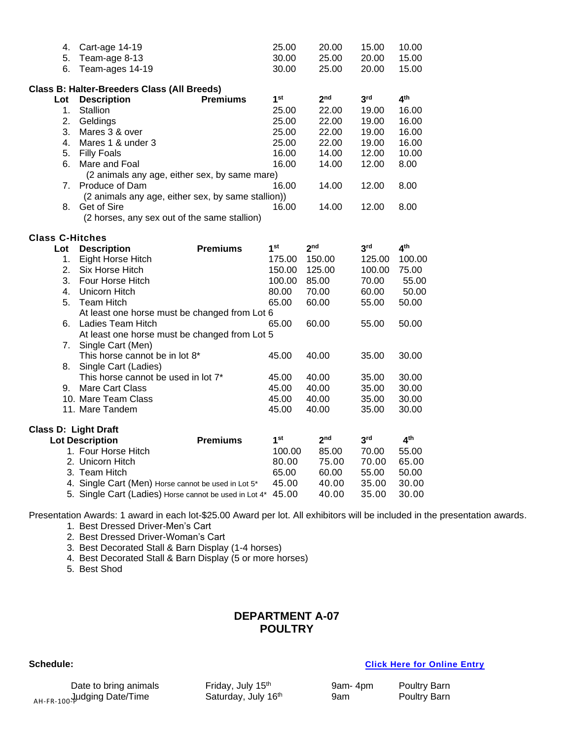| 4.                          | Cart-age 14-19                                         | 25.00           | 20.00           | 15.00           | 10.00           |  |
|-----------------------------|--------------------------------------------------------|-----------------|-----------------|-----------------|-----------------|--|
| 5.                          | Team-age 8-13                                          | 30.00           | 25.00           | 20.00           | 15.00           |  |
| 6.                          | Team-ages 14-19                                        | 30.00           | 25.00           | 20.00           | 15.00           |  |
|                             |                                                        |                 |                 |                 |                 |  |
|                             | Class B: Halter-Breeders Class (All Breeds)            |                 |                 |                 |                 |  |
| Lot                         | <b>Premiums</b><br><b>Description</b>                  | 1 <sup>st</sup> | 2 <sub>nd</sub> | 3 <sup>rd</sup> | 4 <sup>th</sup> |  |
| 1.                          | <b>Stallion</b>                                        | 25.00           | 22.00           | 19.00           | 16.00           |  |
| 2.                          | Geldings                                               | 25.00           | 22.00           | 19.00           | 16.00           |  |
| 3.                          | Mares 3 & over                                         | 25.00           | 22.00           | 19.00           | 16.00           |  |
| 4.                          | Mares 1 & under 3                                      | 25.00           | 22.00           | 19.00           | 16.00           |  |
|                             | 5. Filly Foals                                         | 16.00           | 14.00           | 12.00           | 10.00           |  |
| 6.                          | Mare and Foal                                          | 16.00           | 14.00           | 12.00           | 8.00            |  |
|                             | (2 animals any age, either sex, by same mare)          |                 |                 |                 |                 |  |
|                             | 7. Produce of Dam                                      | 16.00           | 14.00           | 12.00           | 8.00            |  |
|                             | (2 animals any age, either sex, by same stallion))     |                 |                 |                 |                 |  |
| 8.                          | Get of Sire                                            | 16.00           | 14.00           | 12.00           | 8.00            |  |
|                             | (2 horses, any sex out of the same stallion)           |                 |                 |                 |                 |  |
|                             |                                                        |                 |                 |                 |                 |  |
| <b>Class C-Hitches</b>      |                                                        | 1 <sup>st</sup> | 2 <sub>nd</sub> | 3 <sup>rd</sup> | 4 <sup>th</sup> |  |
| Lot                         | <b>Premiums</b><br><b>Description</b>                  |                 |                 |                 |                 |  |
| 1.                          | Eight Horse Hitch                                      | 175.00          | 150.00          | 125.00          | 100.00          |  |
| 2.                          | Six Horse Hitch                                        | 150.00          | 125.00          | 100.00          | 75.00           |  |
| 3.                          | Four Horse Hitch                                       | 100.00          | 85.00           | 70.00           | 55.00           |  |
| 4.                          | Unicorn Hitch                                          | 80.00           | 70.00           | 60.00           | 50.00           |  |
| 5.                          | <b>Team Hitch</b>                                      | 65.00           | 60.00           | 55.00           | 50.00           |  |
|                             | At least one horse must be changed from Lot 6          |                 |                 |                 |                 |  |
|                             | 6. Ladies Team Hitch                                   | 65.00           | 60.00           | 55.00           | 50.00           |  |
|                             | At least one horse must be changed from Lot 5          |                 |                 |                 |                 |  |
|                             | 7. Single Cart (Men)                                   |                 |                 |                 |                 |  |
|                             | This horse cannot be in lot 8*                         | 45.00           | 40.00           | 35.00           | 30.00           |  |
| 8.                          | Single Cart (Ladies)                                   |                 |                 |                 |                 |  |
|                             | This horse cannot be used in lot 7*                    | 45.00           | 40.00           | 35.00           | 30.00           |  |
| 9.                          | Mare Cart Class                                        | 45.00           | 40.00           | 35.00           | 30.00           |  |
|                             | 10. Mare Team Class                                    | 45.00           | 40.00           | 35.00           | 30.00           |  |
|                             | 11. Mare Tandem                                        | 45.00           | 40.00           | 35.00           | 30.00           |  |
|                             |                                                        |                 |                 |                 |                 |  |
| <b>Class D: Light Draft</b> |                                                        | 1 <sup>st</sup> | 2 <sub>nd</sub> | 3 <sup>rd</sup> | 4 <sup>th</sup> |  |
|                             | <b>Premiums</b><br><b>Lot Description</b>              |                 |                 |                 |                 |  |
|                             | 1. Four Horse Hitch                                    | 100.00          | 85.00           | 70.00           | 55.00           |  |
|                             | 2. Unicorn Hitch                                       | 80.00           | 75.00           | 70.00           | 65.00           |  |
|                             | 3. Team Hitch                                          | 65.00           | 60.00           | 55.00           | 50.00           |  |
|                             | 4. Single Cart (Men) Horse cannot be used in Lot 5*    | 45.00           | 40.00           | 35.00           | 30.00           |  |
|                             | 5. Single Cart (Ladies) Horse cannot be used in Lot 4* | 45.00           | 40.00           | 35.00           | 30.00           |  |

Presentation Awards: 1 award in each lot-\$25.00 Award per lot. All exhibitors will be included in the presentation awards.

1. Best Dressed Driver-Men's Cart

2. Best Dressed Driver-Woman's Cart

3. Best Decorated Stall & Barn Display (1-4 horses)

- 4. Best Decorated Stall & Barn Display (5 or more horses)
- 5. Best Shod

### **DEPARTMENT A-07 POULTRY**

<sub>AH-FR-100</sub>.Judging Date/Time Saturday, July 16 Date to bring animals Friday, July 15<sup>th</sup> 9am- 4pm Poultry Barn<br>
4 Judging Date/Time Saturday, July 16<sup>th</sup> 9am Poultry Barn

**Schedule: [Click Here for Online Entry](https://www.blueribbonfair.com/BRFairProd/BlueRibbonStart.aspx?ID=1949)**

| 9am-4pm | Poultry Barn |
|---------|--------------|
| 9am     | Poultry Barn |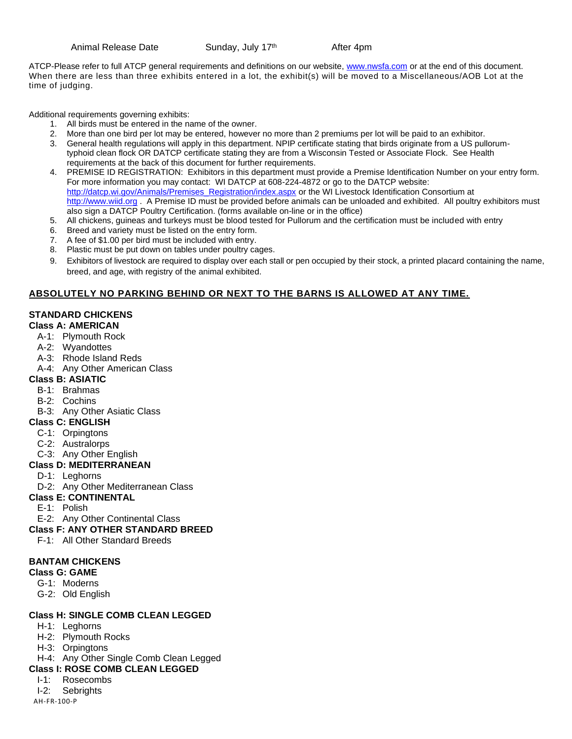Animal Release Date Sunday, July 17<sup>th</sup>

After 4pm

ATCP-Please refer to full ATCP general requirements and definitions on our website, [www.nwsfa.com](http://www.nwsfa.com/) or at the end of this document. When there are less than three exhibits entered in a lot, the exhibit(s) will be moved to a Miscellaneous/AOB Lot at the time of judging.

Additional requirements governing exhibits:

- 1. All birds must be entered in the name of the owner.
- 2. More than one bird per lot may be entered, however no more than 2 premiums per lot will be paid to an exhibitor.
- 3. General health regulations will apply in this department. NPIP certificate stating that birds originate from a US pullorumtyphoid clean flock OR DATCP certificate stating they are from a Wisconsin Tested or Associate Flock. See Health requirements at the back of this document for further requirements.
- 4. PREMISE ID REGISTRATION: Exhibitors in this department must provide a Premise Identification Number on your entry form. For more information you may contact: WI DATCP at 608-224-4872 or go to the DATCP website: [http://datcp.wi.gov/Animals/Premises\\_Registration/index.aspx](http://datcp.wi.gov/Animals/Premises_Registration/index.aspx) or the WI Livestock Identification Consortium at [http://www.wiid.org](http://www.wiid.org/) . A Premise ID must be provided before animals can be unloaded and exhibited. All poultry exhibitors must also sign a DATCP Poultry Certification. (forms available on-line or in the office)
- 5. All chickens, guineas and turkeys must be blood tested for Pullorum and the certification must be included with entry
- 6. Breed and variety must be listed on the entry form.
- 7. A fee of \$1.00 per bird must be included with entry.
- 8. Plastic must be put down on tables under poultry cages.
- 9. Exhibitors of livestock are required to display over each stall or pen occupied by their stock, a printed placard containing the name, breed, and age, with registry of the animal exhibited.

### **ABSOLUTELY NO PARKING BEHIND OR NEXT TO THE BARNS IS ALLOWED AT ANY TIME.**

### **STANDARD CHICKENS**

- **Class A: AMERICAN**
	- A-1: Plymouth Rock
	- A-2: Wyandottes
	- A-3: Rhode Island Reds
	- A-4: Any Other American Class

### **Class B: ASIATIC**

- B-1: Brahmas
- B-2: Cochins
- B-3: Any Other Asiatic Class

### **Class C: ENGLISH**

- C-1: Orpingtons
- C-2: Australorps
- C-3: Any Other English

### **Class D: MEDITERRANEAN**

- D-1: Leghorns
- D-2: Any Other Mediterranean Class

### **Class E: CONTINENTAL**

- E-1: Polish
- E-2: Any Other Continental Class
- **Class F: ANY OTHER STANDARD BREED**
	- F-1: All Other Standard Breeds

### **BANTAM CHICKENS**

### **Class G: GAME**

- G-1: Moderns
- G-2: Old English

### **Class H: SINGLE COMB CLEAN LEGGED**

- H-1: Leghorns
- H-2: Plymouth Rocks
- H-3: Orpingtons
- H-4: Any Other Single Comb Clean Legged

### **Class I: ROSE COMB CLEAN LEGGED**

- I-1: Rosecombs
- I-2: Sebrights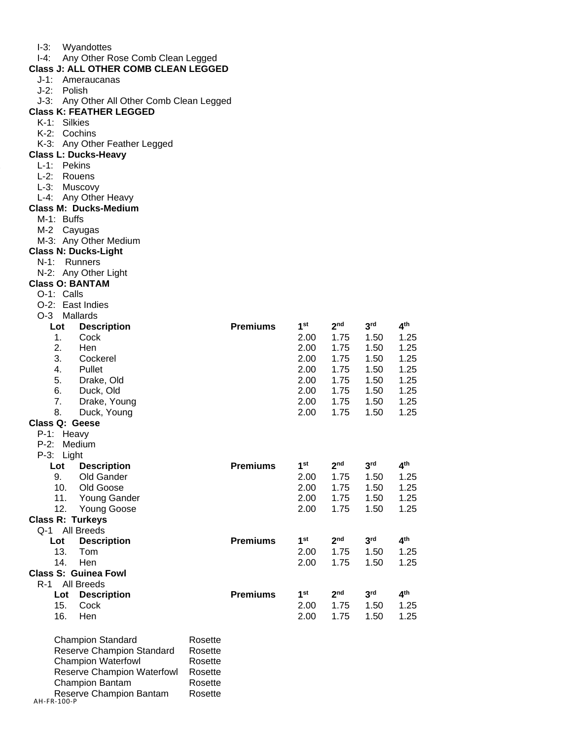| l-3: | Wyandottes |
|------|------------|
|------|------------|

I-4: Any Other Rose Comb Clean Legged

### **Class J: ALL OTHER COMB CLEAN LEGGED**

- J-1: Ameraucanas
- J-2: Polish
- J-3: Any Other All Other Comb Clean Legged

### **Class K: FEATHER LEGGED**

- K-1: Silkies
- K-2: Cochins
- K-3: Any Other Feather Legged

### **Class L: Ducks-Heavy**

- L-1: Pekins
- L-2: Rouens
- L-3: Muscovy
- L-4: Any Other Heavy

### **Class M: Ducks-Medium**

- M-1: Buffs
- M-2 Cayugas
- M-3: Any Other Medium

### **Class N: Ducks-Light**

- N-1: Runners
- N-2: Any Other Light

### **Class O: BANTAM**

- O-1: Calls
- O-2: East Indies
- O-3 Mallards

| Lot                     | <b>Description</b>          |         | <b>Premiums</b> | 1 <sup>st</sup> | 2 <sub>nd</sub> | 3 <sup>rd</sup> | 4 <sup>th</sup> |
|-------------------------|-----------------------------|---------|-----------------|-----------------|-----------------|-----------------|-----------------|
| 1.                      | Cock                        |         |                 | 2.00            | 1.75            | 1.50            | 1.25            |
| 2.                      | Hen                         |         |                 | 2.00            | 1.75            | 1.50            | 1.25            |
| 3.                      | Cockerel                    |         |                 | 2.00            | 1.75            | 1.50            | 1.25            |
| 4.                      | Pullet                      |         |                 | 2.00            | 1.75            | 1.50            | 1.25            |
| 5.                      | Drake, Old                  |         |                 | 2.00            | 1.75            | 1.50            | 1.25            |
| 6.                      | Duck, Old                   |         |                 | 2.00            | 1.75            | 1.50            | 1.25            |
| 7.                      | Drake, Young                |         |                 | 2.00            | 1.75            | 1.50            | 1.25            |
| 8.                      | Duck, Young                 |         |                 | 2.00            | 1.75            | 1.50            | 1.25            |
| Class Q: Geese          |                             |         |                 |                 |                 |                 |                 |
| $P-1:$                  | Heavy                       |         |                 |                 |                 |                 |                 |
| $P-2:$                  | Medium                      |         |                 |                 |                 |                 |                 |
| $P-3:$<br>Light         |                             |         |                 |                 |                 |                 |                 |
| Lot                     | <b>Description</b>          |         | <b>Premiums</b> | 1 <sup>st</sup> | 2 <sub>nd</sub> | 3 <sup>rd</sup> | 4 <sup>th</sup> |
| 9.                      | Old Gander                  |         |                 | 2.00            | 1.75            | 1.50            | 1.25            |
| 10.                     | Old Goose                   |         |                 | 2.00            | 1.75            | 1.50            | 1.25            |
| 11.                     | Young Gander                |         |                 | 2.00            | 1.75            | 1.50            | 1.25            |
| 12.                     | <b>Young Goose</b>          |         |                 | 2.00            | 1.75            | 1.50            | 1.25            |
| <b>Class R: Turkeys</b> |                             |         |                 |                 |                 |                 |                 |
| Q-1 All Breeds          |                             |         |                 |                 |                 |                 |                 |
| Lot                     | <b>Description</b>          |         | <b>Premiums</b> | 1 <sup>st</sup> | 2 <sub>nd</sub> | 3 <sup>rd</sup> | 4 <sup>th</sup> |
| 13.                     | Tom                         |         |                 | 2.00            | 1.75            | 1.50            | 1.25            |
| 14.                     | Hen                         |         |                 | 2.00            | 1.75            | 1.50            | 1.25            |
|                         | <b>Class S: Guinea Fowl</b> |         |                 |                 |                 |                 |                 |
| R-1 All Breeds          |                             |         |                 |                 |                 |                 |                 |
| Lot                     | <b>Description</b>          |         | <b>Premiums</b> | 1 <sup>st</sup> | 2 <sub>nd</sub> | 3 <sup>rd</sup> | 4 <sup>th</sup> |
| 15.                     | Cock                        |         |                 | 2.00            | 1.75            | 1.50            | 1.25            |
| 16.                     | Hen                         |         |                 | 2.00            | 1.75            | 1.50            | 1.25            |
|                         | <b>Champion Standard</b>    | Rosette |                 |                 |                 |                 |                 |

AH-FR-100-P Reserve Champion Standard Rosette Champion Waterfowl Rosette Reserve Champion Waterfowl Rosette Champion Bantam Rosette Reserve Champion Bantam Rosette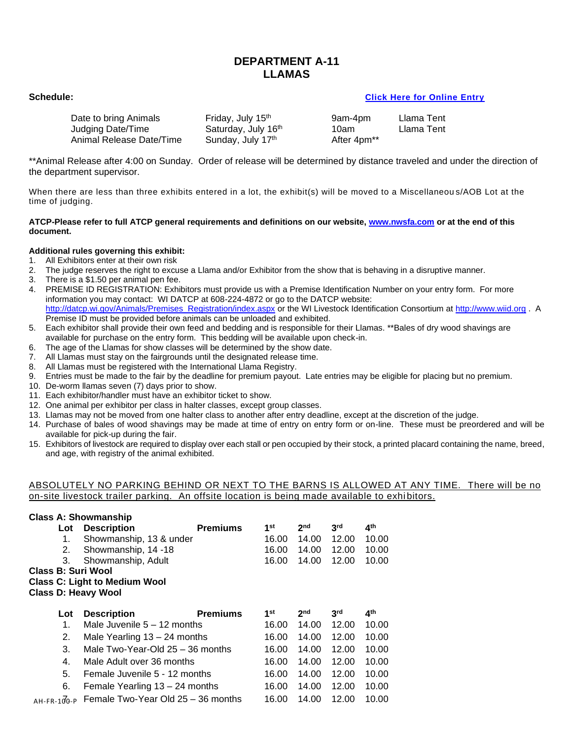### **DEPARTMENT A-11 LLAMAS**

### **Schedule: [Click Here for Online Entry](https://www.blueribbonfair.com/BRFairProd/BlueRibbonStart.aspx?ID=1949)**

| Date to bring Animals    | Friday, July 15 <sup>th</sup> | 9am-4pm                 | Llama Tent |
|--------------------------|-------------------------------|-------------------------|------------|
| Judging Date/Time        | Saturday, July 16th           | 10am                    | Llama Tent |
| Animal Release Date/Time | Sunday, July 17th             | After 4pm <sup>**</sup> |            |

\*\*Animal Release after 4:00 on Sunday. Order of release will be determined by distance traveled and under the direction of the department supervisor.

When there are less than three exhibits entered in a lot, the exhibit(s) will be moved to a Miscellaneou s/AOB Lot at the time of judging.

### **ATCP-Please refer to full ATCP general requirements and definitions on our website, [www.nwsfa.com](http://www.nwsfa.com/) or at the end of this document.**

### **Additional rules governing this exhibit:**

- 1. All Exhibitors enter at their own risk<br>2. The judge reserves the right to excu
- 2. The judge reserves the right to excuse a Llama and/or Exhibitor from the show that is behaving in a disruptive manner.
- 3. There is a \$1.50 per animal pen fee.
- 4. PREMISE ID REGISTRATION: Exhibitors must provide us with a Premise Identification Number on your entry form. For more information you may contact: WI DATCP at 608-224-4872 or go to the DATCP website: [http://datcp.wi.gov/Animals/Premises\\_Registration/index.aspx](http://datcp.wi.gov/Animals/Premises_Registration/index.aspx) or the WI Livestock Identification Consortium a[t http://www.wiid.org](http://www.wiid.org/) . A Premise ID must be provided before animals can be unloaded and exhibited.
- 5. Each exhibitor shall provide their own feed and bedding and is responsible for their Llamas. \*\*Bales of dry wood shavings are available for purchase on the entry form. This bedding will be available upon check-in.
- 6. The age of the Llamas for show classes will be determined by the show date.
- 7. All Llamas must stay on the fairgrounds until the designated release time.
- 8. All Llamas must be registered with the International Llama Registry.
- 9. Entries must be made to the fair by the deadline for premium payout. Late entries may be eligible for placing but no premium.
- 10. De-worm llamas seven (7) days prior to show.
- 11. Each exhibitor/handler must have an exhibitor ticket to show.
- 12. One animal per exhibitor per class in halter classes, except group classes.
- 13. Llamas may not be moved from one halter class to another after entry deadline, except at the discretion of the judge.
- 14. Purchase of bales of wood shavings may be made at time of entry on entry form or on-line. These must be preordered and will be available for pick-up during the fair.
- 15. Exhibitors of livestock are required to display over each stall or pen occupied by their stock, a printed placard containing the name, breed, and age, with registry of the animal exhibited.

### ABSOLUTELY NO PARKING BEHIND OR NEXT TO THE BARNS IS ALLOWED AT ANY TIME. There will be no on-site livestock trailer parking. An offsite location is being made available to exhi bitors.

|                     | <b>Class A: Showmanship</b>          |                 |       |                 |                 |                 |  |
|---------------------|--------------------------------------|-----------------|-------|-----------------|-----------------|-----------------|--|
| Lot                 | <b>Description</b>                   | <b>Premiums</b> | 1st   | 2 <sub>nd</sub> | 3 <sup>rd</sup> | 4 <sup>th</sup> |  |
| 1.                  | Showmanship, 13 & under              |                 | 16.00 | 14.00           | 12.00           | 10.00           |  |
| 2.                  | Showmanship, 14 -18                  |                 | 16.00 | 14.00           | 12.00           | 10.00           |  |
| 3.                  | Showmanship, Adult                   |                 | 16.00 | 14.00           | 12.00           | 10.00           |  |
| Class B: Suri Wool  |                                      |                 |       |                 |                 |                 |  |
|                     | <b>Class C: Light to Medium Wool</b> |                 |       |                 |                 |                 |  |
| Class D: Heavy Wool |                                      |                 |       |                 |                 |                 |  |
|                     |                                      |                 |       |                 |                 |                 |  |
|                     |                                      |                 |       |                 |                 |                 |  |
| Lot                 | <b>Description</b>                   | <b>Premiums</b> | 1st   | 2 <sub>nd</sub> | 3 <sup>rd</sup> | 4 <sup>th</sup> |  |
| 1.                  | Male Juvenile $5 - 12$ months        |                 | 16.00 | 14.00           | 12.00           | 10.00           |  |
| 2.                  | Male Yearling $13 - 24$ months       |                 | 16.00 | 14.00           | 12.00           | 10.00           |  |
| 3.                  | Male Two-Year-Old 25 - 36 months     |                 | 16.00 | 14.00           | 12.00           | 10.00           |  |
| 4.                  | Male Adult over 36 months            |                 | 16.00 | 14.00           | 12.00           | 10.00           |  |
| 5.                  | Female Juvenile 5 - 12 months        |                 | 16.00 | 14.00           | 12.00           | 10.00           |  |
| 6.                  | Female Yearling 13 - 24 months       |                 | 16.00 | 14.00           | 12.00           | 10.00           |  |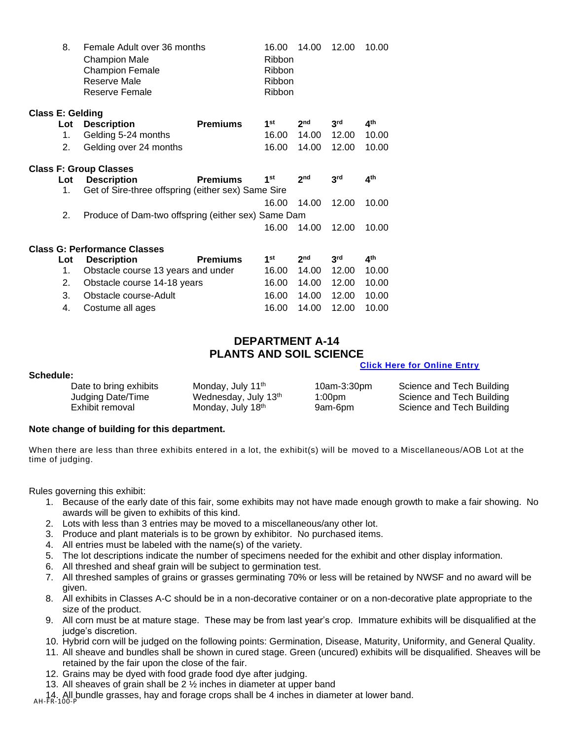|                         | 8.        | Female Adult over 36 months<br>Champion Male<br><b>Champion Female</b><br>Reserve Male<br>Reserve Female |                 | 16.00<br><b>Ribbon</b><br><b>Ribbon</b><br><b>Ribbon</b><br><b>Ribbon</b> | 14.00           | 12.00           | 10.00           |
|-------------------------|-----------|----------------------------------------------------------------------------------------------------------|-----------------|---------------------------------------------------------------------------|-----------------|-----------------|-----------------|
| <b>Class E: Gelding</b> |           |                                                                                                          |                 |                                                                           |                 |                 |                 |
|                         | Lot       | <b>Description</b>                                                                                       | <b>Premiums</b> | 1 <sup>st</sup>                                                           | 2 <sub>nd</sub> | 3 <sup>rd</sup> | 4 <sup>th</sup> |
|                         | 1.        | Gelding 5-24 months                                                                                      |                 | 16.00                                                                     | 14.00           | 12.00           | 10.00           |
|                         | 2.        | Gelding over 24 months                                                                                   |                 | 16.00                                                                     | 14.00           | 12.00           | 10.00           |
|                         |           | <b>Class F: Group Classes</b>                                                                            |                 |                                                                           |                 |                 |                 |
|                         | Lot<br>1. | <b>Description</b><br>Get of Sire-three offspring (either sex) Same Sire                                 | <b>Premiums</b> | 1 <sup>st</sup>                                                           | 2 <sub>nd</sub> | 3 <sup>rd</sup> | ⊿ <sup>th</sup> |
|                         |           |                                                                                                          |                 | 16.00                                                                     | 14.00           | 12.00           | 10.00           |
|                         | 2.        | Produce of Dam-two offspring (either sex) Same Dam                                                       |                 |                                                                           |                 |                 |                 |
|                         |           |                                                                                                          |                 | 16.00                                                                     | 14.00           | 12.00           | 10.00           |
|                         |           | <b>Class G: Performance Classes</b>                                                                      |                 |                                                                           |                 |                 |                 |
|                         | Lot       | <b>Description</b>                                                                                       | <b>Premiums</b> | 1 <sup>st</sup>                                                           | 2 <sub>nd</sub> | 3 <sup>rd</sup> | 4 <sup>th</sup> |
|                         | 1.        | Obstacle course 13 years and under                                                                       |                 | 16.00                                                                     | 14.00           | 12.00           | 10.00           |
|                         | 2.        | Obstacle course 14-18 years                                                                              |                 | 16.00                                                                     | 14.00           | 12.00           | 10.00           |
|                         | 3.        | Obstacle course-Adult                                                                                    |                 | 16.00                                                                     | 14.00           | 12.00           | 10.00           |
|                         | 4.        | Costume all ages                                                                                         |                 | 16.00                                                                     | 14.00           | 12.00           | 10.00           |

### **DEPARTMENT A-14 PLANTS AND SOIL SCIENCE**

### **[Click Here for Online Entry](https://www.blueribbonfair.com/BRFairProd/BlueRibbonStart.aspx?ID=1949)**

| Schedule:              |                               |             |                           |
|------------------------|-------------------------------|-------------|---------------------------|
| Date to bring exhibits | Monday, July 11 <sup>th</sup> | 10am-3:30pm | Science and Tech Building |
| Judging Date/Time      | Wednesday, July 13th          | 1:00pm      | Science and Tech Building |
| Exhibit removal        | Monday, July 18th             | 9am-6pm     | Science and Tech Building |

### **Note change of building for this department.**

When there are less than three exhibits entered in a lot, the exhibit(s) will be moved to a Miscellaneous/AOB Lot at the time of judging.

Rules governing this exhibit:

- 1. Because of the early date of this fair, some exhibits may not have made enough growth to make a fair showing. No awards will be given to exhibits of this kind.
- 2. Lots with less than 3 entries may be moved to a miscellaneous/any other lot.
- 3. Produce and plant materials is to be grown by exhibitor. No purchased items.
- 4. All entries must be labeled with the name(s) of the variety.
- 5. The lot descriptions indicate the number of specimens needed for the exhibit and other display information.
- 6. All threshed and sheaf grain will be subject to germination test.
- 7. All threshed samples of grains or grasses germinating 70% or less will be retained by NWSF and no award will be given.
- 8. All exhibits in Classes A-C should be in a non-decorative container or on a non-decorative plate appropriate to the size of the product.
- 9. All corn must be at mature stage. These may be from last year's crop. Immature exhibits will be disqualified at the judge's discretion.
- 10. Hybrid corn will be judged on the following points: Germination, Disease, Maturity, Uniformity, and General Quality.
- 11. All sheave and bundles shall be shown in cured stage. Green (uncured) exhibits will be disqualified. Sheaves will be retained by the fair upon the close of the fair.
- 12. Grains may be dyed with food grade food dye after judging.
- 13. All sheaves of grain shall be 2 ½ inches in diameter at upper band

14. All bundle grasses, hay and forage crops shall be 4 inches in diameter at lower band.<br>AH-FR-100-P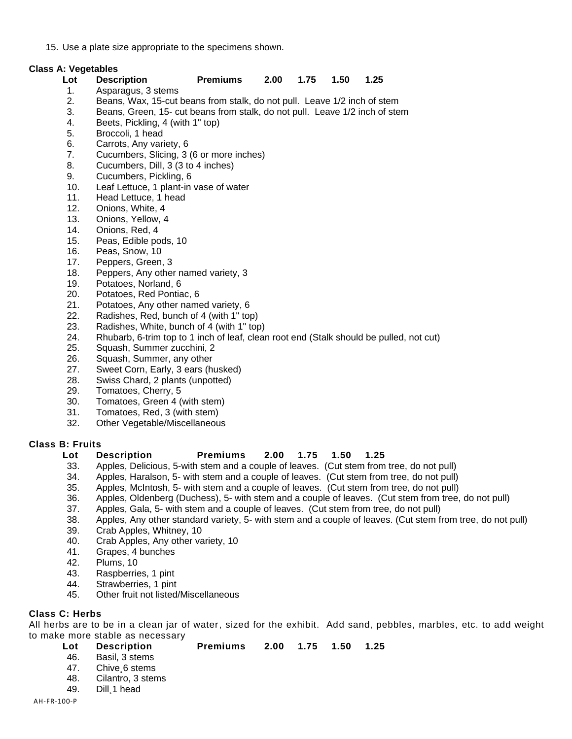15. Use a plate size appropriate to the specimens shown.

### **Class A: Vegetables**

### **Lot Description Premiums 2.00 1.75 1.50 1.25** 1. Asparagus, 3 stems

- 2. Beans, Wax, 15-cut beans from stalk, do not pull. Leave 1/2 inch of stem
- 3. Beans, Green, 15- cut beans from stalk, do not pull. Leave 1/2 inch of stem
- 4. Beets, Pickling, 4 (with 1" top)
- 5. Broccoli, 1 head
- 6. Carrots, Any variety, 6
- 7. Cucumbers, Slicing, 3 (6 or more inches)
- 8. Cucumbers, Dill, 3 (3 to 4 inches)
- 9. Cucumbers, Pickling, 6
- 10. Leaf Lettuce, 1 plant-in vase of water
- 11. Head Lettuce, 1 head
- 12. Onions, White, 4
- 13. Onions, Yellow, 4
- 14. Onions, Red, 4
- 15. Peas, Edible pods, 10
- 16. Peas, Snow, 10
- 17. Peppers, Green, 3
- 18. Peppers, Any other named variety, 3
- 19. Potatoes, Norland, 6
- 20. Potatoes, Red Pontiac, 6
- 21. Potatoes, Any other named variety, 6
- 22. Radishes, Red, bunch of 4 (with 1" top)
- 23. Radishes, White, bunch of 4 (with 1" top)
- 24. Rhubarb, 6-trim top to 1 inch of leaf, clean root end (Stalk should be pulled, not cut)
- 25. Squash, Summer zucchini, 2
- 26. Squash, Summer, any other
- 27. Sweet Corn, Early, 3 ears (husked)
- 28. Swiss Chard, 2 plants (unpotted)
- 29. Tomatoes, Cherry, 5
- 30. Tomatoes, Green 4 (with stem)
- 31. Tomatoes, Red, 3 (with stem)
- 32. Other Vegetable/Miscellaneous

### **Class B: Fruits**

### **Lot Description Premiums 2.00 1.75 1.50 1.25**

- 33. Apples, Delicious, 5-with stem and a couple of leaves. (Cut stem from tree, do not pull)
- 34. Apples, Haralson, 5- with stem and a couple of leaves. (Cut stem from tree, do not pull)
- 35. Apples, McIntosh, 5- with stem and a couple of leaves. (Cut stem from tree, do not pull)
- 36. Apples, Oldenberg (Duchess), 5- with stem and a couple of leaves. (Cut stem from tree, do not pull)
- 37. Apples, Gala, 5- with stem and a couple of leaves. (Cut stem from tree, do not pull)
- 38. Apples, Any other standard variety, 5- with stem and a couple of leaves. (Cut stem from tree, do not pull)
- 39. Crab Apples, Whitney, 10
- 40. Crab Apples, Any other variety, 10
- 41. Grapes, 4 bunches
- 42. Plums, 10
- 43. Raspberries, 1 pint
- 44. Strawberries, 1 pint
- 45. Other fruit not listed/Miscellaneous

### **Class C: Herbs**

All herbs are to be in a clean jar of water, sized for the exhibit. Add sand, pebbles, marbles, etc. to add weight to make more stable as necessary

**Lot Description Premiums 2.00 1.75 1.50 1.25** 46. Basil, 3 stems 47. Chive¸6 stems 48. Cilantro, 3 stems 49. Dill¸1 head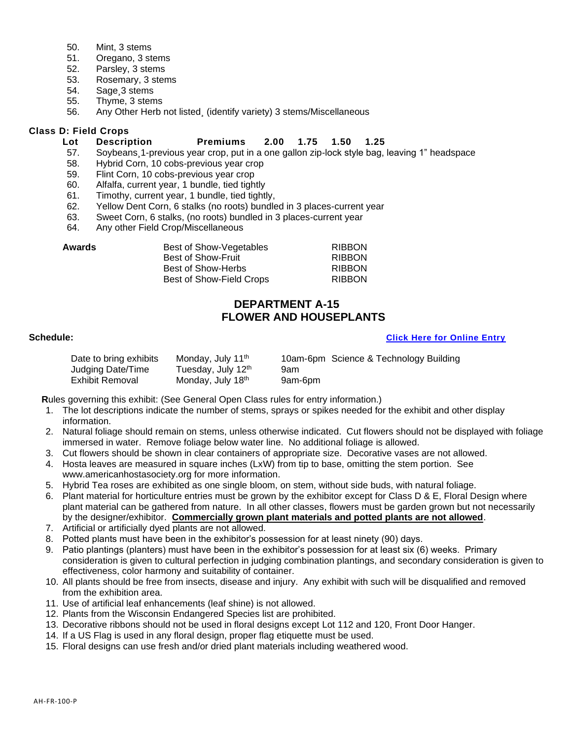- 50. Mint, 3 stems
- 51. Oregano, 3 stems
- 52. Parsley, 3 stems
- 53. Rosemary, 3 stems
- 54. Sage¸3 stems
- 55. Thyme, 3 stems
- 56. Any Other Herb not listed¸ (identify variety) 3 stems/Miscellaneous

### **Class D: Field Crops**

### **Lot Description Premiums 2.00 1.75 1.50 1.25**

- 57. Soybeans¸1-previous year crop, put in a one gallon zip-lock style bag, leaving 1" headspace
- 58. Hybrid Corn, 10 cobs-previous year crop
- 59. Flint Corn, 10 cobs-previous year crop
- 60. Alfalfa, current year, 1 bundle, tied tightly
- 61. Timothy, current year, 1 bundle, tied tightly,
- 62. Yellow Dent Corn, 6 stalks (no roots) bundled in 3 places-current year
- 63. Sweet Corn, 6 stalks, (no roots) bundled in 3 places-current year
- 64. Any other Field Crop/Miscellaneous

| Best of Show-Vegetables   | <b>RIBBON</b> |
|---------------------------|---------------|
| <b>Best of Show-Fruit</b> | <b>RIBBON</b> |
| Best of Show-Herbs        | <b>RIBBON</b> |
| Best of Show-Field Crops  | <b>RIBBON</b> |
|                           |               |

### **DEPARTMENT A-15 FLOWER AND HOUSEPLANTS**

### **Schedule: [Click Here for Online Entry](https://www.blueribbonfair.com/BRFairProd/BlueRibbonStart.aspx?ID=1949)**

| Date to bring exhibits | Monday, July 11 <sup>th</sup> |         | 10am-6pm Science & Technology Building |
|------------------------|-------------------------------|---------|----------------------------------------|
| Judging Date/Time      | Tuesday, July 12th            | 9am     |                                        |
| Exhibit Removal        | Monday, July 18th             | 9am-6pm |                                        |

**R**ules governing this exhibit: (See General Open Class rules for entry information.)

- 1. The lot descriptions indicate the number of stems, sprays or spikes needed for the exhibit and other display information.
- 2. Natural foliage should remain on stems, unless otherwise indicated. Cut flowers should not be displayed with foliage immersed in water. Remove foliage below water line. No additional foliage is allowed.
- 3. Cut flowers should be shown in clear containers of appropriate size. Decorative vases are not allowed.
- 4. Hosta leaves are measured in square inches (LxW) from tip to base, omitting the stem portion. See www.americanhostasociety.org for more information.
- 5. Hybrid Tea roses are exhibited as one single bloom, on stem, without side buds, with natural foliage.
- 6. Plant material for horticulture entries must be grown by the exhibitor except for Class D & E, Floral Design where plant material can be gathered from nature. In all other classes, flowers must be garden grown but not necessarily by the designer/exhibitor. **Commercially grown plant materials and potted plants are not allowed**.
- 7. Artificial or artificially dyed plants are not allowed.
- 8. Potted plants must have been in the exhibitor's possession for at least ninety (90) days.
- 9. Patio plantings (planters) must have been in the exhibitor's possession for at least six (6) weeks. Primary consideration is given to cultural perfection in judging combination plantings, and secondary consideration is given to effectiveness, color harmony and suitability of container.
- 10. All plants should be free from insects, disease and injury. Any exhibit with such will be disqualified and removed from the exhibition area.
- 11. Use of artificial leaf enhancements (leaf shine) is not allowed.
- 12. Plants from the Wisconsin Endangered Species list are prohibited.
- 13. Decorative ribbons should not be used in floral designs except Lot 112 and 120, Front Door Hanger.
- 14. If a US Flag is used in any floral design, proper flag etiquette must be used.
- 15. Floral designs can use fresh and/or dried plant materials including weathered wood.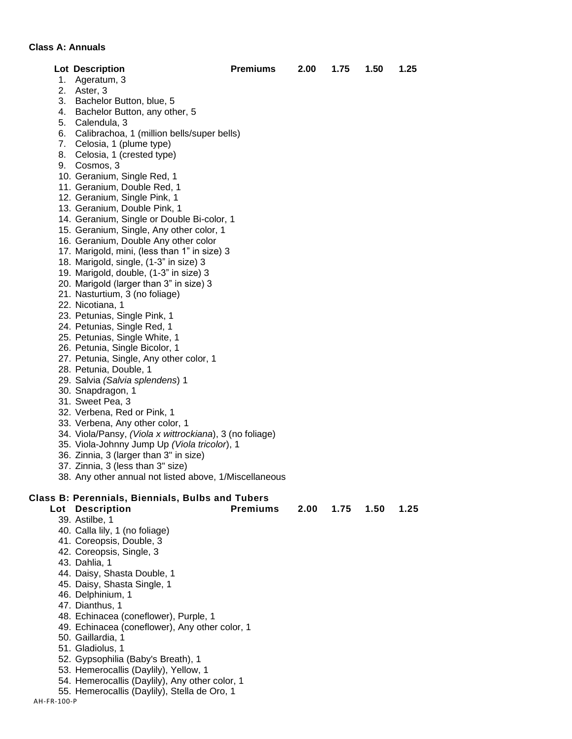### **Class A: Annuals**

|    |                                                         | <b>Premiums</b> |      |      |      |      |
|----|---------------------------------------------------------|-----------------|------|------|------|------|
|    | <b>Lot Description</b>                                  |                 | 2.00 | 1.75 | 1.50 | 1.25 |
|    | 1. Ageratum, 3                                          |                 |      |      |      |      |
|    | 2. Aster, 3                                             |                 |      |      |      |      |
|    | 3. Bachelor Button, blue, 5                             |                 |      |      |      |      |
| 4. | Bachelor Button, any other, 5                           |                 |      |      |      |      |
|    | 5. Calendula, 3                                         |                 |      |      |      |      |
| 6. | Calibrachoa, 1 (million bells/super bells)              |                 |      |      |      |      |
|    | 7. Celosia, 1 (plume type)                              |                 |      |      |      |      |
| 8. | Celosia, 1 (crested type)                               |                 |      |      |      |      |
|    | 9. Cosmos, 3                                            |                 |      |      |      |      |
|    | 10. Geranium, Single Red, 1                             |                 |      |      |      |      |
|    | 11. Geranium, Double Red, 1                             |                 |      |      |      |      |
|    | 12. Geranium, Single Pink, 1                            |                 |      |      |      |      |
|    | 13. Geranium, Double Pink, 1                            |                 |      |      |      |      |
|    | 14. Geranium, Single or Double Bi-color, 1              |                 |      |      |      |      |
|    | 15. Geranium, Single, Any other color, 1                |                 |      |      |      |      |
|    | 16. Geranium, Double Any other color                    |                 |      |      |      |      |
|    | 17. Marigold, mini, (less than 1" in size) 3            |                 |      |      |      |      |
|    | 18. Marigold, single, (1-3" in size) 3                  |                 |      |      |      |      |
|    | 19. Marigold, double, (1-3" in size) 3                  |                 |      |      |      |      |
|    | 20. Marigold (larger than 3" in size) 3                 |                 |      |      |      |      |
|    | 21. Nasturtium, 3 (no foliage)                          |                 |      |      |      |      |
|    | 22. Nicotiana, 1                                        |                 |      |      |      |      |
|    | 23. Petunias, Single Pink, 1                            |                 |      |      |      |      |
|    | 24. Petunias, Single Red, 1                             |                 |      |      |      |      |
|    | 25. Petunias, Single White, 1                           |                 |      |      |      |      |
|    | 26. Petunia, Single Bicolor, 1                          |                 |      |      |      |      |
|    | 27. Petunia, Single, Any other color, 1                 |                 |      |      |      |      |
|    | 28. Petunia, Double, 1                                  |                 |      |      |      |      |
|    | 29. Salvia (Salvia splendens) 1                         |                 |      |      |      |      |
|    | 30. Snapdragon, 1                                       |                 |      |      |      |      |
|    | 31. Sweet Pea, 3                                        |                 |      |      |      |      |
|    | 32. Verbena, Red or Pink, 1                             |                 |      |      |      |      |
|    | 33. Verbena, Any other color, 1                         |                 |      |      |      |      |
|    | 34. Viola/Pansy, (Viola x wittrockiana), 3 (no foliage) |                 |      |      |      |      |
|    |                                                         |                 |      |      |      |      |
|    | 35. Viola-Johnny Jump Up (Viola tricolor), 1            |                 |      |      |      |      |
|    | 36. Zinnia, 3 (larger than 3" in size)                  |                 |      |      |      |      |
|    | 37. Zinnia, 3 (less than 3" size)                       |                 |      |      |      |      |
|    | 38. Any other annual not listed above, 1/Miscellaneous  |                 |      |      |      |      |
|    | Class B: Perennials, Biennials, Bulbs and Tubers        |                 |      |      |      |      |
|    | Lot Description                                         | <b>Premiums</b> | 2.00 | 1.75 | 1.50 | 1.25 |
|    | 39. Astilbe, 1                                          |                 |      |      |      |      |
|    | 40. Calla lily, 1 (no foliage)                          |                 |      |      |      |      |
|    | 41. Coreopsis, Double, 3                                |                 |      |      |      |      |
|    | 42. Coreopsis, Single, 3                                |                 |      |      |      |      |
|    | 43. Dahlia, 1                                           |                 |      |      |      |      |
|    |                                                         |                 |      |      |      |      |
|    | 44. Daisy, Shasta Double, 1                             |                 |      |      |      |      |
|    | 45. Daisy, Shasta Single, 1                             |                 |      |      |      |      |
|    | 46. Delphinium, 1                                       |                 |      |      |      |      |
|    | 47. Dianthus, 1                                         |                 |      |      |      |      |
|    | 48. Echinacea (coneflower), Purple, 1                   |                 |      |      |      |      |
|    | 49. Echinacea (coneflower), Any other color, 1          |                 |      |      |      |      |
|    | 50. Gaillardia, 1                                       |                 |      |      |      |      |
|    | 51. Gladiolus, 1                                        |                 |      |      |      |      |
|    | 52. Gypsophilia (Baby's Breath), 1                      |                 |      |      |      |      |
|    | 53. Hemerocallis (Daylily), Yellow, 1                   |                 |      |      |      |      |
|    | 54. Hemerocallis (Daylily), Any other color, 1          |                 |      |      |      |      |
|    | 55. Hemerocallis (Daylily), Stella de Oro, 1            |                 |      |      |      |      |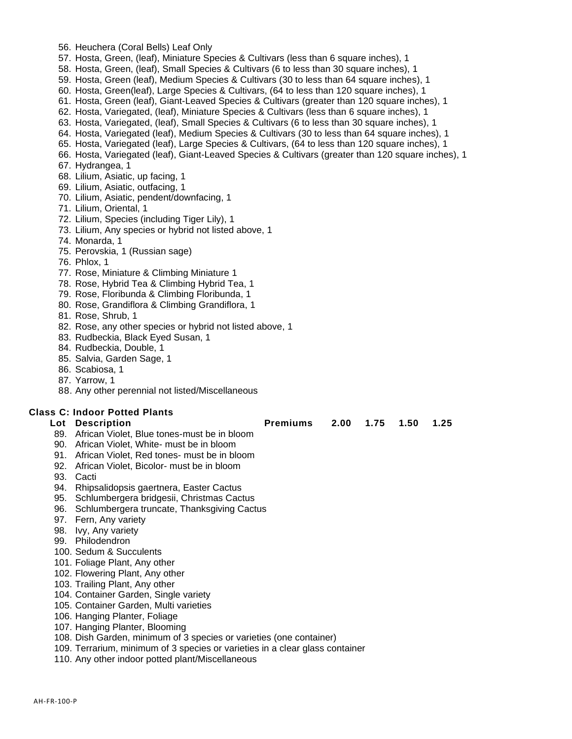- 56. Heuchera (Coral Bells) Leaf Only
- 57. Hosta, Green, (leaf), Miniature Species & Cultivars (less than 6 square inches), 1
- 58. Hosta, Green, (leaf), Small Species & Cultivars (6 to less than 30 square inches), 1
- 59. Hosta, Green (leaf), Medium Species & Cultivars (30 to less than 64 square inches), 1
- 60. Hosta, Green(leaf), Large Species & Cultivars, (64 to less than 120 square inches), 1
- 61. Hosta, Green (leaf), Giant-Leaved Species & Cultivars (greater than 120 square inches), 1
- 62. Hosta, Variegated, (leaf), Miniature Species & Cultivars (less than 6 square inches), 1
- 63. Hosta, Variegated, (leaf), Small Species & Cultivars (6 to less than 30 square inches), 1
- 64. Hosta, Variegated (leaf), Medium Species & Cultivars (30 to less than 64 square inches), 1
- 65. Hosta, Variegated (leaf), Large Species & Cultivars, (64 to less than 120 square inches), 1
- 66. Hosta, Variegated (leaf), Giant-Leaved Species & Cultivars (greater than 120 square inches), 1
- 67. Hydrangea, 1
- 68. Lilium, Asiatic, up facing, 1
- 69. Lilium, Asiatic, outfacing, 1
- 70. Lilium, Asiatic, pendent/downfacing, 1
- 71. Lilium, Oriental, 1
- 72. Lilium, Species (including Tiger Lily), 1
- 73. Lilium, Any species or hybrid not listed above, 1
- 74. Monarda, 1
- 75. Perovskia, 1 (Russian sage)
- 76. Phlox, 1
- 77. Rose, Miniature & Climbing Miniature 1
- 78. Rose, Hybrid Tea & Climbing Hybrid Tea, 1
- 79. Rose, Floribunda & Climbing Floribunda, 1
- 80. Rose, Grandiflora & Climbing Grandiflora, 1
- 81. Rose, Shrub, 1
- 82. Rose, any other species or hybrid not listed above, 1
- 83. Rudbeckia, Black Eyed Susan, 1
- 84. Rudbeckia, Double, 1
- 85. Salvia, Garden Sage, 1
- 86. Scabiosa, 1
- 87. Yarrow, 1
- 88. Any other perennial not listed/Miscellaneous

### **Class C: Indoor Potted Plants**

| Lot Description                                 | Premiums 2.00 1.75 1.50 1.25 |  |  |
|-------------------------------------------------|------------------------------|--|--|
| 89. African Violet, Blue tones-must be in bloom |                              |  |  |

- 90. African Violet, White- must be in bloom
- 91. African Violet, Red tones- must be in bloom
- 92. African Violet, Bicolor- must be in bloom
- 93. Cacti
- 94. Rhipsalidopsis gaertnera, Easter Cactus
- 95. Schlumbergera bridgesii, Christmas Cactus
- 96. Schlumbergera truncate, Thanksgiving Cactus
- 97. Fern, Any variety
- 98. Ivy, Any variety
- 99. Philodendron
- 100. Sedum & Succulents
- 101. Foliage Plant, Any other
- 102. Flowering Plant, Any other
- 103. Trailing Plant, Any other
- 104. Container Garden, Single variety
- 105. Container Garden, Multi varieties
- 106. Hanging Planter, Foliage
- 107. Hanging Planter, Blooming
- 108. Dish Garden, minimum of 3 species or varieties (one container)
- 109. Terrarium, minimum of 3 species or varieties in a clear glass container
- 110. Any other indoor potted plant/Miscellaneous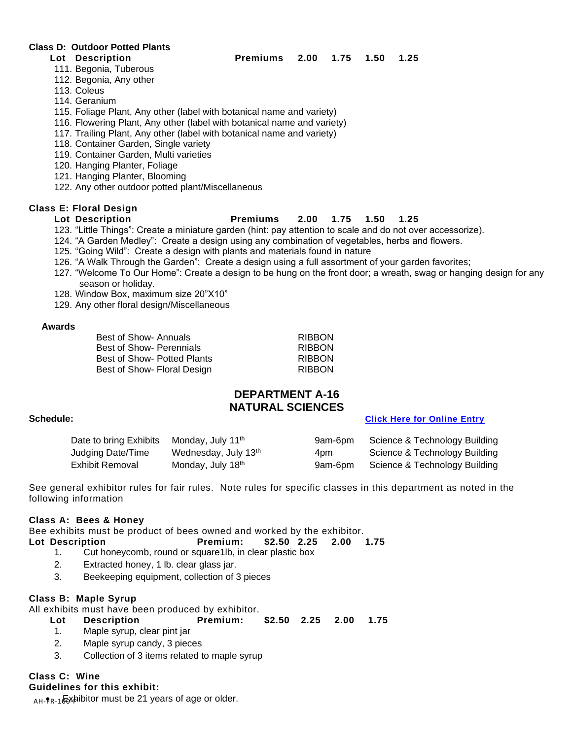### **Class D: Outdoor Potted Plants**

### **Lot Description Premiums 2.00 1.75 1.50 1.25**

- 111. Begonia, Tuberous
- 112. Begonia, Any other
- 113. Coleus
- 114. Geranium
- 115. Foliage Plant, Any other (label with botanical name and variety)
- 116. Flowering Plant, Any other (label with botanical name and variety)
- 117. Trailing Plant, Any other (label with botanical name and variety)
- 118. Container Garden, Single variety
- 119. Container Garden, Multi varieties
- 120. Hanging Planter, Foliage
- 121. Hanging Planter, Blooming
- 122. Any other outdoor potted plant/Miscellaneous

### **Class E: Floral Design**

### **Lot Description Premiums 2.00 1.75 1.50 1.25**

- 123. "Little Things": Create a miniature garden (hint: pay attention to scale and do not over accessorize).
- 124. "A Garden Medley": Create a design using any combination of vegetables, herbs and flowers.
- 125. "Going Wild": Create a design with plants and materials found in nature
- 126. "A Walk Through the Garden": Create a design using a full assortment of your garden favorites;
- 127. "Welcome To Our Home": Create a design to be hung on the front door; a wreath, swag or hanging design for any season or holiday.
- 128. Window Box, maximum size 20"X10"
- 129. Any other floral design/Miscellaneous

### **Awards**

Best of Show-Annuals **RIBBON** Best of Show- Perennials **RIBBON** Best of Show- Potted Plants **RIBBON** Best of Show- Floral Design **RIBBON** 

### **DEPARTMENT A-16 NATURAL SCIENCES**

### **Schedule: [Click Here for Online Entry](https://www.blueribbonfair.com/BRFairProd/BlueRibbonStart.aspx?ID=1949)**

| Date to bring Exhibits | Monday, July 11 <sup>th</sup> | 9am-6pm | Science & Technology Building |
|------------------------|-------------------------------|---------|-------------------------------|
| Judging Date/Time      | Wednesday, July 13th          | 4pm     | Science & Technology Building |
| Exhibit Removal        | Monday, July 18th             | 9am-6pm | Science & Technology Building |

See general exhibitor rules for fair rules. Note rules for specific classes in this department as noted in the following information

### **Class A: Bees & Honey**

Bee exhibits must be product of bees owned and worked by the exhibitor.

- **Lot Description Premium: \$2.50 2.25 2.00 1.75**
	- 1. Cut honeycomb, round or square1lb, in clear plastic box
	- 2. Extracted honey, 1 lb. clear glass jar.
	- 3. Beekeeping equipment, collection of 3 pieces

### **Class B: Maple Syrup**

All exhibits must have been produced by exhibitor.

- **Lot Description Premium: \$2.50 2.25 2.00 1.75**
- 1. Maple syrup, clear pint jar
- 2. Maple syrup candy, 3 pieces
- 3. Collection of 3 items related to maple syrup

# **Class C: Wine**

**Guidelines for this exhibit:** 

<sub>AH-</sub><sub>FR-1</sub>&xhibitor must be 21 years of age or older.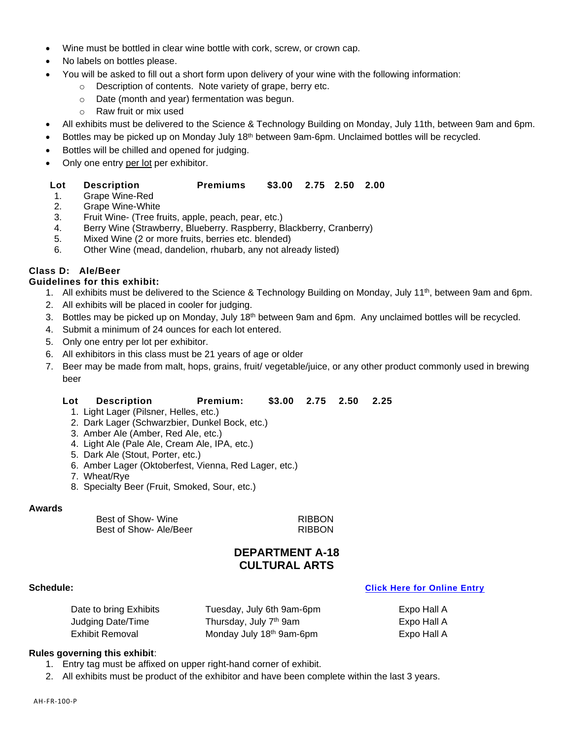- Wine must be bottled in clear wine bottle with cork, screw, or crown cap.
- No labels on bottles please.
- You will be asked to fill out a short form upon delivery of your wine with the following information:
	- o Description of contents. Note variety of grape, berry etc.
	- o Date (month and year) fermentation was begun.
	- o Raw fruit or mix used
- All exhibits must be delivered to the Science & Technology Building on Monday, July 11th, between 9am and 6pm.
- Bottles may be picked up on Monday July 18<sup>th</sup> between 9am-6pm. Unclaimed bottles will be recycled.
- Bottles will be chilled and opened for judging.
- Only one entry per lot per exhibitor.

### **Lot Description Premiums \$3.00 2.75 2.50 2.00**

- 1. Grape Wine-Red
- 2. Grape Wine-White
- 3. Fruit Wine- (Tree fruits, apple, peach, pear, etc.)
- 4. Berry Wine (Strawberry, Blueberry. Raspberry, Blackberry, Cranberry)
- 5. Mixed Wine (2 or more fruits, berries etc. blended)
- 6. Other Wine (mead, dandelion, rhubarb, any not already listed)

### **Class D: Ale/Beer**

### **Guidelines for this exhibit:**

- 1. All exhibits must be delivered to the Science & Technology Building on Monday, July 11<sup>th</sup>, between 9am and 6pm.
- 2. All exhibits will be placed in cooler for judging.
- 3. Bottles may be picked up on Monday, July 18<sup>th</sup> between 9am and 6pm. Any unclaimed bottles will be recycled.
- 4. Submit a minimum of 24 ounces for each lot entered.
- 5. Only one entry per lot per exhibitor.
- 6. All exhibitors in this class must be 21 years of age or older
- 7. Beer may be made from malt, hops, grains, fruit/ vegetable/juice, or any other product commonly used in brewing beer

### **Lot Description Premium: \$3.00 2.75 2.50 2.25**

- 1. Light Lager (Pilsner, Helles, etc.)
- 2. Dark Lager (Schwarzbier, Dunkel Bock, etc.)
- 3. Amber Ale (Amber, Red Ale, etc.)
- 4. Light Ale (Pale Ale, Cream Ale, IPA, etc.)
- 5. Dark Ale (Stout, Porter, etc.)
- 6. Amber Lager (Oktoberfest, Vienna, Red Lager, etc.)
- 7. Wheat/Rye
- 8. Specialty Beer (Fruit, Smoked, Sour, etc.)

### **Awards**

Best of Show- Wine **RIBBON** Best of Show- Ale/Beer RIBBON

### **DEPARTMENT A-18 CULTURAL ARTS**

### **Schedule: [Click Here for Online Entry](https://www.blueribbonfair.com/BRFairProd/BlueRibbonStart.aspx?ID=1949)**

Date to bring Exhibits Tuesday, July 6th 9am-6pm Expo Hall A Judging Date/Time Thursday, July 7th 9am Expo Hall A Exhibit Removal Monday July 18 th 9am-6pm Expo Hall A

### **Rules governing this exhibit**:

- 1. Entry tag must be affixed on upper right-hand corner of exhibit.
- 2. All exhibits must be product of the exhibitor and have been complete within the last 3 years.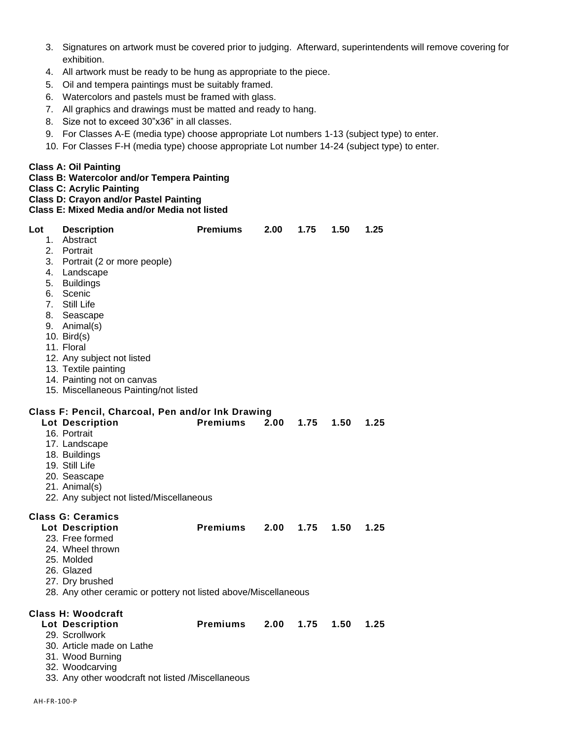- 3. Signatures on artwork must be covered prior to judging. Afterward, superintendents will remove covering for exhibition.
- 4. All artwork must be ready to be hung as appropriate to the piece.
- 5. Oil and tempera paintings must be suitably framed.
- 6. Watercolors and pastels must be framed with glass.
- 7. All graphics and drawings must be matted and ready to hang.
- 8. Size not to exceed 30"x36" in all classes.
- 9. For Classes A-E (media type) choose appropriate Lot numbers 1-13 (subject type) to enter.
- 10. For Classes F-H (media type) choose appropriate Lot number 14-24 (subject type) to enter.

### **Class A: Oil Painting**

**Class B: Watercolor and/or Tempera Painting**

**Class C: Acrylic Painting**

**Class D: Crayon and/or Pastel Painting Class E: Mixed Media and/or Media not listed**

| Lot | <b>Description</b>                                              | <b>Premiums</b> | 2.00 | 1.75 | 1.50 | 1.25 |
|-----|-----------------------------------------------------------------|-----------------|------|------|------|------|
| 1.  | Abstract                                                        |                 |      |      |      |      |
|     | 2. Portrait                                                     |                 |      |      |      |      |
|     | 3. Portrait (2 or more people)                                  |                 |      |      |      |      |
|     | 4. Landscape                                                    |                 |      |      |      |      |
|     | 5. Buildings                                                    |                 |      |      |      |      |
|     | 6. Scenic                                                       |                 |      |      |      |      |
|     | 7. Still Life                                                   |                 |      |      |      |      |
|     | 8. Seascape                                                     |                 |      |      |      |      |
|     | 9. Animal(s)                                                    |                 |      |      |      |      |
|     | 10. Bird $(s)$                                                  |                 |      |      |      |      |
|     | 11. Floral                                                      |                 |      |      |      |      |
|     | 12. Any subject not listed                                      |                 |      |      |      |      |
|     | 13. Textile painting                                            |                 |      |      |      |      |
|     | 14. Painting not on canvas                                      |                 |      |      |      |      |
|     | 15. Miscellaneous Painting/not listed                           |                 |      |      |      |      |
|     | Class F: Pencil, Charcoal, Pen and/or Ink Drawing               |                 |      |      |      |      |
|     | <b>Lot Description</b>                                          | <b>Premiums</b> | 2.00 | 1.75 | 1.50 | 1.25 |
|     | 16. Portrait                                                    |                 |      |      |      |      |
|     | 17. Landscape                                                   |                 |      |      |      |      |
|     | 18. Buildings                                                   |                 |      |      |      |      |
|     | 19. Still Life                                                  |                 |      |      |      |      |
|     | 20. Seascape                                                    |                 |      |      |      |      |
|     | 21. Animal(s)                                                   |                 |      |      |      |      |
|     | 22. Any subject not listed/Miscellaneous                        |                 |      |      |      |      |
|     | <b>Class G: Ceramics</b>                                        |                 |      |      |      |      |
|     | <b>Lot Description</b>                                          | <b>Premiums</b> | 2.00 | 1.75 | 1.50 | 1.25 |
|     | 23. Free formed                                                 |                 |      |      |      |      |
|     | 24. Wheel thrown                                                |                 |      |      |      |      |
|     | 25. Molded                                                      |                 |      |      |      |      |
|     | 26. Glazed                                                      |                 |      |      |      |      |
|     | 27. Dry brushed                                                 |                 |      |      |      |      |
|     | 28. Any other ceramic or pottery not listed above/Miscellaneous |                 |      |      |      |      |
|     |                                                                 |                 |      |      |      |      |
|     | Class H: Woodcraft                                              |                 |      |      |      |      |
|     | <b>Lot Description</b>                                          | <b>Premiums</b> | 2.00 | 1.75 | 1.50 | 1.25 |
|     | 29. Scrollwork                                                  |                 |      |      |      |      |
|     | 30. Article made on Lathe                                       |                 |      |      |      |      |
|     | 31. Wood Burning                                                |                 |      |      |      |      |
|     | 32. Woodcarving                                                 |                 |      |      |      |      |
|     | 33. Any other woodcraft not listed /Miscellaneous               |                 |      |      |      |      |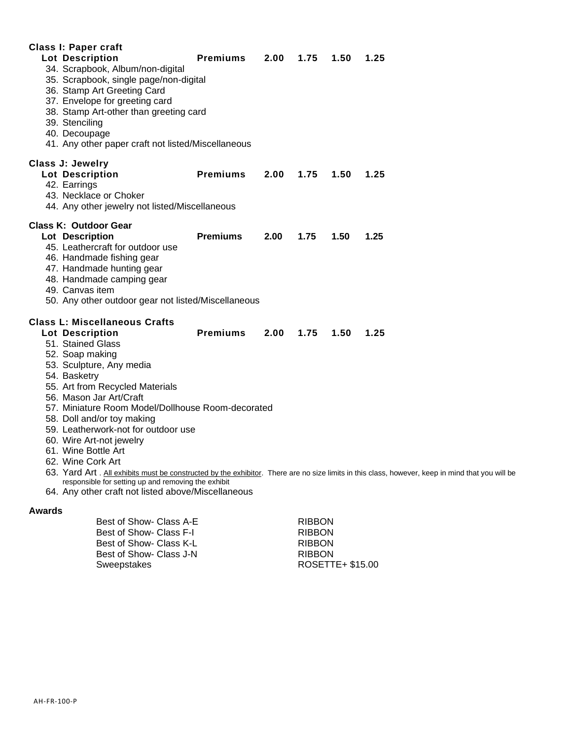| Class I: Paper craft                                                                                                                                                                                                                                                                                                                                                                                                                                                                                                            |                 |      |      |      |                                                                                                                                                          |
|---------------------------------------------------------------------------------------------------------------------------------------------------------------------------------------------------------------------------------------------------------------------------------------------------------------------------------------------------------------------------------------------------------------------------------------------------------------------------------------------------------------------------------|-----------------|------|------|------|----------------------------------------------------------------------------------------------------------------------------------------------------------|
| <b>Lot Description</b><br>34. Scrapbook, Album/non-digital<br>35. Scrapbook, single page/non-digital<br>36. Stamp Art Greeting Card<br>37. Envelope for greeting card<br>38. Stamp Art-other than greeting card<br>39. Stenciling<br>40. Decoupage<br>41. Any other paper craft not listed/Miscellaneous                                                                                                                                                                                                                        | <b>Premiums</b> | 2.00 | 1.75 | 1.50 | 1.25                                                                                                                                                     |
| <b>Class J: Jewelry</b><br><b>Lot Description</b><br>42. Earrings<br>43. Necklace or Choker<br>44. Any other jewelry not listed/Miscellaneous                                                                                                                                                                                                                                                                                                                                                                                   | <b>Premiums</b> | 2.00 | 1.75 | 1.50 | 1.25                                                                                                                                                     |
| <b>Class K: Outdoor Gear</b><br>Lot Description<br>45. Leathercraft for outdoor use<br>46. Handmade fishing gear<br>47. Handmade hunting gear<br>48. Handmade camping gear<br>49. Canvas item<br>50. Any other outdoor gear not listed/Miscellaneous                                                                                                                                                                                                                                                                            | <b>Premiums</b> | 2.00 | 1.75 | 1.50 | 1.25                                                                                                                                                     |
| <b>Class L: Miscellaneous Crafts</b><br><b>Lot Description</b><br>51. Stained Glass<br>52. Soap making<br>53. Sculpture, Any media<br>54. Basketry<br>55. Art from Recycled Materials<br>56. Mason Jar Art/Craft<br>57. Miniature Room Model/Dollhouse Room-decorated<br>58. Doll and/or toy making<br>59. Leatherwork-not for outdoor use<br>60. Wire Art-not jewelry<br>61. Wine Bottle Art<br>62. Wine Cork Art<br>responsible for setting up and removing the exhibit<br>64. Any other craft not listed above/Miscellaneous | <b>Premiums</b> | 2.00 | 1.75 | 1.50 | 1.25<br>63. Yard Art . All exhibits must be constructed by the exhibitor. There are no size limits in this class, however, keep in mind that you will be |

### **Awards**

| Best of Show- Class A-E | <b>RIBBON</b>    |
|-------------------------|------------------|
| Best of Show- Class F-I | <b>RIBBON</b>    |
| Best of Show- Class K-L | <b>RIBBON</b>    |
| Best of Show- Class J-N | <b>RIBBON</b>    |
| Sweepstakes             | ROSETTE+ \$15.00 |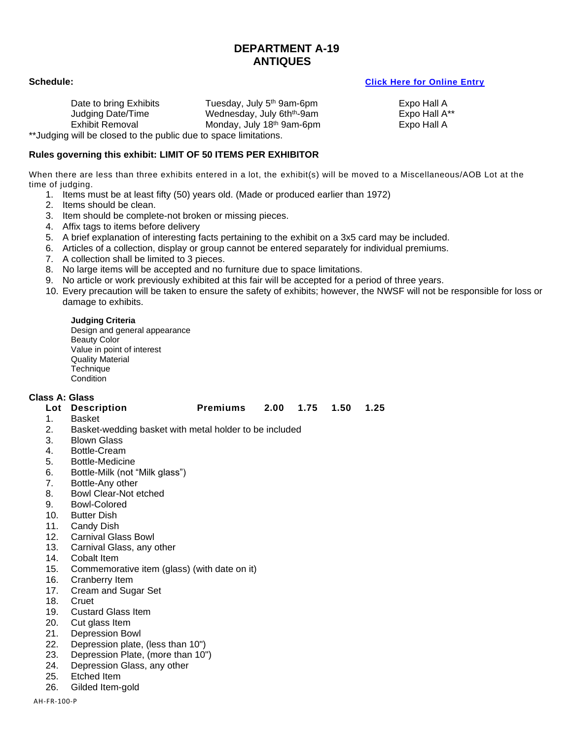### **DEPARTMENT A-19 ANTIQUES**

Date to bring Exhibits Tuesday, July 5<sup>th</sup> 9am-6pm Judging Date/Time **Wednesday, July 6th<sup>th</sup>-9am** Expo Hall A<sup>\*\*</sup><br>Exhibit Removal **Monday, July 18<sup>th</sup> 9am-6pm** Expo Hall A Exhibit Removal \*\*Judging will be closed to the public due to space limitations.

### **Schedule: [Click Here for Online Entry](https://www.blueribbonfair.com/BRFairProd/BlueRibbonStart.aspx?ID=1949)**

Expo Hall A Expo Hall A

### **Rules governing this exhibit: LIMIT OF 50 ITEMS PER EXHIBITOR**

When there are less than three exhibits entered in a lot, the exhibit(s) will be moved to a Miscellaneous/AOB Lot at the time of judging.

- 1. Items must be at least fifty (50) years old. (Made or produced earlier than 1972)
- 2. Items should be clean.
- 3. Item should be complete-not broken or missing pieces.
- 4. Affix tags to items before delivery
- 5. A brief explanation of interesting facts pertaining to the exhibit on a 3x5 card may be included.
- 6. Articles of a collection, display or group cannot be entered separately for individual premiums.
- 7. A collection shall be limited to 3 pieces.
- 8. No large items will be accepted and no furniture due to space limitations.
- 9. No article or work previously exhibited at this fair will be accepted for a period of three years.
- 10. Every precaution will be taken to ensure the safety of exhibits; however, the NWSF will not be responsible for loss or damage to exhibits.

### **Judging Criteria**

Design and general appearance Beauty Color Value in point of interest Quality Material **Technique** Condition

### **Class A: Glass**

- 1. Basket
- 2. Basket-wedding basket with metal holder to be included
- 3. Blown Glass
- 4. Bottle-Cream
- 5. Bottle-Medicine
- 6. Bottle-Milk (not "Milk glass")
- 7. Bottle-Any other
- 8. Bowl Clear-Not etched
- 9. Bowl-Colored
- 10. Butter Dish
- 11. Candy Dish
- 12. Carnival Glass Bowl
- 13. Carnival Glass, any other
- 14. Cobalt Item
- 15. Commemorative item (glass) (with date on it)
- 16. Cranberry Item
- 17. Cream and Sugar Set
- 18. Cruet<br>19. Custa
- **Custard Glass Item**
- 20. Cut glass Item
- 21. Depression Bowl
- 22. Depression plate, (less than 10")
- 23. Depression Plate, (more than 10")
- 24. Depression Glass, any other
- 25. Etched Item
- 26. Gilded Item-gold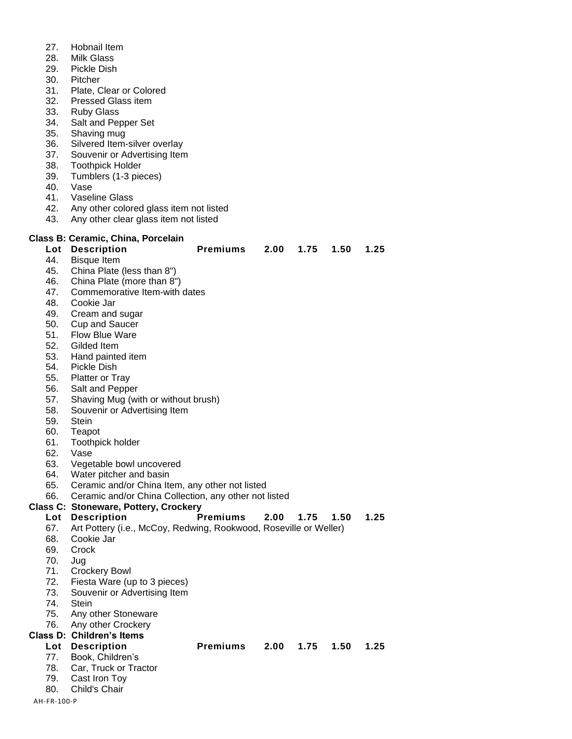- 27. Hobnail Item
- 28. Milk Glass
- 29. Pickle Dish
- 30. Pitcher
- 31. Plate, Clear or Colored
- 32. Pressed Glass item
- 33. Ruby Glass
- 34. Salt and Pepper Set
- 35. Shaving mug
- 36. Silvered Item-silver overlay
- 37. Souvenir or Advertising Item
- 38. Toothpick Holder
- 39. Tumblers (1-3 pieces)
- 40. Vase
- 41. Vaseline Glass
- 42. Any other colored glass item not listed
- 43. Any other clear glass item not listed

### **Class B: Ceramic, China, Porcelain**

# **Lot Description Premiums 2.00 1.75 1.50 1.25**

- 44. Bisque Item
- 45. China Plate (less than 8")
- 46. China Plate (more than 8")
- 47. Commemorative Item-with dates
- 48. Cookie Jar
- 49. Cream and sugar
- 50. Cup and Saucer
- 51. Flow Blue Ware
- 52. Gilded Item
- 53. Hand painted item
- 54. Pickle Dish
- 55. Platter or Tray
- 56. Salt and Pepper
- 57. Shaving Mug (with or without brush)
- 58. Souvenir or Advertising Item
- 59. Stein
- 60. Teapot
- 61. Toothpick holder
- 62. Vase
- 63. Vegetable bowl uncovered
- 64. Water pitcher and basin
- 65. Ceramic and/or China Item, any other not listed
- 66. Ceramic and/or China Collection, any other not listed

### **Class C: Stoneware, Pottery, Crockery**

### **Lot Description Premiums 2.00 1.75 1.50 1.25** 67. Art Pottery (i.e., McCoy, Redwing, Rookwood, Roseville or Weller) 68. Cookie Jar 69. Crock 70. Jug 71. Crockery Bowl 72. Fiesta Ware (up to 3 pieces) 73. Souvenir or Advertising Item 74. Stein

- 75. Any other Stoneware
- 76. Any other Crockery
- **Class D: Children's Items**

- 
- 77. Book, Children's
- 78. Car, Truck or Tractor 79. Cast Iron Toy
- 80. Child's Chair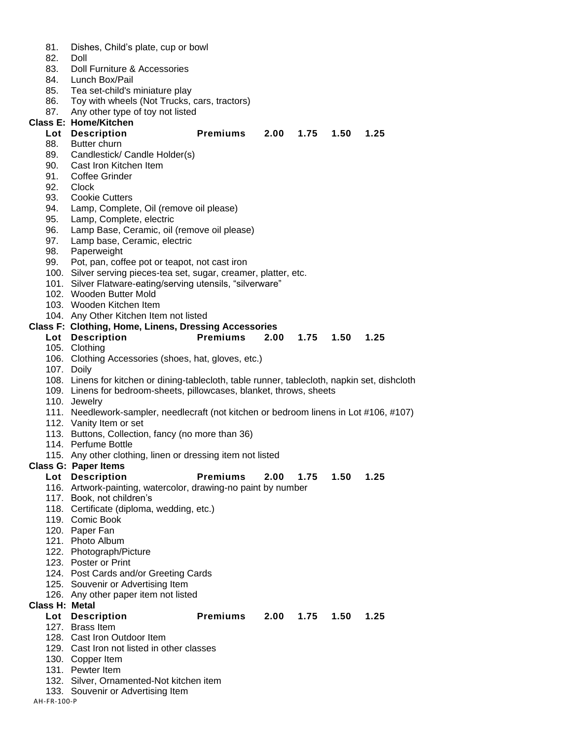| 81.            | Dishes, Child's plate, cup or bowl                                                            |                 |      |               |      |      |  |
|----------------|-----------------------------------------------------------------------------------------------|-----------------|------|---------------|------|------|--|
| 82.            | Doll                                                                                          |                 |      |               |      |      |  |
| 83.            | Doll Furniture & Accessories                                                                  |                 |      |               |      |      |  |
| 84.            | Lunch Box/Pail                                                                                |                 |      |               |      |      |  |
| 85.            | Tea set-child's miniature play                                                                |                 |      |               |      |      |  |
| 86.            | Toy with wheels (Not Trucks, cars, tractors)                                                  |                 |      |               |      |      |  |
| 87.            | Any other type of toy not listed                                                              |                 |      |               |      |      |  |
|                | <b>Class E: Home/Kitchen</b>                                                                  |                 |      |               |      |      |  |
|                | Lot Description                                                                               | <b>Premiums</b> | 2.00 | 1.75          | 1.50 | 1.25 |  |
| 88.            | Butter churn                                                                                  |                 |      |               |      |      |  |
| 89.            | Candlestick/ Candle Holder(s)                                                                 |                 |      |               |      |      |  |
| 90.            | Cast Iron Kitchen Item                                                                        |                 |      |               |      |      |  |
| 91.            | <b>Coffee Grinder</b>                                                                         |                 |      |               |      |      |  |
| 92.            | Clock                                                                                         |                 |      |               |      |      |  |
| 93.            | <b>Cookie Cutters</b>                                                                         |                 |      |               |      |      |  |
| 94.            | Lamp, Complete, Oil (remove oil please)                                                       |                 |      |               |      |      |  |
| 95.            | Lamp, Complete, electric                                                                      |                 |      |               |      |      |  |
| 96.            | Lamp Base, Ceramic, oil (remove oil please)                                                   |                 |      |               |      |      |  |
| 97.            | Lamp base, Ceramic, electric                                                                  |                 |      |               |      |      |  |
| 98.            | Paperweight                                                                                   |                 |      |               |      |      |  |
| 99.            | Pot, pan, coffee pot or teapot, not cast iron                                                 |                 |      |               |      |      |  |
|                |                                                                                               |                 |      |               |      |      |  |
|                | 100. Silver serving pieces-tea set, sugar, creamer, platter, etc.                             |                 |      |               |      |      |  |
|                | 101. Silver Flatware-eating/serving utensils, "silverware"<br>102. Wooden Butter Mold         |                 |      |               |      |      |  |
|                |                                                                                               |                 |      |               |      |      |  |
|                | 103. Wooden Kitchen Item                                                                      |                 |      |               |      |      |  |
|                | 104. Any Other Kitchen Item not listed                                                        |                 |      |               |      |      |  |
|                | <b>Class F: Clothing, Home, Linens, Dressing Accessories</b>                                  |                 |      |               |      |      |  |
|                | Lot Description                                                                               | <b>Premiums</b> | 2.00 | $1.75$ $1.50$ |      | 1.25 |  |
|                | 105. Clothing                                                                                 |                 |      |               |      |      |  |
|                | 106. Clothing Accessories (shoes, hat, gloves, etc.)                                          |                 |      |               |      |      |  |
|                | 107. Doily                                                                                    |                 |      |               |      |      |  |
|                | 108. Linens for kitchen or dining-tablecloth, table runner, tablecloth, napkin set, dishcloth |                 |      |               |      |      |  |
|                | 109. Linens for bedroom-sheets, pillowcases, blanket, throws, sheets                          |                 |      |               |      |      |  |
|                | 110. Jewelry                                                                                  |                 |      |               |      |      |  |
|                | 111. Needlework-sampler, needlecraft (not kitchen or bedroom linens in Lot #106, #107)        |                 |      |               |      |      |  |
|                | 112. Vanity Item or set                                                                       |                 |      |               |      |      |  |
|                | 113. Buttons, Collection, fancy (no more than 36)                                             |                 |      |               |      |      |  |
|                | 114. Perfume Bottle                                                                           |                 |      |               |      |      |  |
|                | 115. Any other clothing, linen or dressing item not listed                                    |                 |      |               |      |      |  |
|                | <b>Class G: Paper Items</b>                                                                   |                 |      |               |      |      |  |
|                | Lot Description                                                                               | <b>Premiums</b> | 2.00 | 1.75          | 1.50 | 1.25 |  |
|                | 116. Artwork-painting, watercolor, drawing-no paint by number                                 |                 |      |               |      |      |  |
|                | 117. Book, not children's                                                                     |                 |      |               |      |      |  |
|                | 118. Certificate (diploma, wedding, etc.)                                                     |                 |      |               |      |      |  |
|                | 119. Comic Book                                                                               |                 |      |               |      |      |  |
|                | 120. Paper Fan                                                                                |                 |      |               |      |      |  |
|                | 121. Photo Album                                                                              |                 |      |               |      |      |  |
|                | 122. Photograph/Picture                                                                       |                 |      |               |      |      |  |
|                | 123. Poster or Print                                                                          |                 |      |               |      |      |  |
|                | 124. Post Cards and/or Greeting Cards                                                         |                 |      |               |      |      |  |
|                | 125. Souvenir or Advertising Item                                                             |                 |      |               |      |      |  |
|                | 126. Any other paper item not listed                                                          |                 |      |               |      |      |  |
| Class H: Metal |                                                                                               |                 |      |               |      |      |  |
|                | Lot Description                                                                               | Premiums        | 2.00 | $1.75$ $1.50$ |      | 1.25 |  |
|                | 127. Brass Item                                                                               |                 |      |               |      |      |  |
|                | 128. Cast Iron Outdoor Item                                                                   |                 |      |               |      |      |  |
|                | 129. Cast Iron not listed in other classes                                                    |                 |      |               |      |      |  |
|                | 130. Copper Item                                                                              |                 |      |               |      |      |  |
|                | 131. Pewter Item                                                                              |                 |      |               |      |      |  |
|                | 132. Silver, Ornamented-Not kitchen item                                                      |                 |      |               |      |      |  |
|                | 133. Souvenir or Advertising Item                                                             |                 |      |               |      |      |  |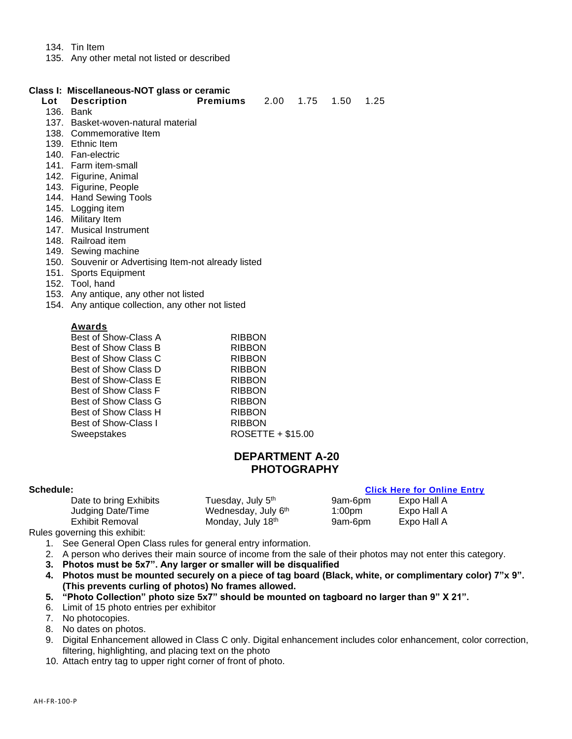- 134. Tin Item
- 135. Any other metal not listed or described

### **Class I: Miscellaneous-NOT glass or ceramic**

| Lot | <b>Description</b>                   | <b>Premiums</b> | 2.00 1.75 | 1.50 | 1.25 |
|-----|--------------------------------------|-----------------|-----------|------|------|
|     | 136. Bank                            |                 |           |      |      |
|     | 137. Basket-woven-natural material   |                 |           |      |      |
|     | 138. Commemorative Item              |                 |           |      |      |
|     | 139. Ethnic Item                     |                 |           |      |      |
|     | 140. Fan-electric                    |                 |           |      |      |
|     | 141. Farm item-small                 |                 |           |      |      |
|     | 142. Figurine, Animal                |                 |           |      |      |
|     | 143. Figurine, People                |                 |           |      |      |
|     | 144. Hand Sewing Tools               |                 |           |      |      |
|     | $A \cap B$ is a subset of $A \cap B$ |                 |           |      |      |

- 145. Logging item
- 146. Military Item
- 147. Musical Instrument
- 148. Railroad item
- 149. Sewing machine
- 150. Souvenir or Advertising Item-not already listed
- 151. Sports Equipment
- 152. Tool, hand
- 153. Any antique, any other not listed
- 154. Any antique collection, any other not listed

### **Awards**

| Best of Show-Class A | <b>RIBBON</b>     |
|----------------------|-------------------|
| Best of Show Class B | <b>RIBBON</b>     |
| Best of Show Class C | <b>RIBBON</b>     |
| Best of Show Class D | <b>RIBBON</b>     |
| Best of Show-Class E | <b>RIBBON</b>     |
| Best of Show Class F | <b>RIBBON</b>     |
| Best of Show Class G | <b>RIBBON</b>     |
| Best of Show Class H | <b>RIBBON</b>     |
| Best of Show-Class I | <b>RIBBON</b>     |
| Sweepstakes          | ROSETTE + \$15.00 |
|                      |                   |

### **DEPARTMENT A-20 PHOTOGRAPHY**

### **Schedule: [Click Here for Online Entry](https://www.blueribbonfair.com/BRFairProd/BlueRibbonStart.aspx?ID=1949)**

| Date to bring Exhibits | Tuesday, July 5 <sup>th</sup> | 9am-6pm | Expo Hall A |  |
|------------------------|-------------------------------|---------|-------------|--|
| Judging Date/Time      | Wednesday, July 6th           | 1:00pm  | Expo Hall A |  |
| Exhibit Removal        | Monday, July 18th             | 9am-6pm | Expo Hall A |  |
|                        |                               |         |             |  |

Rules governing this exhibit:

- 1. See General Open Class rules for general entry information.
- 2. A person who derives their main source of income from the sale of their photos may not enter this category.
- **3. Photos must be 5x7". Any larger or smaller will be disqualified**
- **4. Photos must be mounted securely on a piece of tag board (Black, white, or complimentary color) 7"x 9". (This prevents curling of photos) No frames allowed.**
- **5. "Photo Collection" photo size 5x7" should be mounted on tagboard no larger than 9" X 21".**
- 6. Limit of 15 photo entries per exhibitor
- 7. No photocopies.
- 8. No dates on photos.
- 9. Digital Enhancement allowed in Class C only. Digital enhancement includes color enhancement, color correction, filtering, highlighting, and placing text on the photo
- 10. Attach entry tag to upper right corner of front of photo.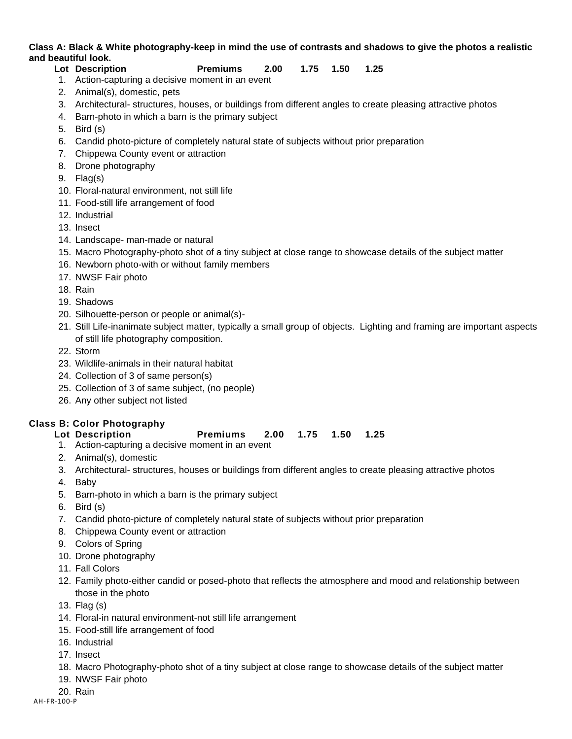### **Class A: Black & White photography-keep in mind the use of contrasts and shadows to give the photos a realistic and beautiful look.**

### **Lot Description Premiums 2.00 1.75 1.50 1.25**

- 1. Action-capturing a decisive moment in an event
- 2. Animal(s), domestic, pets
- 3. Architectural- structures, houses, or buildings from different angles to create pleasing attractive photos
- 4. Barn-photo in which a barn is the primary subject
- 5. Bird (s)
- 6. Candid photo-picture of completely natural state of subjects without prior preparation
- 7. Chippewa County event or attraction
- 8. Drone photography
- 9. Flag(s)
- 10. Floral-natural environment, not still life
- 11. Food-still life arrangement of food
- 12. Industrial
- 13. Insect
- 14. Landscape- man-made or natural
- 15. Macro Photography-photo shot of a tiny subject at close range to showcase details of the subject matter
- 16. Newborn photo-with or without family members
- 17. NWSF Fair photo
- 18. Rain
- 19. Shadows
- 20. Silhouette-person or people or animal(s)-
- 21. Still Life-inanimate subject matter, typically a small group of objects. Lighting and framing are important aspects of still life photography composition.
- 22. Storm
- 23. Wildlife-animals in their natural habitat
- 24. Collection of 3 of same person(s)
- 25. Collection of 3 of same subject, (no people)
- 26. Any other subject not listed

### **Class B: Color Photography**

- 1. Action-capturing a decisive moment in an event
- 2. Animal(s), domestic
- 3. Architectural- structures, houses or buildings from different angles to create pleasing attractive photos
- 4. Baby
- 5. Barn-photo in which a barn is the primary subject
- 6. Bird (s)
- 7. Candid photo-picture of completely natural state of subjects without prior preparation
- 8. Chippewa County event or attraction
- 9. Colors of Spring
- 10. Drone photography
- 11. Fall Colors
- 12. Family photo-either candid or posed-photo that reflects the atmosphere and mood and relationship between those in the photo
- 13. Flag (s)
- 14. Floral-in natural environment-not still life arrangement
- 15. Food-still life arrangement of food
- 16. Industrial
- 17. Insect
- 18. Macro Photography-photo shot of a tiny subject at close range to showcase details of the subject matter
- 19. NWSF Fair photo
- 20. Rain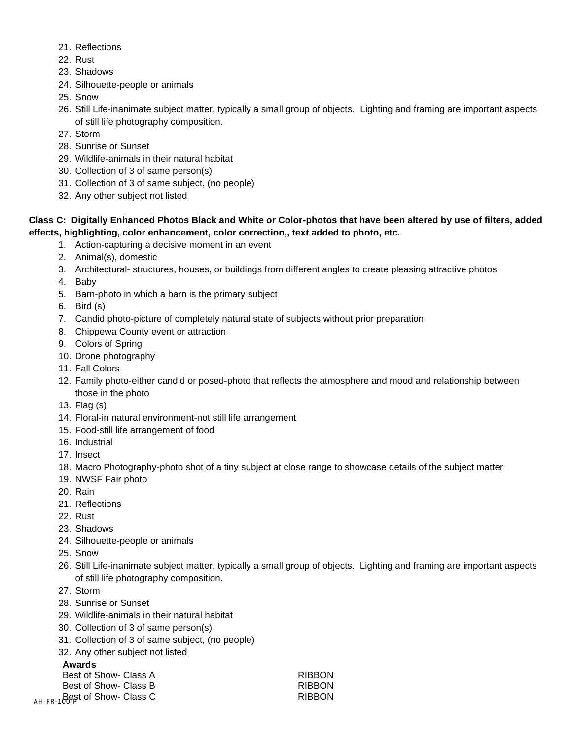- 21. Reflections
- 22. Rust
- 23. Shadows
- 24. Silhouette-people or animals
- 25. Snow
- 26. Still Life-inanimate subject matter, typically a small group of objects. Lighting and framing are important aspects of still life photography composition.
- 27. Storm
- 28. Sunrise or Sunset
- 29. Wildlife-animals in their natural habitat
- 30. Collection of 3 of same person(s)
- 31. Collection of 3 of same subject, (no people)
- 32. Any other subject not listed

### **Class C: Digitally Enhanced Photos Black and White or Color-photos that have been altered by use of filters, added effects, highlighting, color enhancement, color correction,, text added to photo, etc.**

- 1. Action-capturing a decisive moment in an event
- 2. Animal(s), domestic
- 3. Architectural- structures, houses, or buildings from different angles to create pleasing attractive photos
- 4. Baby
- 5. Barn-photo in which a barn is the primary subject
- 6. Bird (s)
- 7. Candid photo-picture of completely natural state of subjects without prior preparation
- 8. Chippewa County event or attraction
- 9. Colors of Spring
- 10. Drone photography
- 11. Fall Colors
- 12. Family photo-either candid or posed-photo that reflects the atmosphere and mood and relationship between those in the photo
- 13. Flag (s)
- 14. Floral-in natural environment-not still life arrangement
- 15. Food-still life arrangement of food
- 16. Industrial
- 17. Insect
- 18. Macro Photography-photo shot of a tiny subject at close range to showcase details of the subject matter
- 19. NWSF Fair photo
- 20. Rain
- 21. Reflections
- 22. Rust
- 23. Shadows
- 24. Silhouette-people or animals
- 25. Snow
- 26. Still Life-inanimate subject matter, typically a small group of objects. Lighting and framing are important aspects of still life photography composition.
- 27. Storm
- 28. Sunrise or Sunset
- 29. Wildlife-animals in their natural habitat
- 30. Collection of 3 of same person(s)
- 31. Collection of 3 of same subject, (no people)
- 32. Any other subject not listed

### **Awards**

| Best of Show- Class A                     | <b>RIBBON</b> |
|-------------------------------------------|---------------|
| Best of Show- Class B                     | <b>RIBBON</b> |
| $_{\text{AH-FR-1}}$ Best of Show- Class C | <b>RIBBON</b> |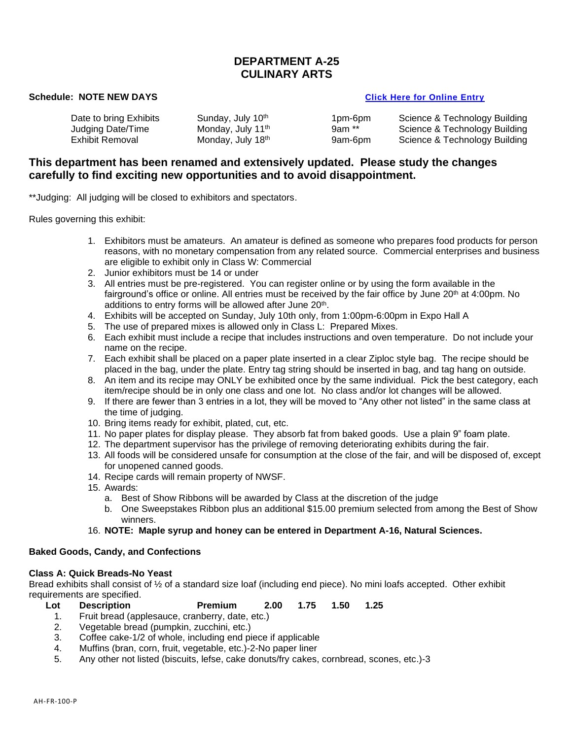### **DEPARTMENT A-25 CULINARY ARTS**

### **Schedule: NOTE NEW DAYS CLICK HERE THE SCHEDULE ENDINGERY CONSUMING THE SCHEDULE ENTRY**

Monday, July 18th

Date to bring Exhibits Sunday, July 10<sup>th</sup> 1pm-6pm Science & Technology Building<br>
Judging Date/Time 10th 10th 11<sup>th</sup> 11<sup>th</sup> 9am \*\* Science & Technology Building Judging Date/Time Monday, July 11<sup>th</sup> 9am \*\* Science & Technology Building<br>Exhibit Removal **Monday, July 18<sup>th</sup> 9am-6pm** Science & Technology Building 9am-6pm Science & Technology Building

### **This department has been renamed and extensively updated. Please study the changes carefully to find exciting new opportunities and to avoid disappointment.**

\*\*Judging: All judging will be closed to exhibitors and spectators.

Rules governing this exhibit:

- 1. Exhibitors must be amateurs. An amateur is defined as someone who prepares food products for person reasons, with no monetary compensation from any related source. Commercial enterprises and business are eligible to exhibit only in Class W: Commercial
- 2. Junior exhibitors must be 14 or under
- 3. All entries must be pre-registered. You can register online or by using the form available in the fairground's office or online. All entries must be received by the fair office by June 20<sup>th</sup> at 4:00pm. No additions to entry forms will be allowed after June 20<sup>th</sup>.
- 4. Exhibits will be accepted on Sunday, July 10th only, from 1:00pm-6:00pm in Expo Hall A
- 5. The use of prepared mixes is allowed only in Class L: Prepared Mixes.
- 6. Each exhibit must include a recipe that includes instructions and oven temperature. Do not include your name on the recipe.
- 7. Each exhibit shall be placed on a paper plate inserted in a clear Ziploc style bag. The recipe should be placed in the bag, under the plate. Entry tag string should be inserted in bag, and tag hang on outside.
- 8. An item and its recipe may ONLY be exhibited once by the same individual. Pick the best category, each item/recipe should be in only one class and one lot. No class and/or lot changes will be allowed.
- 9. If there are fewer than 3 entries in a lot, they will be moved to "Any other not listed" in the same class at the time of judging.
- 10. Bring items ready for exhibit, plated, cut, etc.
- 11. No paper plates for display please. They absorb fat from baked goods. Use a plain 9" foam plate.
- 12. The department supervisor has the privilege of removing deteriorating exhibits during the fair.
- 13. All foods will be considered unsafe for consumption at the close of the fair, and will be disposed of, except for unopened canned goods.
- 14. Recipe cards will remain property of NWSF.
- 15. Awards:
	- a. Best of Show Ribbons will be awarded by Class at the discretion of the judge
	- b. One Sweepstakes Ribbon plus an additional \$15.00 premium selected from among the Best of Show winners.

### 16. **NOTE: Maple syrup and honey can be entered in Department A-16, Natural Sciences.**

### **Baked Goods, Candy, and Confections**

### **Class A: Quick Breads-No Yeast**

Bread exhibits shall consist of ½ of a standard size loaf (including end piece). No mini loafs accepted. Other exhibit requirements are specified.

- **Lot Description Premium 2.00 1.75 1.50 1.25**
	- 1. Fruit bread (applesauce, cranberry, date, etc.)
	- 2. Vegetable bread (pumpkin, zucchini, etc.)
	- 3. Coffee cake-1/2 of whole, including end piece if applicable
	- 4. Muffins (bran, corn, fruit, vegetable, etc.)-2-No paper liner
	- 5. Any other not listed (biscuits, lefse, cake donuts/fry cakes, cornbread, scones, etc.)-3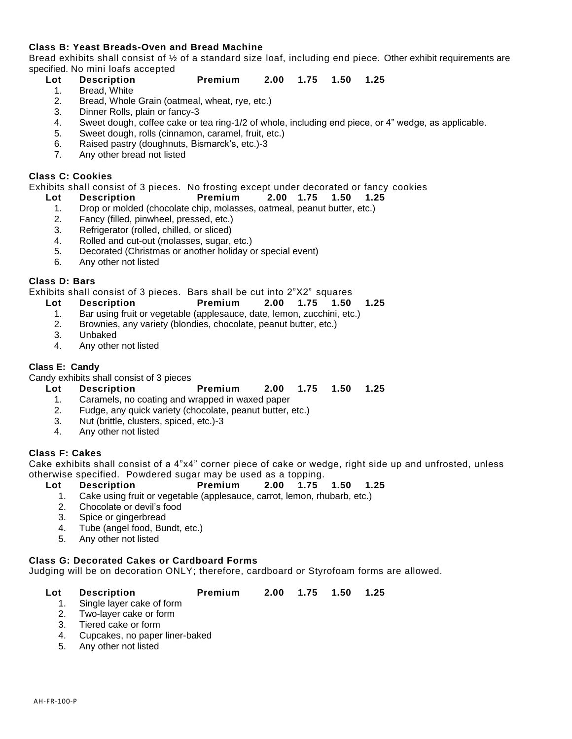### **Class B: Yeast Breads-Oven and Bread Machine**

Bread exhibits shall consist of ½ of a standard size loaf, including end piece. Other exhibit requirements are specified. No mini loafs accepted

- **Lot Description Premium 2.00 1.75 1.50 1.25**
	- 1. Bread, White
	- 2. Bread, Whole Grain (oatmeal, wheat, rye, etc.)
	- 3. Dinner Rolls, plain or fancy-3
	- 4. Sweet dough, coffee cake or tea ring-1/2 of whole, including end piece, or 4" wedge, as applicable.
	- 5. Sweet dough, rolls (cinnamon, caramel, fruit, etc.)
	- 6. Raised pastry (doughnuts, Bismarck's, etc.)-3
	- 7. Any other bread not listed

### **Class C: Cookies**

Exhibits shall consist of 3 pieces. No frosting except under decorated or fancy cookies

- **Lot Description Premium 2.00 1.75 1.50 1.25**
- 1. Drop or molded (chocolate chip, molasses, oatmeal, peanut butter, etc.)
	- 2. Fancy (filled, pinwheel, pressed, etc.)
	- 3. Refrigerator (rolled, chilled, or sliced)
	- 4. Rolled and cut-out (molasses, sugar, etc.)
	- 5. Decorated (Christmas or another holiday or special event)
	- 6. Any other not listed

### **Class D: Bars**

Exhibits shall consist of 3 pieces. Bars shall be cut into 2"X2" squares

- **Lot Description Premium 2.00 1.75 1.50 1.25**
	- 1. Bar using fruit or vegetable (applesauce, date, lemon, zucchini, etc.)
	- 2. Brownies, any variety (blondies, chocolate, peanut butter, etc.)
	- 3. Unbaked
	- 4. Any other not listed

### **Class E: Candy**

Candy exhibits shall consist of 3 pieces

- **Lot Description Premium 2.00 1.75 1.50 1.25**
	- 1. Caramels, no coating and wrapped in waxed paper
	- 2. Fudge, any quick variety (chocolate, peanut butter, etc.)
	- 3. Nut (brittle, clusters, spiced, etc.)-3
	- 4. Any other not listed

### **Class F: Cakes**

Cake exhibits shall consist of a 4"x4" corner piece of cake or wedge, right side up and unfrosted, unless otherwise specified. Powdered sugar may be used as a topping.

- **Lot Description Premium 2.00 1.75 1.50 1.25**
	- 1. Cake using fruit or vegetable (applesauce, carrot, lemon, rhubarb, etc.)
	- 2. Chocolate or devil's food
	- 3. Spice or gingerbread
	- 4. Tube (angel food, Bundt, etc.)
	- 5. Any other not listed

### **Class G: Decorated Cakes or Cardboard Forms**

Judging will be on decoration ONLY; therefore, cardboard or Styrofoam forms are allowed.

| 2.00 1.75 1.50 1.25<br><b>Lot</b> Description<br>Premium |  |
|----------------------------------------------------------|--|
|----------------------------------------------------------|--|

- 1. Single layer cake of form
- 2. Two-layer cake or form
- 3. Tiered cake or form
- 4. Cupcakes, no paper liner-baked
- 5. Any other not listed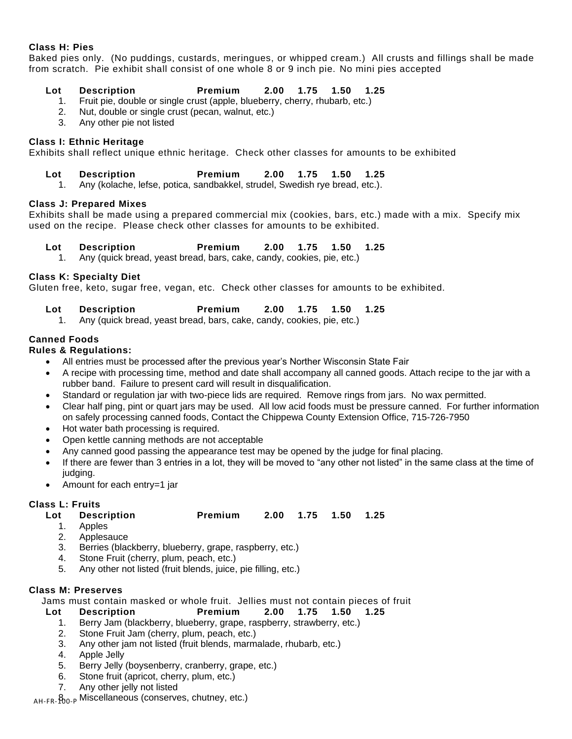### **Class H: Pies**

Baked pies only. (No puddings, custards, meringues, or whipped cream.) All crusts and fillings shall be made from scratch. Pie exhibit shall consist of one whole 8 or 9 inch pie. No mini pies accepted

### **Lot Description Premium 2.00 1.75 1.50 1.25**

- 1. Fruit pie, double or single crust (apple, blueberry, cherry, rhubarb, etc.)
- 2. Nut, double or single crust (pecan, walnut, etc.)<br>3. Anv other pie not listed
- 3. Any other pie not listed

### **Class I: Ethnic Heritage**

Exhibits shall reflect unique ethnic heritage. Check other classes for amounts to be exhibited

### **Lot Description Premium 2.00 1.75 1.50 1.25**

1. Any (kolache, lefse, potica, sandbakkel, strudel, Swedish rye bread, etc.).

### **Class J: Prepared Mixes**

Exhibits shall be made using a prepared commercial mix (cookies, bars, etc.) made with a mix. Specify mix used on the recipe. Please check other classes for amounts to be exhibited.

- **Lot Description Premium 2.00 1.75 1.50 1.25**
- 1. Any (quick bread, yeast bread, bars, cake, candy, cookies, pie, etc.)

### **Class K: Specialty Diet**

Gluten free, keto, sugar free, vegan, etc. Check other classes for amounts to be exhibited.

- **Lot Description Premium 2.00 1.75 1.50 1.25**
- 1. Any (quick bread, yeast bread, bars, cake, candy, cookies, pie, etc.)

### **Canned Foods**

### **Rules & Regulations:**

- All entries must be processed after the previous year's Norther Wisconsin State Fair
- A recipe with processing time, method and date shall accompany all canned goods. Attach recipe to the jar with a rubber band. Failure to present card will result in disqualification.
- Standard or regulation jar with two-piece lids are required. Remove rings from jars. No wax permitted.
- Clear half ping, pint or quart jars may be used. All low acid foods must be pressure canned. For further information on safely processing canned foods, Contact the Chippewa County Extension Office, 715-726-7950
- Hot water bath processing is required.
- Open kettle canning methods are not acceptable
- Any canned good passing the appearance test may be opened by the judge for final placing.
- If there are fewer than 3 entries in a lot, they will be moved to "any other not listed" in the same class at the time of judging.
- Amount for each entry=1 jar

### **Class L: Fruits**

### **Lot Description Premium 2.00 1.75 1.50 1.25**

- 1. Apples
- 2. Applesauce<br>3. Berries (blac
- Berries (blackberry, blueberry, grape, raspberry, etc.)
- 4. Stone Fruit (cherry, plum, peach, etc.)
- 5. Any other not listed (fruit blends, juice, pie filling, etc.)

### **Class M: Preserves**

Jams must contain masked or whole fruit. Jellies must not contain pieces of fruit

- **Lot Description Premium 2.00 1.75 1.50 1.25**
	- 1. Berry Jam (blackberry, blueberry, grape, raspberry, strawberry, etc.)
	- 2. Stone Fruit Jam (cherry, plum, peach, etc.)
	- 3. Any other jam not listed (fruit blends, marmalade, rhubarb, etc.)
	- 4. Apple Jelly
	- 5. Berry Jelly (boysenberry, cranberry, grape, etc.)
	- 6. Stone fruit (apricot, cherry, plum, etc.)
	- 7. Any other jelly not listed

<sub>AH-FR-</sub> $\beta_{\rm 00\text{-}P}$  Miscellaneous (conserves, chutney, etc.)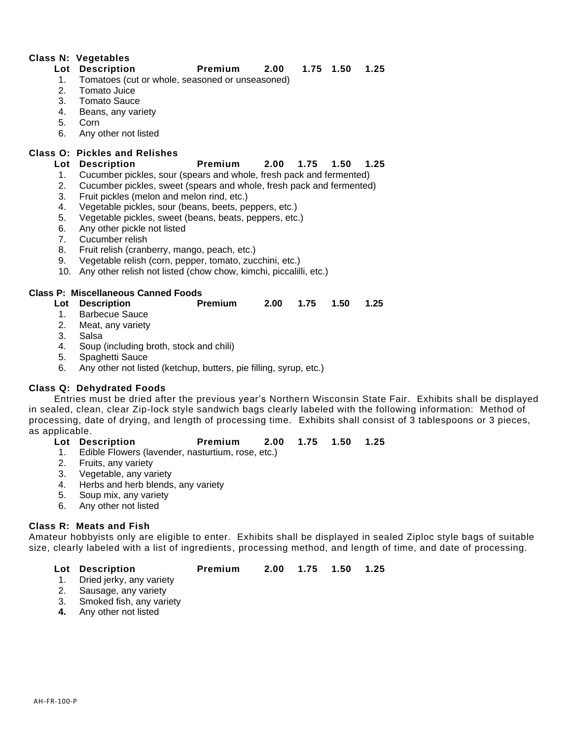### **Class N: Vegetables**

### **Lot Description Premium 2.00 1.75 1.50 1.25**

- 1. Tomatoes (cut or whole, seasoned or unseasoned)
- 2. Tomato Juice
- 3. Tomato Sauce
- 4. Beans, any variety
- 5. Corn
- 6. Any other not listed

### **Class O: Pickles and Relishes**

### **Lot Description Premium 2.00 1.75 1.50 1.25**

- 1. Cucumber pickles, sour (spears and whole, fresh pack and fermented)
- 2. Cucumber pickles, sweet (spears and whole, fresh pack and fermented)
- 3. Fruit pickles (melon and melon rind, etc.)
- 4. Vegetable pickles, sour (beans, beets, peppers, etc.)
- 5. Vegetable pickles, sweet (beans, beats, peppers, etc.)
- 6. Any other pickle not listed
- 7. Cucumber relish
- 8. Fruit relish (cranberry, mango, peach, etc.)
- 9. Vegetable relish (corn, pepper, tomato, zucchini, etc.)
- 10. Any other relish not listed (chow chow, kimchi, piccalilli, etc.)

### **Class P: Miscellaneous Canned Foods**

- **Lot Description Premium 2.00 1.75 1.50 1.25**
	- 1. Barbecue Sauce
	- 2. Meat, any variety
	- 3. Salsa
	- 4. Soup (including broth, stock and chili)
	- 5. Spaghetti Sauce
	- 6. Any other not listed (ketchup, butters, pie filling, syrup, etc.)

### **Class Q: Dehydrated Foods**

Entries must be dried after the previous year's Northern Wisconsin State Fair. Exhibits shall be displayed in sealed, clean, clear Zip-lock style sandwich bags clearly labeled with the following information: Method of processing, date of drying, and length of processing time. Exhibits shall consist of 3 tablespoons or 3 pieces, as applicable.

### **Lot Description Premium 2.00 1.75 1.50 1.25**

- 1. Edible Flowers (lavender, nasturtium, rose, etc.)
- 2. Fruits, any variety
- 3. Vegetable, any variety
- 4. Herbs and herb blends, any variety
- 5. Soup mix, any variety
- 6. Any other not listed

### **Class R: Meats and Fish**

Amateur hobbyists only are eligible to enter. Exhibits shall be displayed in sealed Ziploc style bags of suitable size, clearly labeled with a list of ingredients, processing method, and length of time, and date of processing.

- 1. Dried jerky, any variety
- 2. Sausage, any variety
- 3. Smoked fish, any variety
- **4.** Any other not listed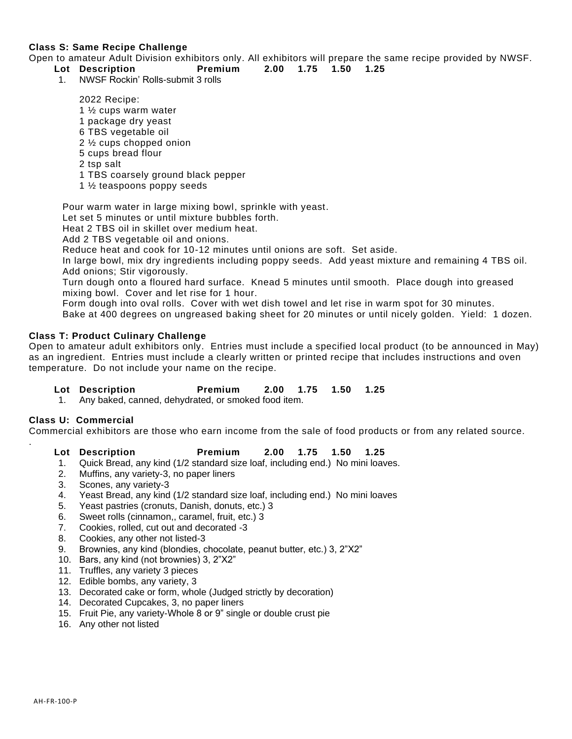### **Class S: Same Recipe Challenge**

Open to amateur Adult Division exhibitors only. All exhibitors will prepare the same recipe provided by NWSF.

- **Lot Description Premium 2.00 1.75 1.50 1.25**
	- 1. NWSF Rockin' Rolls-submit 3 rolls

2022 Recipe:

- 1 ½ cups warm water
- 1 package dry yeast
- 6 TBS vegetable oil
- 2 ½ cups chopped onion
- 5 cups bread flour
- 2 tsp salt
- 1 TBS coarsely ground black pepper
- 1 ½ teaspoons poppy seeds

Pour warm water in large mixing bowl, sprinkle with yeast.

Let set 5 minutes or until mixture bubbles forth.

Heat 2 TBS oil in skillet over medium heat.

Add 2 TBS vegetable oil and onions.

Reduce heat and cook for 10-12 minutes until onions are soft. Set aside.

In large bowl, mix dry ingredients including poppy seeds. Add yeast mixture and remaining 4 TBS oil. Add onions; Stir vigorously.

Turn dough onto a floured hard surface. Knead 5 minutes until smooth. Place dough into greased mixing bowl. Cover and let rise for 1 hour.

Form dough into oval rolls. Cover with wet dish towel and let rise in warm spot for 30 minutes.

Bake at 400 degrees on ungreased baking sheet for 20 minutes or until nicely golden. Yield: 1 dozen.

### **Class T: Product Culinary Challenge**

Open to amateur adult exhibitors only. Entries must include a specified local product (to be announced in May) as an ingredient. Entries must include a clearly written or printed recipe that includes instructions and oven temperature. Do not include your name on the recipe.

- **Lot Description Premium 2.00 1.75 1.50 1.25**
	- 1. Any baked, canned, dehydrated, or smoked food item.

### **Class U: Commercial**

.

Commercial exhibitors are those who earn income from the sale of food products or from any related source.

- 1. Quick Bread, any kind (1/2 standard size loaf, including end.) No mini loaves.
- 2. Muffins, any variety-3, no paper liners
- 3. Scones, any variety-3
- 4. Yeast Bread, any kind (1/2 standard size loaf, including end.) No mini loaves
- 5. Yeast pastries (cronuts, Danish, donuts, etc.) 3
- 6. Sweet rolls (cinnamon,, caramel, fruit, etc.) 3
- 7. Cookies, rolled, cut out and decorated -3
- 8. Cookies, any other not listed-3
- 9. Brownies, any kind (blondies, chocolate, peanut butter, etc.) 3, 2"X2"
- 10. Bars, any kind (not brownies) 3, 2"X2"
- 11. Truffles, any variety 3 pieces
- 12. Edible bombs, any variety, 3
- 13. Decorated cake or form, whole (Judged strictly by decoration)
- 14. Decorated Cupcakes, 3, no paper liners
- 15. Fruit Pie, any variety-Whole 8 or 9" single or double crust pie
- 16. Any other not listed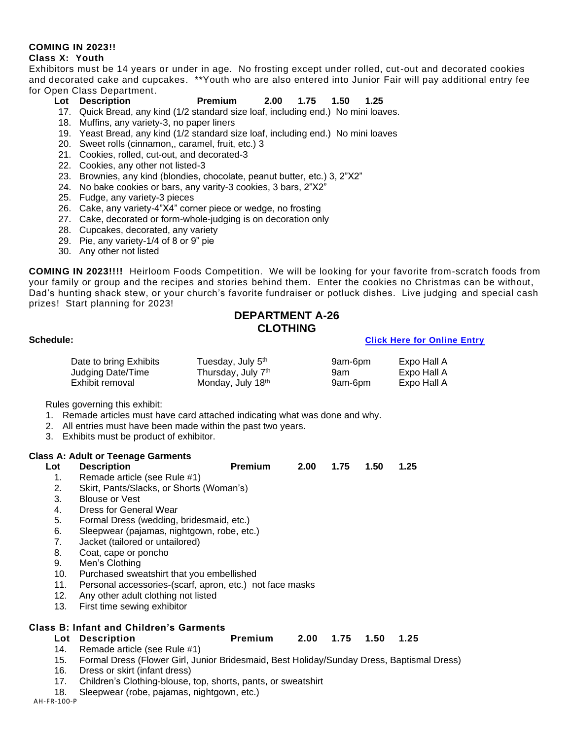### **COMING IN 2023!!**

### **Class X: Youth**

Exhibitors must be 14 years or under in age. No frosting except under rolled, cut-out and decorated cookies and decorated cake and cupcakes. \*\*Youth who are also entered into Junior Fair will pay additional entry fee for Open Class Department.

### **Lot Description Premium 2.00 1.75 1.50 1.25**

- 17. Quick Bread, any kind (1/2 standard size loaf, including end.) No mini loaves.
- 18. Muffins, any variety-3, no paper liners
- 19. Yeast Bread, any kind (1/2 standard size loaf, including end.) No mini loaves
- 20. Sweet rolls (cinnamon,, caramel, fruit, etc.) 3
- 21. Cookies, rolled, cut-out, and decorated-3
- 22. Cookies, any other not listed-3
- 23. Brownies, any kind (blondies, chocolate, peanut butter, etc.) 3, 2"X2"
- 24. No bake cookies or bars, any varity-3 cookies, 3 bars, 2"X2"
- 25. Fudge, any variety-3 pieces
- 26. Cake, any variety-4"X4" corner piece or wedge, no frosting
- 27. Cake, decorated or form-whole-judging is on decoration only
- 28. Cupcakes, decorated, any variety
- 29. Pie, any variety-1/4 of 8 or 9" pie
- 30. Any other not listed

**COMING IN 2023!!!!** Heirloom Foods Competition. We will be looking for your favorite from-scratch foods from your family or group and the recipes and stories behind them. Enter the cookies no Christmas can be without, Dad's hunting shack stew, or your church's favorite fundraiser or potluck dishes. Live judging and special cash prizes! Start planning for 2023!

### **DEPARTMENT A-26 CLOTHING**

### **Schedule: [Click Here for Online Entry](https://www.blueribbonfair.com/BRFairProd/BlueRibbonStart.aspx?ID=1949)**

| Date to bring Exhibits | Tuesday, July 5 <sup>th</sup> | 9am-6pm | Expo Hall A |
|------------------------|-------------------------------|---------|-------------|
| Judging Date/Time      | Thursday, July 7th            | 9am     | Expo Hall A |
| Exhibit removal        | Monday, July 18th             | 9am-6pm | Expo Hall A |

Rules governing this exhibit:

- 1. Remade articles must have card attached indicating what was done and why.
- 2. All entries must have been made within the past two years.
- 3. Exhibits must be product of exhibitor.

### **Class A: Adult or Teenage Garments**

| Lot | Description | Premium 2.00 1.75 1.50 1.25 |  |  |  |
|-----|-------------|-----------------------------|--|--|--|
|     |             |                             |  |  |  |

- 1. Remade article (see Rule #1) 2. Skirt, Pants/Slacks, or Shorts (Woman's)
- 3. Blouse or Vest
- 
- 4. Dress for General Wear
- 5. Formal Dress (wedding, bridesmaid, etc.)
- 6. Sleepwear (pajamas, nightgown, robe, etc.)
- 7. Jacket (tailored or untailored)
- 8. Coat, cape or poncho
- 9. Men's Clothing
- 10. Purchased sweatshirt that you embellished
- 11. Personal accessories-(scarf, apron, etc.) not face masks
- 12. Any other adult clothing not listed
- 13. First time sewing exhibitor

### **Class B: Infant and Children's Garments**

- 14. Remade article (see Rule #1)
- 15. Formal Dress (Flower Girl, Junior Bridesmaid, Best Holiday/Sunday Dress, Baptismal Dress)
- 16. Dress or skirt (infant dress)
- 17. Children's Clothing-blouse, top, shorts, pants, or sweatshirt
- 18. Sleepwear (robe, pajamas, nightgown, etc.)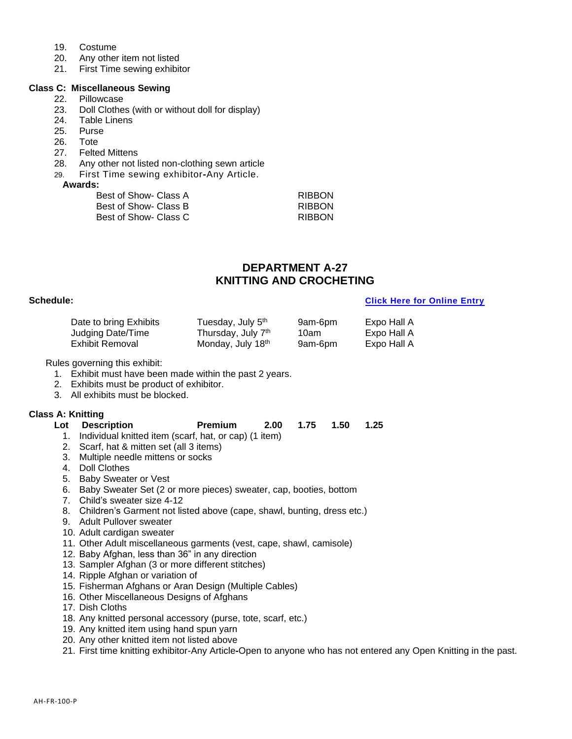- 19. Costume
- 20. Any other item not listed
- 21. First Time sewing exhibitor

### **Class C: Miscellaneous Sewing**

- 22. Pillowcase
- 23. Doll Clothes (with or without doll for display)
- 24. Table Linens
- 25. Purse
- 26. Tote
- 27. Felted Mittens
- 28. Any other not listed non-clothing sewn article
- 29. First Time sewing exhibitor**-**Any Article.

### **Awards:**

| Best of Show- Class A | <b>RIBBON</b> |
|-----------------------|---------------|
| Best of Show- Class B | <b>RIBBON</b> |
| Best of Show- Class C | <b>RIBBON</b> |

### **DEPARTMENT A-27 KNITTING AND CROCHETING**

### **Schedule: [Click Here for Online Entry](https://www.blueribbonfair.com/BRFairProd/BlueRibbonStart.aspx?ID=1949)**

| Date to bring Exhibits | Tuesday, July 5 <sup>th</sup>  | 9am-6pm | Expo Hall A |
|------------------------|--------------------------------|---------|-------------|
| Judging Date/Time      | Thursday, July 7 <sup>th</sup> | 10am    | Expo Hall A |
| Exhibit Removal        | Monday, July 18th              | 9am-6pm | Expo Hall A |

Rules governing this exhibit:

- 1. Exhibit must have been made within the past 2 years.
- 2. Exhibits must be product of exhibitor.
- 3. All exhibits must be blocked.

### **Class A: Knitting**

- 1. Individual knitted item (scarf, hat, or cap) (1 item)
- 2. Scarf, hat & mitten set (all 3 items)
- 3. Multiple needle mittens or socks
- 4. Doll Clothes
- 5. Baby Sweater or Vest
- 6. Baby Sweater Set (2 or more pieces) sweater, cap, booties, bottom
- 7. Child's sweater size 4-12
- 8. Children's Garment not listed above (cape, shawl, bunting, dress etc.)
- 9. Adult Pullover sweater
- 10. Adult cardigan sweater
- 11. Other Adult miscellaneous garments (vest, cape, shawl, camisole)
- 12. Baby Afghan, less than 36" in any direction
- 13. Sampler Afghan (3 or more different stitches)
- 14. Ripple Afghan or variation of
- 15. Fisherman Afghans or Aran Design (Multiple Cables)
- 16. Other Miscellaneous Designs of Afghans
- 17. Dish Cloths
- 18. Any knitted personal accessory (purse, tote, scarf, etc.)
- 19. Any knitted item using hand spun yarn
- 20. Any other knitted item not listed above
- 21. First time knitting exhibitor-Any Article**-**Open to anyone who has not entered any Open Knitting in the past.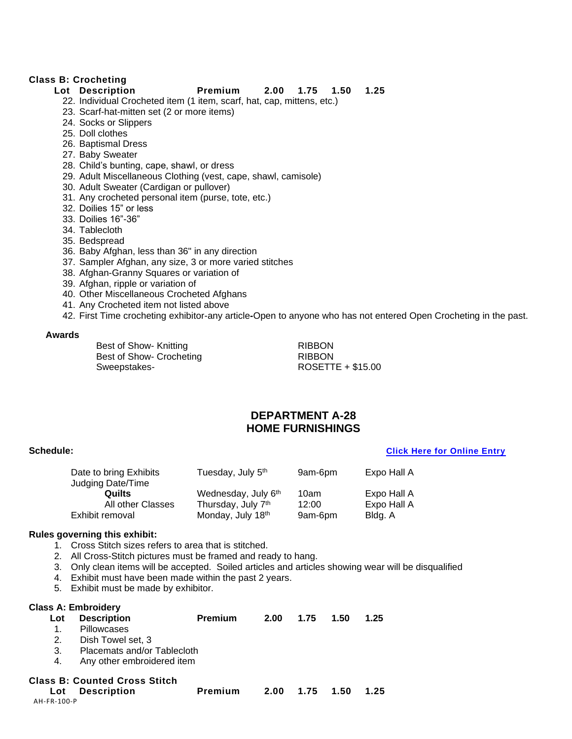### **Class B: Crocheting**

### **Lot Description Premium 2.00 1.75 1.50 1.25**

- 22. Individual Crocheted item (1 item, scarf, hat, cap, mittens, etc.)
- 23. Scarf-hat-mitten set (2 or more items)
- 24. Socks or Slippers
- 25. Doll clothes
- 26. Baptismal Dress
- 27. Baby Sweater
- 28. Child's bunting, cape, shawl, or dress
- 29. Adult Miscellaneous Clothing (vest, cape, shawl, camisole)
- 30. Adult Sweater (Cardigan or pullover)
- 31. Any crocheted personal item (purse, tote, etc.)
- 32. Doilies 15" or less
- 33. Doilies 16"-36"
- 34. Tablecloth
- 35. Bedspread
- 36. Baby Afghan, less than 36" in any direction
- 37. Sampler Afghan, any size, 3 or more varied stitches
- 38. Afghan-Granny Squares or variation of
- 39. Afghan, ripple or variation of
- 40. Other Miscellaneous Crocheted Afghans
- 41. Any Crocheted item not listed above
- 42. First Time crocheting exhibitor-any article**-**Open to anyone who has not entered Open Crocheting in the past.

### **Awards**

Best of Show- Knitting RIBBON Best of Show- Crocheting RIBBON Sweepstakes-<br>
ROSETTE + \$15.00

### **DEPARTMENT A-28 HOME FURNISHINGS**

### **Schedule: [Click Here for Online Entry](https://www.blueribbonfair.com/BRFairProd/BlueRibbonStart.aspx?ID=1949)**

| Date to bring Exhibits<br>Judging Date/Time | Tuesday, July 5th                         | 9am-6pm       | Expo Hall A                |
|---------------------------------------------|-------------------------------------------|---------------|----------------------------|
| Quilts<br>All other Classes                 | Wednesday, July 6th<br>Thursday, July 7th | 10am<br>12:00 | Expo Hall A<br>Expo Hall A |
| Exhibit removal                             | Monday, July 18th                         | 9am-6pm       | Bldg. A                    |

### **Rules governing this exhibit:**

- 1. Cross Stitch sizes refers to area that is stitched.
- 2. All Cross-Stitch pictures must be framed and ready to hang.
- 3. Only clean items will be accepted. Soiled articles and articles showing wear will be disqualified
- 4. Exhibit must have been made within the past 2 years.
- 5. Exhibit must be made by exhibitor.

| <b>Class A: Embroidery</b>                                           |                            |                |      |      |      |      |
|----------------------------------------------------------------------|----------------------------|----------------|------|------|------|------|
| Lot                                                                  | <b>Description</b>         | <b>Premium</b> | 2.00 | 1.75 | 1.50 | 1.25 |
| 1.                                                                   | <b>Pillowcases</b>         |                |      |      |      |      |
| 2.                                                                   | Dish Towel set, 3          |                |      |      |      |      |
| Placemats and/or Tablecloth<br>3.                                    |                            |                |      |      |      |      |
| 4.                                                                   | Any other embroidered item |                |      |      |      |      |
| <b>Class B: Counted Cross Stitch</b>                                 |                            |                |      |      |      |      |
| Premium<br><b>Description</b><br>2.00<br>1.75<br>1.50<br>1.25<br>Lot |                            |                |      |      |      |      |
| AH-FR-100-P                                                          |                            |                |      |      |      |      |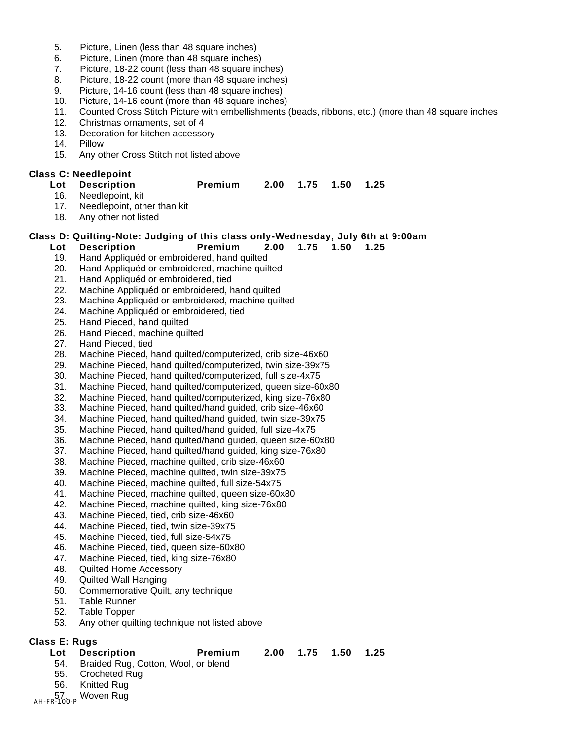- 5. Picture, Linen (less than 48 square inches)
- 6. Picture, Linen (more than 48 square inches)
- 7. Picture, 18-22 count (less than 48 square inches)
- 8. Picture, 18-22 count (more than 48 square inches)
- 9. Picture, 14-16 count (less than 48 square inches)
- 10. Picture, 14-16 count (more than 48 square inches)
- 11. Counted Cross Stitch Picture with embellishments (beads, ribbons, etc.) (more than 48 square inches
- 12. Christmas ornaments, set of 4<br>13. Decoration for kitchen accesso
- Decoration for kitchen accessory
- 14. Pillow
- 15. Any other Cross Stitch not listed above

### **Class C: Needlepoint**

### **Lot Description Premium 2.00 1.75 1.50 1.25**

- 16. Needlepoint, kit<br>17. Needlepoint. oth
- Needlepoint, other than kit
- 18. Any other not listed

### **Class D: Quilting-Note: Judging of this class only-Wednesday, July 6th at 9:00am**

- **Lot Description Premium 2.00 1.75 1.50 1.25**
	-
- 19. Hand Appliquéd or embroidered, hand quilted
- 20. Hand Appliquéd or embroidered, machine quilted
- 21. Hand Appliquéd or embroidered, tied
- 22. Machine Appliquéd or embroidered, hand quilted
- 23. Machine Appliquéd or embroidered, machine quilted
- 24. Machine Appliquéd or embroidered, tied
- 25. Hand Pieced, hand quilted
- 26. Hand Pieced, machine quilted
- 27. Hand Pieced, tied
- 28. Machine Pieced, hand quilted/computerized, crib size-46x60
- 29. Machine Pieced, hand quilted/computerized, twin size-39x75
- 30. Machine Pieced, hand quilted/computerized, full size-4x75
- 31. Machine Pieced, hand quilted/computerized, queen size-60x80
- 32. Machine Pieced, hand quilted/computerized, king size-76x80
- 33. Machine Pieced, hand quilted/hand guided, crib size-46x60
- 34. Machine Pieced, hand quilted/hand guided, twin size-39x75
- 35. Machine Pieced, hand quilted/hand guided, full size-4x75
- 36. Machine Pieced, hand quilted/hand guided, queen size-60x80
- 37. Machine Pieced, hand quilted/hand guided, king size-76x80
- 38. Machine Pieced, machine quilted, crib size-46x60
- 39. Machine Pieced, machine quilted, twin size-39x75
- 40. Machine Pieced, machine quilted, full size-54x75
- 41. Machine Pieced, machine quilted, queen size-60x80
- 42. Machine Pieced, machine quilted, king size-76x80
- 43. Machine Pieced, tied, crib size-46x60
- 44. Machine Pieced, tied, twin size-39x75
- 45. Machine Pieced, tied, full size-54x75
- 46. Machine Pieced, tied, queen size-60x80
- 47. Machine Pieced, tied, king size-76x80
- 48. Quilted Home Accessory
- 49. Quilted Wall Hanging
- 50. Commemorative Quilt, any technique
- 51. Table Runner
- 52. Table Topper
- 53. Any other quilting technique not listed above

### **Class E: Rugs**

- 54. Braided Rug, Cotton, Wool, or blend
- 55. Crocheted Rug
- 56. Knitted Rug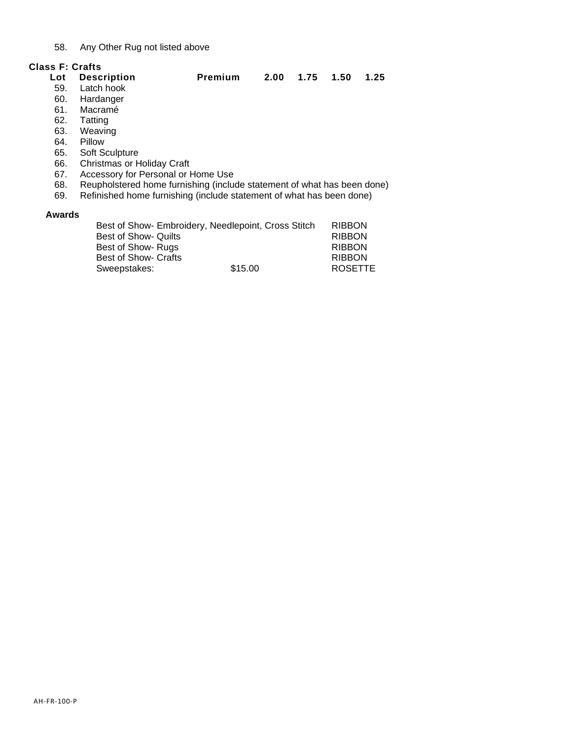### 58. Any Other Rug not listed above

### **Class F: Crafts**

| Lot    | <b>Description</b>                                                      | Premium | 2.00 | 1.75 | 1.50 | 1.25 |
|--------|-------------------------------------------------------------------------|---------|------|------|------|------|
| 59.    | Latch hook                                                              |         |      |      |      |      |
| 60.    | Hardanger                                                               |         |      |      |      |      |
| 61.    | Macramé                                                                 |         |      |      |      |      |
| 62.    | Tatting                                                                 |         |      |      |      |      |
| 63.    | Weaving                                                                 |         |      |      |      |      |
| 64.    | Pillow                                                                  |         |      |      |      |      |
| 65.    | Soft Sculpture                                                          |         |      |      |      |      |
| 66.    | Christmas or Holiday Craft                                              |         |      |      |      |      |
| 67.    | Accessory for Personal or Home Use                                      |         |      |      |      |      |
| 68.    | Reupholstered home furnishing (include statement of what has been done) |         |      |      |      |      |
| 69.    | Refinished home furnishing (include statement of what has been done)    |         |      |      |      |      |
| Awards |                                                                         |         |      |      |      |      |

|                             | Best of Show- Embroidery, Needlepoint, Cross Stitch | <b>RIBBON</b>  |
|-----------------------------|-----------------------------------------------------|----------------|
| Best of Show- Quilts        |                                                     | <b>RIBBON</b>  |
|                             |                                                     | <b>RIBBON</b>  |
| Best of Show- Rugs          |                                                     |                |
| <b>Best of Show- Crafts</b> |                                                     | <b>RIBBON</b>  |
| Sweepstakes:                | \$15.00                                             | <b>ROSETTE</b> |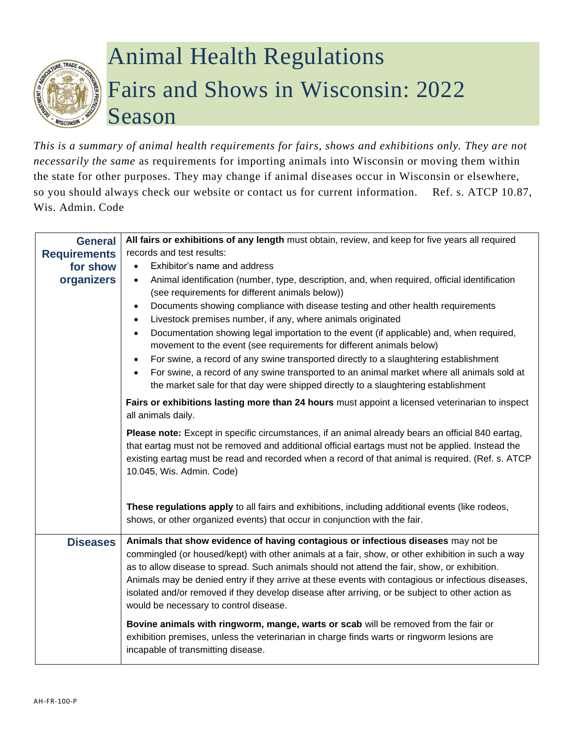# $F$ . TRADA

# Animal Health Regulations Fairs and Shows in Wisconsin: 2022 Season

*This is a summary of animal health requirements for fairs, shows and exhibitions only. They are not necessarily the same* as requirements for importing animals into Wisconsin or moving them within the state for other purposes. They may change if animal diseases occur in Wisconsin or elsewhere, so you should always check our website or contact us for current information. Ref. s. ATCP 10.87, Wis. Admin. Code

| <b>General</b>      | All fairs or exhibitions of any length must obtain, review, and keep for five years all required                                                                                                                                                                                                                                                                                                                                                                                                                                                                                                                                                                                                                                                                                                                                  |  |  |  |
|---------------------|-----------------------------------------------------------------------------------------------------------------------------------------------------------------------------------------------------------------------------------------------------------------------------------------------------------------------------------------------------------------------------------------------------------------------------------------------------------------------------------------------------------------------------------------------------------------------------------------------------------------------------------------------------------------------------------------------------------------------------------------------------------------------------------------------------------------------------------|--|--|--|
| <b>Requirements</b> | records and test results:                                                                                                                                                                                                                                                                                                                                                                                                                                                                                                                                                                                                                                                                                                                                                                                                         |  |  |  |
| for show            | Exhibitor's name and address<br>$\bullet$                                                                                                                                                                                                                                                                                                                                                                                                                                                                                                                                                                                                                                                                                                                                                                                         |  |  |  |
| organizers          | Animal identification (number, type, description, and, when required, official identification<br>$\bullet$<br>(see requirements for different animals below))<br>Documents showing compliance with disease testing and other health requirements<br>$\bullet$<br>Livestock premises number, if any, where animals originated<br>$\bullet$<br>Documentation showing legal importation to the event (if applicable) and, when required,<br>$\bullet$<br>movement to the event (see requirements for different animals below)<br>For swine, a record of any swine transported directly to a slaughtering establishment<br>$\bullet$<br>For swine, a record of any swine transported to an animal market where all animals sold at<br>$\bullet$<br>the market sale for that day were shipped directly to a slaughtering establishment |  |  |  |
|                     | Fairs or exhibitions lasting more than 24 hours must appoint a licensed veterinarian to inspect<br>all animals daily.                                                                                                                                                                                                                                                                                                                                                                                                                                                                                                                                                                                                                                                                                                             |  |  |  |
|                     | Please note: Except in specific circumstances, if an animal already bears an official 840 eartag,<br>that eartag must not be removed and additional official eartags must not be applied. Instead the<br>existing eartag must be read and recorded when a record of that animal is required. (Ref. s. ATCP<br>10.045, Wis. Admin. Code)                                                                                                                                                                                                                                                                                                                                                                                                                                                                                           |  |  |  |
|                     | These regulations apply to all fairs and exhibitions, including additional events (like rodeos,<br>shows, or other organized events) that occur in conjunction with the fair.                                                                                                                                                                                                                                                                                                                                                                                                                                                                                                                                                                                                                                                     |  |  |  |
| <b>Diseases</b>     | Animals that show evidence of having contagious or infectious diseases may not be<br>commingled (or housed/kept) with other animals at a fair, show, or other exhibition in such a way<br>as to allow disease to spread. Such animals should not attend the fair, show, or exhibition.<br>Animals may be denied entry if they arrive at these events with contagious or infectious diseases,<br>isolated and/or removed if they develop disease after arriving, or be subject to other action as<br>would be necessary to control disease.                                                                                                                                                                                                                                                                                        |  |  |  |
|                     | Bovine animals with ringworm, mange, warts or scab will be removed from the fair or<br>exhibition premises, unless the veterinarian in charge finds warts or ringworm lesions are<br>incapable of transmitting disease.                                                                                                                                                                                                                                                                                                                                                                                                                                                                                                                                                                                                           |  |  |  |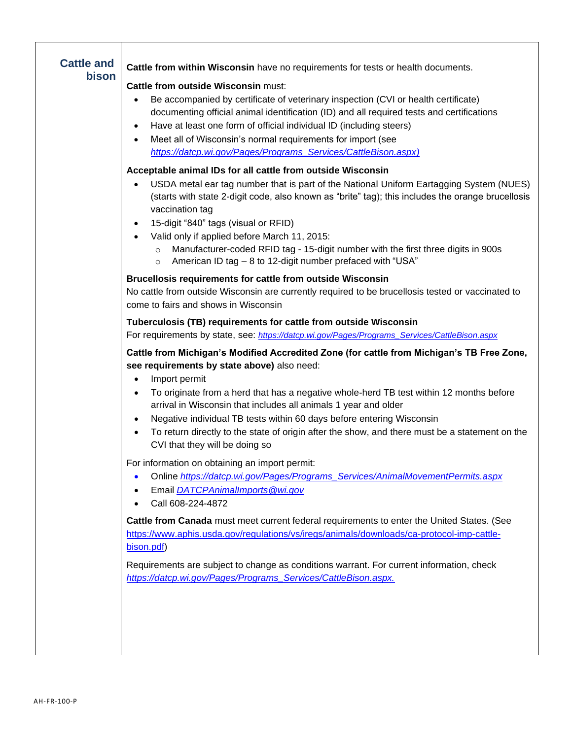| Cattle from within Wisconsin have no requirements for tests or health documents.<br><b>Cattle from outside Wisconsin must:</b><br>Be accompanied by certificate of veterinary inspection (CVI or health certificate)<br>$\bullet$<br>documenting official animal identification (ID) and all required tests and certifications<br>Have at least one form of official individual ID (including steers)<br>$\bullet$<br>Meet all of Wisconsin's normal requirements for import (see<br>$\bullet$<br>https://datcp.wi.gov/Pages/Programs_Services/CattleBison.aspx)                         |
|------------------------------------------------------------------------------------------------------------------------------------------------------------------------------------------------------------------------------------------------------------------------------------------------------------------------------------------------------------------------------------------------------------------------------------------------------------------------------------------------------------------------------------------------------------------------------------------|
| Acceptable animal IDs for all cattle from outside Wisconsin<br>USDA metal ear tag number that is part of the National Uniform Eartagging System (NUES)<br>(starts with state 2-digit code, also known as "brite" tag); this includes the orange brucellosis<br>vaccination tag<br>15-digit "840" tags (visual or RFID)<br>$\bullet$<br>Valid only if applied before March 11, 2015:<br>Manufacturer-coded RFID tag - 15-digit number with the first three digits in 900s<br>$\circ$<br>American ID tag - 8 to 12-digit number prefaced with "USA"<br>$\circ$                             |
| <b>Brucellosis requirements for cattle from outside Wisconsin</b><br>No cattle from outside Wisconsin are currently required to be brucellosis tested or vaccinated to<br>come to fairs and shows in Wisconsin                                                                                                                                                                                                                                                                                                                                                                           |
| Tuberculosis (TB) requirements for cattle from outside Wisconsin<br>For requirements by state, see: https://datcp.wi.gov/Pages/Programs_Services/CattleBison.aspx                                                                                                                                                                                                                                                                                                                                                                                                                        |
| Cattle from Michigan's Modified Accredited Zone (for cattle from Michigan's TB Free Zone,<br>see requirements by state above) also need:<br>Import permit<br>$\bullet$<br>To originate from a herd that has a negative whole-herd TB test within 12 months before<br>$\bullet$<br>arrival in Wisconsin that includes all animals 1 year and older<br>Negative individual TB tests within 60 days before entering Wisconsin<br>$\bullet$<br>To return directly to the state of origin after the show, and there must be a statement on the<br>$\bullet$<br>CVI that they will be doing so |
| For information on obtaining an import permit:<br>Online https://datcp.wi.gov/Pages/Programs_Services/AnimalMovementPermits.aspx<br>Email DATCPAnimalImports@wi.gov<br>Call 608-224-4872                                                                                                                                                                                                                                                                                                                                                                                                 |
| Cattle from Canada must meet current federal requirements to enter the United States. (See<br>https://www.aphis.usda.gov/regulations/vs/iregs/animals/downloads/ca-protocol-imp-cattle-<br>bison.pdf)                                                                                                                                                                                                                                                                                                                                                                                    |
| Requirements are subject to change as conditions warrant. For current information, check<br>https://datcp.wi.gov/Pages/Programs_Services/CattleBison.aspx.                                                                                                                                                                                                                                                                                                                                                                                                                               |
|                                                                                                                                                                                                                                                                                                                                                                                                                                                                                                                                                                                          |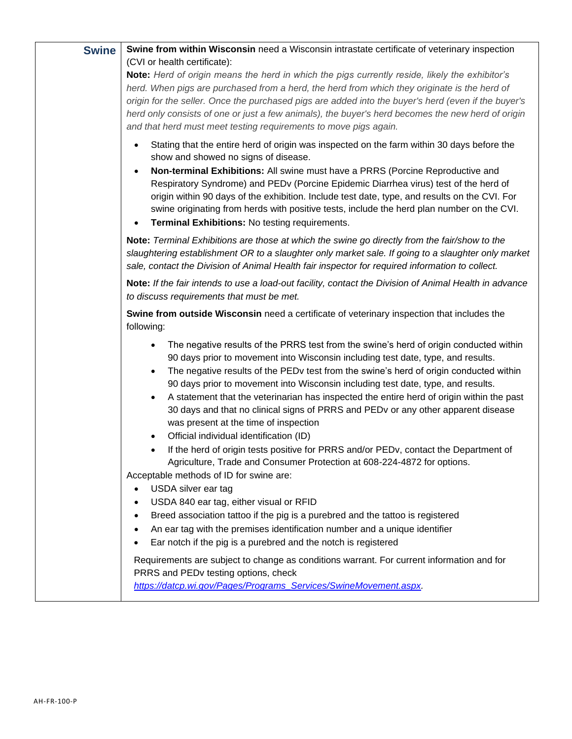| <b>Swine</b> | Swine from within Wisconsin need a Wisconsin intrastate certificate of veterinary inspection                                                                                                                                                                                                                                                                                                                                         |
|--------------|--------------------------------------------------------------------------------------------------------------------------------------------------------------------------------------------------------------------------------------------------------------------------------------------------------------------------------------------------------------------------------------------------------------------------------------|
|              | (CVI or health certificate):                                                                                                                                                                                                                                                                                                                                                                                                         |
|              | Note: Herd of origin means the herd in which the pigs currently reside, likely the exhibitor's                                                                                                                                                                                                                                                                                                                                       |
|              | herd. When pigs are purchased from a herd, the herd from which they originate is the herd of                                                                                                                                                                                                                                                                                                                                         |
|              | origin for the seller. Once the purchased pigs are added into the buyer's herd (even if the buyer's                                                                                                                                                                                                                                                                                                                                  |
|              | herd only consists of one or just a few animals), the buyer's herd becomes the new herd of origin                                                                                                                                                                                                                                                                                                                                    |
|              | and that herd must meet testing requirements to move pigs again.                                                                                                                                                                                                                                                                                                                                                                     |
|              | Stating that the entire herd of origin was inspected on the farm within 30 days before the<br>show and showed no signs of disease.                                                                                                                                                                                                                                                                                                   |
|              | Non-terminal Exhibitions: All swine must have a PRRS (Porcine Reproductive and<br>Respiratory Syndrome) and PEDv (Porcine Epidemic Diarrhea virus) test of the herd of<br>origin within 90 days of the exhibition. Include test date, type, and results on the CVI. For<br>swine originating from herds with positive tests, include the herd plan number on the CVI.<br>Terminal Exhibitions: No testing requirements.<br>$\bullet$ |
|              | Note: Terminal Exhibitions are those at which the swine go directly from the fair/show to the<br>slaughtering establishment OR to a slaughter only market sale. If going to a slaughter only market<br>sale, contact the Division of Animal Health fair inspector for required information to collect.                                                                                                                               |
|              | Note: If the fair intends to use a load-out facility, contact the Division of Animal Health in advance<br>to discuss requirements that must be met.                                                                                                                                                                                                                                                                                  |
|              | Swine from outside Wisconsin need a certificate of veterinary inspection that includes the<br>following:                                                                                                                                                                                                                                                                                                                             |
|              | The negative results of the PRRS test from the swine's herd of origin conducted within<br>90 days prior to movement into Wisconsin including test date, type, and results.                                                                                                                                                                                                                                                           |
|              | The negative results of the PEDv test from the swine's herd of origin conducted within<br>$\bullet$<br>90 days prior to movement into Wisconsin including test date, type, and results.                                                                                                                                                                                                                                              |
|              | A statement that the veterinarian has inspected the entire herd of origin within the past<br>$\bullet$<br>30 days and that no clinical signs of PRRS and PEDv or any other apparent disease<br>was present at the time of inspection                                                                                                                                                                                                 |
|              | Official individual identification (ID)<br>$\bullet$                                                                                                                                                                                                                                                                                                                                                                                 |
|              | If the herd of origin tests positive for PRRS and/or PEDv, contact the Department of<br>$\bullet$<br>Agriculture, Trade and Consumer Protection at 608-224-4872 for options.                                                                                                                                                                                                                                                         |
|              | Acceptable methods of ID for swine are:                                                                                                                                                                                                                                                                                                                                                                                              |
|              | USDA silver ear tag<br>$\bullet$                                                                                                                                                                                                                                                                                                                                                                                                     |
|              | USDA 840 ear tag, either visual or RFID                                                                                                                                                                                                                                                                                                                                                                                              |
|              | Breed association tattoo if the pig is a purebred and the tattoo is registered                                                                                                                                                                                                                                                                                                                                                       |
|              | An ear tag with the premises identification number and a unique identifier                                                                                                                                                                                                                                                                                                                                                           |
|              | Ear notch if the pig is a purebred and the notch is registered                                                                                                                                                                                                                                                                                                                                                                       |
|              | Requirements are subject to change as conditions warrant. For current information and for<br>PRRS and PEDv testing options, check                                                                                                                                                                                                                                                                                                    |
|              | https://datcp.wi.gov/Pages/Programs_Services/SwineMovement.aspx.                                                                                                                                                                                                                                                                                                                                                                     |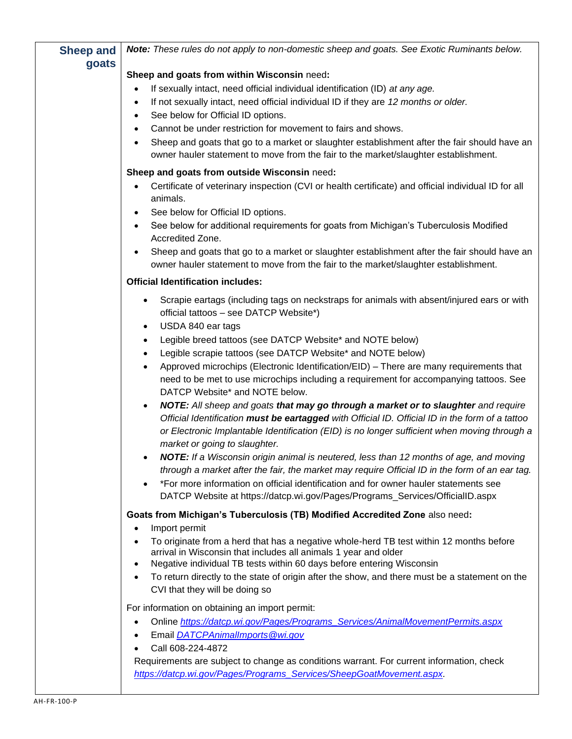| <b>Sheep and</b> | Note: These rules do not apply to non-domestic sheep and goats. See Exotic Ruminants below.                                                                                                                                                                                                                                                                                                                                                                                                                                                                                                                                                 |
|------------------|---------------------------------------------------------------------------------------------------------------------------------------------------------------------------------------------------------------------------------------------------------------------------------------------------------------------------------------------------------------------------------------------------------------------------------------------------------------------------------------------------------------------------------------------------------------------------------------------------------------------------------------------|
| goats            | Sheep and goats from within Wisconsin need:                                                                                                                                                                                                                                                                                                                                                                                                                                                                                                                                                                                                 |
|                  | If sexually intact, need official individual identification (ID) at any age.<br>٠<br>If not sexually intact, need official individual ID if they are 12 months or older.<br>$\bullet$<br>See below for Official ID options.<br>$\bullet$<br>Cannot be under restriction for movement to fairs and shows.<br>$\bullet$<br>Sheep and goats that go to a market or slaughter establishment after the fair should have an<br>$\bullet$<br>owner hauler statement to move from the fair to the market/slaughter establishment.                                                                                                                   |
|                  | Sheep and goats from outside Wisconsin need:<br>Certificate of veterinary inspection (CVI or health certificate) and official individual ID for all<br>$\bullet$<br>animals.<br>See below for Official ID options.<br>$\bullet$<br>See below for additional requirements for goats from Michigan's Tuberculosis Modified<br>$\bullet$<br>Accredited Zone.<br>Sheep and goats that go to a market or slaughter establishment after the fair should have an<br>$\bullet$<br>owner hauler statement to move from the fair to the market/slaughter establishment.                                                                               |
|                  | <b>Official Identification includes:</b>                                                                                                                                                                                                                                                                                                                                                                                                                                                                                                                                                                                                    |
|                  | Scrapie eartags (including tags on neckstraps for animals with absent/injured ears or with<br>٠<br>official tattoos - see DATCP Website*)<br>USDA 840 ear tags<br>$\bullet$                                                                                                                                                                                                                                                                                                                                                                                                                                                                 |
|                  | Legible breed tattoos (see DATCP Website* and NOTE below)<br>Legible scrapie tattoos (see DATCP Website* and NOTE below)<br>$\bullet$<br>Approved microchips (Electronic Identification/EID) - There are many requirements that<br>$\bullet$<br>need to be met to use microchips including a requirement for accompanying tattoos. See<br>DATCP Website* and NOTE below.                                                                                                                                                                                                                                                                    |
|                  | NOTE: All sheep and goats that may go through a market or to slaughter and require<br>$\bullet$<br>Official Identification must be eartagged with Official ID. Official ID in the form of a tattoo<br>or Electronic Implantable Identification (EID) is no longer sufficient when moving through a<br>market or going to slaughter.<br><b>NOTE:</b> If a Wisconsin origin animal is neutered, less than 12 months of age, and moving<br>through a market after the fair, the market may require Official ID in the form of an ear tag.<br>*For more information on official identification and for owner hauler statements see<br>$\bullet$ |
|                  | DATCP Website at https://datcp.wi.gov/Pages/Programs_Services/OfficialID.aspx<br>Goats from Michigan's Tuberculosis (TB) Modified Accredited Zone also need:                                                                                                                                                                                                                                                                                                                                                                                                                                                                                |
|                  | Import permit<br>٠<br>To originate from a herd that has a negative whole-herd TB test within 12 months before<br>$\bullet$<br>arrival in Wisconsin that includes all animals 1 year and older<br>Negative individual TB tests within 60 days before entering Wisconsin<br>$\bullet$<br>To return directly to the state of origin after the show, and there must be a statement on the<br>$\bullet$<br>CVI that they will be doing so                                                                                                                                                                                                        |
|                  | For information on obtaining an import permit:<br>Online https://datcp.wi.gov/Pages/Programs Services/AnimalMovementPermits.aspx<br>٠<br>Email <b>DATCPAnimalImports</b> @wi.gov<br>Call 608-224-4872<br>Requirements are subject to change as conditions warrant. For current information, check<br>https://datcp.wi.gov/Pages/Programs_Services/SheepGoatMovement.aspx.                                                                                                                                                                                                                                                                   |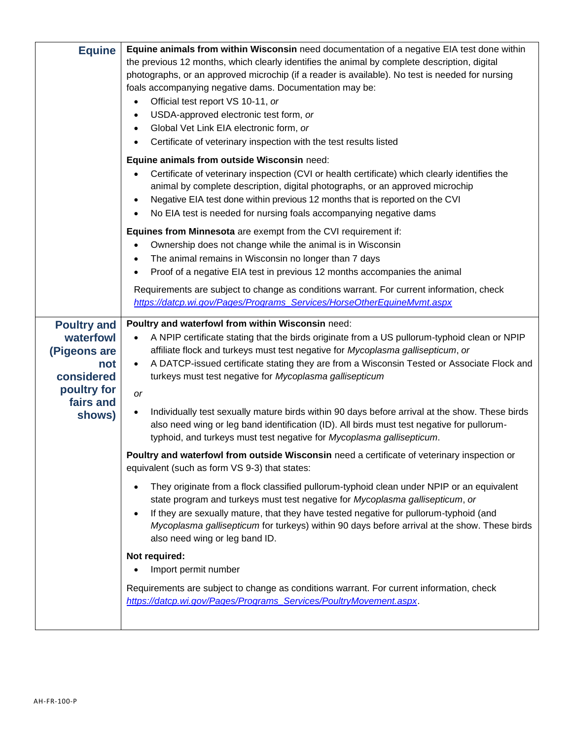| <b>Equine</b>                                                                                              | Equine animals from within Wisconsin need documentation of a negative EIA test done within<br>the previous 12 months, which clearly identifies the animal by complete description, digital<br>photographs, or an approved microchip (if a reader is available). No test is needed for nursing<br>foals accompanying negative dams. Documentation may be:<br>Official test report VS 10-11, or<br>USDA-approved electronic test form, or<br>Global Vet Link EIA electronic form, or<br>Certificate of veterinary inspection with the test results listed<br>Equine animals from outside Wisconsin need:<br>Certificate of veterinary inspection (CVI or health certificate) which clearly identifies the<br>animal by complete description, digital photographs, or an approved microchip<br>Negative EIA test done within previous 12 months that is reported on the CVI |
|------------------------------------------------------------------------------------------------------------|--------------------------------------------------------------------------------------------------------------------------------------------------------------------------------------------------------------------------------------------------------------------------------------------------------------------------------------------------------------------------------------------------------------------------------------------------------------------------------------------------------------------------------------------------------------------------------------------------------------------------------------------------------------------------------------------------------------------------------------------------------------------------------------------------------------------------------------------------------------------------|
|                                                                                                            | No EIA test is needed for nursing foals accompanying negative dams<br>Equines from Minnesota are exempt from the CVI requirement if:<br>Ownership does not change while the animal is in Wisconsin<br>The animal remains in Wisconsin no longer than 7 days<br>Proof of a negative EIA test in previous 12 months accompanies the animal<br>Requirements are subject to change as conditions warrant. For current information, check<br>https://datcp.wi.gov/Pages/Programs_Services/HorseOtherEquineMvmt.aspx                                                                                                                                                                                                                                                                                                                                                           |
| <b>Poultry and</b><br>waterfowl<br>(Pigeons are<br>not<br>considered<br>poultry for<br>fairs and<br>shows) | Poultry and waterfowl from within Wisconsin need:<br>A NPIP certificate stating that the birds originate from a US pullorum-typhoid clean or NPIP<br>affiliate flock and turkeys must test negative for Mycoplasma gallisepticum, or<br>A DATCP-issued certificate stating they are from a Wisconsin Tested or Associate Flock and<br>$\bullet$<br>turkeys must test negative for Mycoplasma gallisepticum<br>or<br>Individually test sexually mature birds within 90 days before arrival at the show. These birds<br>also need wing or leg band identification (ID). All birds must test negative for pullorum-<br>typhoid, and turkeys must test negative for Mycoplasma gallisepticum.                                                                                                                                                                                |
|                                                                                                            | Poultry and waterfowl from outside Wisconsin need a certificate of veterinary inspection or<br>equivalent (such as form VS 9-3) that states:<br>They originate from a flock classified pullorum-typhoid clean under NPIP or an equivalent<br>state program and turkeys must test negative for Mycoplasma gallisepticum, or<br>If they are sexually mature, that they have tested negative for pullorum-typhoid (and<br>Mycoplasma gallisepticum for turkeys) within 90 days before arrival at the show. These birds<br>also need wing or leg band ID.<br>Not required:<br>Import permit number<br>Requirements are subject to change as conditions warrant. For current information, check<br>https://datcp.wi.gov/Pages/Programs_Services/PoultryMovement.aspx.                                                                                                         |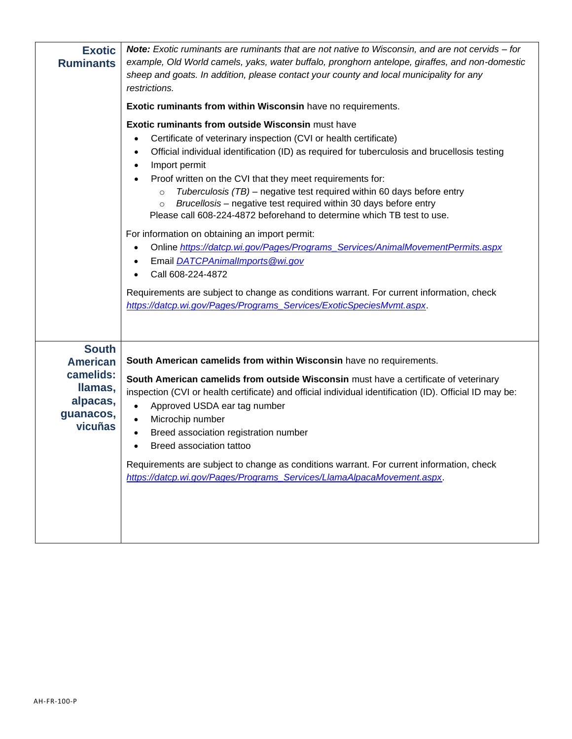| <b>Exotic</b><br><b>Ruminants</b>                                           | <b>Note:</b> Exotic ruminants are ruminants that are not native to Wisconsin, and are not cervids – for<br>example, Old World camels, yaks, water buffalo, pronghorn antelope, giraffes, and non-domestic<br>sheep and goats. In addition, please contact your county and local municipality for any<br>restrictions.<br><b>Exotic ruminants from within Wisconsin have no requirements.</b><br>Exotic ruminants from outside Wisconsin must have<br>Certificate of veterinary inspection (CVI or health certificate)<br>Official individual identification (ID) as required for tuberculosis and brucellosis testing<br>٠<br>Import permit<br>$\bullet$<br>Proof written on the CVI that they meet requirements for:<br>Tuberculosis (TB) – negative test required within 60 days before entry<br>$\circ$<br>Brucellosis – negative test required within 30 days before entry<br>$\circ$<br>Please call 608-224-4872 beforehand to determine which TB test to use.<br>For information on obtaining an import permit:<br>Online https://datcp.wi.gov/Pages/Programs Services/AnimalMovementPermits.aspx<br>Email DATCPAnimalImports@wi.gov<br>Call 608-224-4872 |
|-----------------------------------------------------------------------------|-----------------------------------------------------------------------------------------------------------------------------------------------------------------------------------------------------------------------------------------------------------------------------------------------------------------------------------------------------------------------------------------------------------------------------------------------------------------------------------------------------------------------------------------------------------------------------------------------------------------------------------------------------------------------------------------------------------------------------------------------------------------------------------------------------------------------------------------------------------------------------------------------------------------------------------------------------------------------------------------------------------------------------------------------------------------------------------------------------------------------------------------------------------------|
| <b>South</b>                                                                | Requirements are subject to change as conditions warrant. For current information, check<br>https://datcp.wi.gov/Pages/Programs_Services/ExoticSpeciesMvmt.aspx.                                                                                                                                                                                                                                                                                                                                                                                                                                                                                                                                                                                                                                                                                                                                                                                                                                                                                                                                                                                                |
| <b>American</b><br>camelids:<br>Ilamas,<br>alpacas,<br>guanacos,<br>vicuñas | South American camelids from within Wisconsin have no requirements.<br>South American camelids from outside Wisconsin must have a certificate of veterinary<br>inspection (CVI or health certificate) and official individual identification (ID). Official ID may be:<br>Approved USDA ear tag number<br>$\bullet$<br>Microchip number<br>$\bullet$<br>Breed association registration number<br>$\bullet$<br>Breed association tattoo<br>Requirements are subject to change as conditions warrant. For current information, check<br>https://datcp.wi.gov/Pages/Programs_Services/LlamaAlpacaMovement.aspx.                                                                                                                                                                                                                                                                                                                                                                                                                                                                                                                                                    |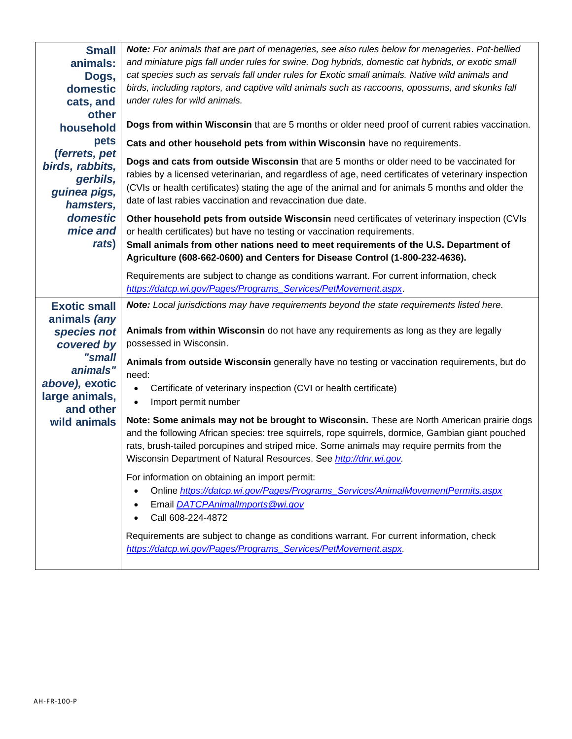| <b>Small</b><br>animals:<br>Dogs,<br>domestic<br>cats, and<br>other<br>household<br>pets<br>(ferrets, pet<br>birds, rabbits,<br>gerbils,<br>guinea pigs,<br>hamsters,<br>domestic<br>mice and<br>rats) | Note: For animals that are part of menageries, see also rules below for menageries. Pot-bellied<br>and miniature pigs fall under rules for swine. Dog hybrids, domestic cat hybrids, or exotic small<br>cat species such as servals fall under rules for Exotic small animals. Native wild animals and<br>birds, including raptors, and captive wild animals such as raccoons, opossums, and skunks fall<br>under rules for wild animals.<br>Dogs from within Wisconsin that are 5 months or older need proof of current rabies vaccination.<br>Cats and other household pets from within Wisconsin have no requirements.<br>Dogs and cats from outside Wisconsin that are 5 months or older need to be vaccinated for<br>rabies by a licensed veterinarian, and regardless of age, need certificates of veterinary inspection<br>(CVIs or health certificates) stating the age of the animal and for animals 5 months and older the<br>date of last rabies vaccination and revaccination due date.<br>Other household pets from outside Wisconsin need certificates of veterinary inspection (CVIs<br>or health certificates) but have no testing or vaccination requirements.<br>Small animals from other nations need to meet requirements of the U.S. Department of |
|--------------------------------------------------------------------------------------------------------------------------------------------------------------------------------------------------------|-------------------------------------------------------------------------------------------------------------------------------------------------------------------------------------------------------------------------------------------------------------------------------------------------------------------------------------------------------------------------------------------------------------------------------------------------------------------------------------------------------------------------------------------------------------------------------------------------------------------------------------------------------------------------------------------------------------------------------------------------------------------------------------------------------------------------------------------------------------------------------------------------------------------------------------------------------------------------------------------------------------------------------------------------------------------------------------------------------------------------------------------------------------------------------------------------------------------------------------------------------------------------|
|                                                                                                                                                                                                        | Agriculture (608-662-0600) and Centers for Disease Control (1-800-232-4636).<br>Requirements are subject to change as conditions warrant. For current information, check                                                                                                                                                                                                                                                                                                                                                                                                                                                                                                                                                                                                                                                                                                                                                                                                                                                                                                                                                                                                                                                                                                |
|                                                                                                                                                                                                        | https://datcp.wi.gov/Pages/Programs_Services/PetMovement.aspx.                                                                                                                                                                                                                                                                                                                                                                                                                                                                                                                                                                                                                                                                                                                                                                                                                                                                                                                                                                                                                                                                                                                                                                                                          |
| <b>Exotic small</b><br>animals (any<br>species not<br>covered by<br>"small<br>animals"<br>above), exotic<br>large animals,<br>and other                                                                | Note: Local jurisdictions may have requirements beyond the state requirements listed here.<br>Animals from within Wisconsin do not have any requirements as long as they are legally<br>possessed in Wisconsin.<br>Animals from outside Wisconsin generally have no testing or vaccination requirements, but do<br>need:<br>Certificate of veterinary inspection (CVI or health certificate)<br>$\bullet$<br>Import permit number                                                                                                                                                                                                                                                                                                                                                                                                                                                                                                                                                                                                                                                                                                                                                                                                                                       |
| wild animals                                                                                                                                                                                           | Note: Some animals may not be brought to Wisconsin. These are North American prairie dogs<br>and the following African species: tree squirrels, rope squirrels, dormice, Gambian giant pouched<br>rats, brush-tailed porcupines and striped mice. Some animals may require permits from the<br>Wisconsin Department of Natural Resources. See http://dnr.wi.gov.                                                                                                                                                                                                                                                                                                                                                                                                                                                                                                                                                                                                                                                                                                                                                                                                                                                                                                        |
|                                                                                                                                                                                                        | For information on obtaining an import permit:<br>Online https://datcp.wi.gov/Pages/Programs_Services/AnimalMovementPermits.aspx<br>Email DATCPAnimalImports@wi.gov<br>$\bullet$<br>Call 608-224-4872<br>Requirements are subject to change as conditions warrant. For current information, check<br>https://datcp.wi.gov/Pages/Programs_Services/PetMovement.aspx.                                                                                                                                                                                                                                                                                                                                                                                                                                                                                                                                                                                                                                                                                                                                                                                                                                                                                                     |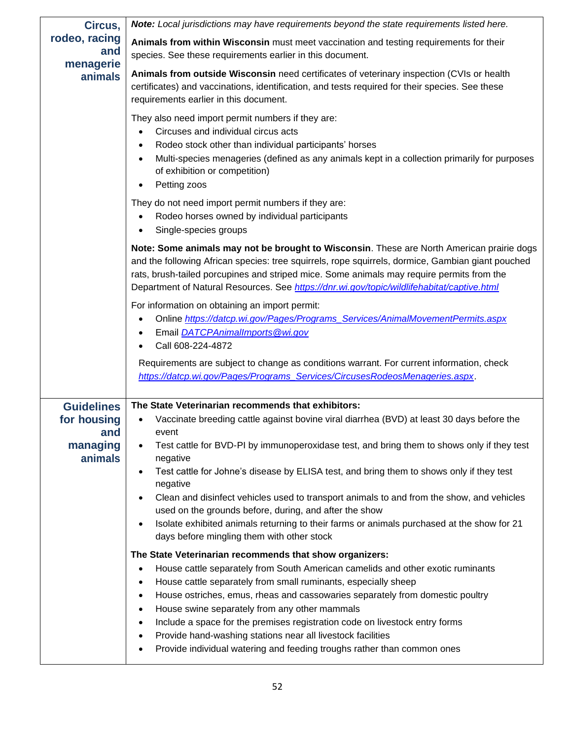| Circus,                                 | Note: Local jurisdictions may have requirements beyond the state requirements listed here.                                                                                                                                                                                                                                                                                                                                                                                                                                                                                                                                                                         |
|-----------------------------------------|--------------------------------------------------------------------------------------------------------------------------------------------------------------------------------------------------------------------------------------------------------------------------------------------------------------------------------------------------------------------------------------------------------------------------------------------------------------------------------------------------------------------------------------------------------------------------------------------------------------------------------------------------------------------|
| rodeo, racing<br>and<br>menagerie       | Animals from within Wisconsin must meet vaccination and testing requirements for their<br>species. See these requirements earlier in this document.                                                                                                                                                                                                                                                                                                                                                                                                                                                                                                                |
| animals                                 | Animals from outside Wisconsin need certificates of veterinary inspection (CVIs or health<br>certificates) and vaccinations, identification, and tests required for their species. See these<br>requirements earlier in this document.                                                                                                                                                                                                                                                                                                                                                                                                                             |
|                                         | They also need import permit numbers if they are:<br>Circuses and individual circus acts<br>$\bullet$<br>Rodeo stock other than individual participants' horses<br>Multi-species menageries (defined as any animals kept in a collection primarily for purposes<br>of exhibition or competition)<br>Petting zoos                                                                                                                                                                                                                                                                                                                                                   |
|                                         | They do not need import permit numbers if they are:<br>Rodeo horses owned by individual participants<br>$\bullet$<br>Single-species groups<br>$\bullet$                                                                                                                                                                                                                                                                                                                                                                                                                                                                                                            |
|                                         | Note: Some animals may not be brought to Wisconsin. These are North American prairie dogs<br>and the following African species: tree squirrels, rope squirrels, dormice, Gambian giant pouched<br>rats, brush-tailed porcupines and striped mice. Some animals may require permits from the<br>Department of Natural Resources. See https://dnr.wi.gov/topic/wildlifehabitat/captive.html                                                                                                                                                                                                                                                                          |
|                                         | For information on obtaining an import permit:<br>Online https://datcp.wi.gov/Pages/Programs_Services/AnimalMovementPermits.aspx<br>Email DATCPAnimalImports@wi.gov<br>$\bullet$<br>Call 608-224-4872                                                                                                                                                                                                                                                                                                                                                                                                                                                              |
|                                         | Requirements are subject to change as conditions warrant. For current information, check<br>https://datcp.wi.gov/Pages/Programs_Services/CircusesRodeosMenageries.aspx.                                                                                                                                                                                                                                                                                                                                                                                                                                                                                            |
| <b>Guidelines</b><br>for housing<br>and | The State Veterinarian recommends that exhibitors:<br>Vaccinate breeding cattle against bovine viral diarrhea (BVD) at least 30 days before the<br>event                                                                                                                                                                                                                                                                                                                                                                                                                                                                                                           |
| managing<br>animals                     | Test cattle for BVD-PI by immunoperoxidase test, and bring them to shows only if they test<br>٠<br>negative<br>Test cattle for Johne's disease by ELISA test, and bring them to shows only if they test                                                                                                                                                                                                                                                                                                                                                                                                                                                            |
|                                         | negative<br>Clean and disinfect vehicles used to transport animals to and from the show, and vehicles<br>used on the grounds before, during, and after the show<br>Isolate exhibited animals returning to their farms or animals purchased at the show for 21<br>$\bullet$<br>days before mingling them with other stock                                                                                                                                                                                                                                                                                                                                           |
|                                         | The State Veterinarian recommends that show organizers:<br>House cattle separately from South American camelids and other exotic ruminants<br>$\bullet$<br>House cattle separately from small ruminants, especially sheep<br>$\bullet$<br>House ostriches, emus, rheas and cassowaries separately from domestic poultry<br>$\bullet$<br>House swine separately from any other mammals<br>$\bullet$<br>Include a space for the premises registration code on livestock entry forms<br>$\bullet$<br>Provide hand-washing stations near all livestock facilities<br>$\bullet$<br>Provide individual watering and feeding troughs rather than common ones<br>$\bullet$ |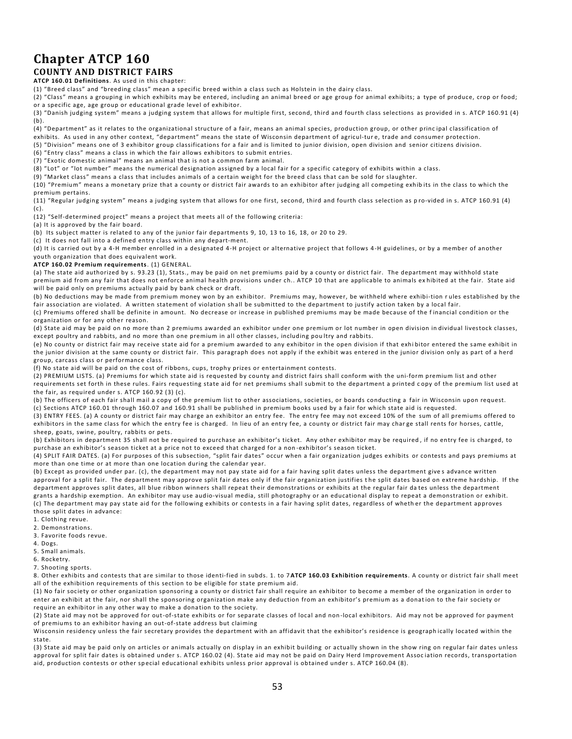### **Chapter ATCP 160 COUNTY AND DISTRICT FAIRS**

**ATCP 160.01 Definitions**. As used in this chapter:

(1) "Breed class" and "breeding class" mean a specific breed within a class such as Holstein in the dairy class.

(2) "Class" means a grouping in which exhibits may be entered, including an animal breed or age group for animal exhibits; a type of produce, crop or food; or a specific age, age group or educational grade level of exhibitor.

(3) "Danish judging system" means a judging system that allows for multiple first, second, third and fourth class selections as provided in s. ATCP 160.91 (4) (b).

(4) "Department" as it relates to the organizational structure of a fair, means an animal species, production group, or other princ ipal classification of

exhibits. As used in any other context, "department" means the state of Wisconsin department of agricul-ture, trade and consumer protection. (5) "Division" means one of 3 exhibitor group classifications for a fair and is limited to junior division, open division and senior citizens division.

(6) "Entry class" means a class in which the fair allows exhibitors to submit entries.

(7) "Exotic domestic animal" means an animal that is not a common farm animal.

(8) "Lot" or "lot number" means the numerical designation assigned by a local fair for a specific category of exhibits within a class.

(9) "Market class" means a class that includes animals of a certain weight for the breed class that can be sold for slaughter.

(10) "Premium" means a monetary prize that a county or district fair awards to an exhibitor after judging all competing exhibits in the class to which the premium pertains.

(11) "Regular judging system" means a judging system that allows for one first, second, third and fourth class selection as p ro-vided in s. ATCP 160.91 (4) (c).

(12) "Self-determined project" means a project that meets all of the following criteria:

(a) It is approved by the fair board.

(b) Its subject matter is related to any of the junior fair departments 9, 10, 13 to 16, 18, or 20 to 29.

(c) It does not fall into a defined entry class within any depart-ment.

(d) It is carried out by a 4-H member enrolled in a designated 4-H project or alternative project that follows 4-H guidelines, or by a member of another youth organization that does equivalent work.

**ATCP 160.02 Premium requirements**. (1) GENERAL.

(a) The state aid authorized by s. 93.23 (1), Stats., may be paid on net premiums paid by a county or district fair. The department may withhold state premium aid from any fair that does not enforce animal health provisions under ch.. ATCP 10 that are applicable to animals ex hibited at the fair. State aid will be paid only on premiums actually paid by bank check or draft.

(b) No deductions may be made from premium money won by an exhibitor. Premiums may, however, be withheld where exhibi-tion r ules established by the fair association are violated. A written statement of violation shall be submitted to the department to justify action taken by a local fair.

(c) Premiums offered shall be definite in amount. No decrease or increase in published premiums may be made because of the f inancial condition or the organization or for any other reason.

(d) State aid may be paid on no more than 2 premiums awarded an exhibitor under one premium or lot number in open division in dividual livestock classes, except poultry and rabbits, and no more than one premium in all other classes, including pou ltry and rabbits.

(e) No county or district fair may receive state aid for a premium awarded to any exhibitor in the open division if that exhi bitor entered the same exhibit in the junior division at the same county or district fair. This paragraph does not apply if the exhibit was entered in the junior division only as part of a herd group, carcass class or performance class.

(f) No state aid will be paid on the cost of ribbons, cups, trophy prizes or entertainment contests.

(2) PREMIUM LISTS. (a) Premiums for which state aid is requested by county and district fairs shall conform with the uni-form premium list and other requirements set forth in these rules. Fairs requesting state aid for net premiums shall submit to the department a printed c opy of the premium list used at the fair, as required under s. ATCP 160.92 (3) (c).

(b) The officers of each fair shall mail a copy of the premium list to other associations, societies, or boards conducting a fair in Wisconsin upon request. (c) Sections ATCP 160.01 through 160.07 and 160.91 shall be published in premium books used by a fair for which state aid is requested.

(3) ENTRY FEES. (a) A county or district fair may charge an exhibitor an entry fee. The entry fee may not exceed 10% of the sum of all premiums offered to exhibitors in the same class for which the entry fee is charged. In lieu of an entry fee, a county or district fair may charge stall rents for horses, cattle, sheep, goats, swine, poultry, rabbits or pets.

(b) Exhibitors in department 35 shall not be required to purchase an exhibitor's ticket. Any other exhibitor may be required , if no entry fee is charged, to purchase an exhibitor's season ticket at a price not to exceed that charged for a non -exhibitor's season ticket.

(4) SPLIT FAIR DATES. (a) For purposes of this subsection, "split fair dates" occur when a fair organization judges exhibits or contests and pays premiums at more than one time or at more than one location during the calendar year.

(b) Except as provided under par. (c), the department may not pay state aid for a fair having split dates unless the department give s advance written approval for a split fair. The department may approve split fair dates only if the fair organization justifies the split dates based on extreme hardship. If the department approves split dates, all blue ribbon winners shall repeat their demonstrations or exhibits at the regular fair da tes unless the department grants a hardship exemption. An exhibitor may use audio-visual media, still photography or an educational display to repeat a demonstration or exhibit. (c) The department may pay state aid for the following exhibits or contests in a fair having split dates, regardless of wheth er the department approves those split dates in advance:

- 1. Clothing revue.
- 2. Demonstrations.
- 3. Favorite foods revue.
- 4. Dogs.
- 5. Small animals.
- 6. Rocketry.
- 7. Shooting sports.

8. Other exhibits and contests that are similar to those identi-fied in subds. 1. to 7 **ATCP 160.03 Exhibition requirements**. A county or district fair shall meet all of the exhibition requirements of this section to be eligible for state premium aid.

(1) No fair society or other organization sponsoring a county or district fair shall require an exhibitor to become a member of the organization in order to enter an exhibit at the fair, nor shall the sponsoring organization make any deduction from an exhibitor's premium as a donat ion to the fair society or require an exhibitor in any other way to make a donation to the society.

(2) State aid may not be approved for out-of-state exhibits or for separate classes of local and non -local exhibitors. Aid may not be approved for payment of premiums to an exhibitor having an out-of-state address but claiming

Wisconsin residency unless the fair secretary provides the department with an affidavit that the exhibitor's residence is geograph ically located within the state.

(3) State aid may be paid only on articles or animals actually on display in an exhibit building or actually shown in the show ring on regular fair dates unless approval for split fair dates is obtained under s. ATCP 160.02 (4). State aid may not be paid on Dairy Herd Improvement Association records, transportation aid, production contests or other special educational exhibits unless prior approval is obtained under s. ATCP 160.04 (8).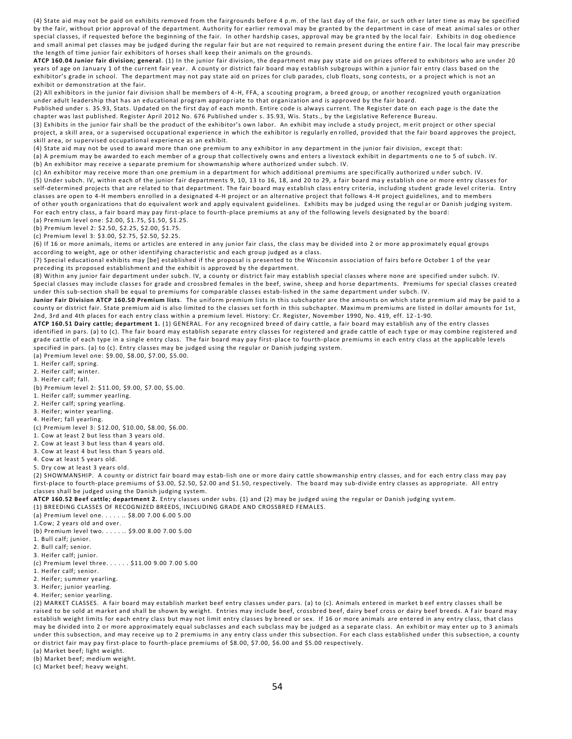(4) State aid may not be paid on exhibits removed from the fairgrounds before 4 p.m. of the last day of the fair, or such oth er later time as may be specified by the fair, without prior approval of the department. Authority for earlier removal may be granted by the department in case of meat animal sales or other special classes, if requested before the beginning of the fair. In other hardship cases, approval may be gra nted by the local fair. Exhibits in dog obedience and small animal pet classes may be judged during the regular fair but are not required to remain present during the entire fair. The local fair may prescribe the length of time junior fair exhibitors of horses shall keep their animals on the grounds.

**ATCP 160.04 Junior fair division; general**. (1) In the junior fair division, the department may pay state aid on prizes offered to exhibitors who are under 20 years of age on January 1 of the current fair year. A county or district fair board may establish subgroups within a junior fair entry class based on the exhibitor's grade in school. The department may not pay state aid on prizes for club parades, club floats, song contests, or a project which is not an exhibit or demonstration at the fair.

(2) All exhibitors in the junior fair division shall be members of 4 -H, FFA, a scouting program, a breed group, or another recognized youth organization under adult leadership that has an educational program appropriate to that organization and is approved by the fair board.

Published under s. 35.93, Stats. Updated on the first day of each month. Entire code is always current. The Register date on each page is the date the chapter was last published. Register April 2012 No. 676 Published under s. 35.93, Wis. Stats., by the Legislative Reference Bureau.

(3) Exhibits in the junior fair shall be the product of the exhibitor's own labor. An exhibit may include a study project, m erit project or other special project, a skill area, or a supervised occupational experience in which the exhibitor is regularly en rolled, provided that the fair board approves the project, skill area, or supervised occupational experience as an exhibit.

(4) State aid may not be used to award more than one premium to any exhibitor in any department in the junior fair division, except that:

(a) A premium may be awarded to each member of a group that collectively owns and enters a livestock exhibit in departments o ne to 5 of subch. IV. (b) An exhibitor may receive a separate premium for showmanship where authorized under subch. IV.

(c) An exhibitor may receive more than one premium in a department for which additional premiums are specifically authorized u nder subch. IV. (5) Under subch. IV, within each of the junior fair departments 9, 10, 13 to 16, 18, and 20 to 29, a fair board may establish one or more entry classes for self-determined projects that are related to that department. The fair board may establish class entry criteria, including student grade level criteria. Entry classes are open to 4-H members enrolled in a designated 4-H project or an alternative project that follows 4 -H project guidelines, and to members of other youth organizations that do equivalent work and apply equivalent guidelines. Exhibits may be judged using the regul ar or Danish judging system. For each entry class, a fair board may pay first-place to fourth-place premiums at any of the following levels designated by the board:

(a) Premium level one: \$2.00, \$1.75, \$1.50, \$1.25.

(b) Premium level 2: \$2.50, \$2.25, \$2.00, \$1.75.

(c) Premium level 3: \$3.00, \$2.75, \$2.50, \$2.25.

(6) If 16 or more animals, items or articles are entered in any junior fair class, the class may be divided into 2 or more ap proximately equal groups according to weight, age or other identifying characteristic and each group judged as a class.

(7) Special educational exhibits may [be] established if the proposal is presented to the Wisconsin association of fairs befo re October 1 of the year preceding its proposed establishment and the exhibit is approved by the department.

(8) Within any junior fair department under subch. IV, a county or district fair may establish special classes where none are specified under subch. IV. Special classes may include classes for grade and crossbred females in the beef, swine, sheep and horse departments. Premiums for special classes created under this sub-section shall be equal to premiums for comparable classes estab-lished in the same department under subch. IV.

**Junior Fair Division ATCP 160.50 Premium lists**. The uniform premium lists in this subchapter are the amounts on which state premium aid may be paid to a county or district fair. State premium aid is also limited to the classes set forth in this subchapter. Maximu m premiums are listed in dollar amounts for 1st, 2nd, 3rd and 4th places for each entry class within a premium level. History: Cr. Register, November 1990, No. 419, eff. 12 -1-90.

**ATCP 160.51 Dairy cattle; department 1.** (1) GENERAL. For any recognized breed of dairy cattle, a fair board may establish any of the entry classes identified in pars. (a) to (c). The fair board may establish separate entry classes for registered and grade cattle of each type or may combine registered and grade cattle of each type in a single entry class. The fair board may pay first-place to fourth-place premiums in each entry class at the applicable levels specified in pars. (a) to (c). Entry classes may be judged using the regular or Danish judging system. (a) Premium level one: \$9.00, \$8.00, \$7.00, \$5.00.

1. Heifer calf; spring.

2. Heifer calf; winter.

3. Heifer calf; fall.

(b) Premium level 2: \$11.00, \$9.00, \$7.00, \$5.00.

1. Heifer calf; summer yearling.

2. Heifer calf; spring yearling.

3. Heifer; winter yearling.

4. Heifer; fall yearling.

(c) Premium level 3: \$12.00, \$10.00, \$8.00, \$6.00.

1. Cow at least 2 but less than 3 years old.

2. Cow at least 3 but less than 4 years old.

3. Cow at least 4 but less than 5 years old.

4. Cow at least 5 years old.

5. Dry cow at least 3 years old.

(2) SHOWMANSHIP. A county or district fair board may estab-lish one or more dairy cattle showmanship entry classes, and for each entry class may pay first-place to fourth-place premiums of \$3.00, \$2.50, \$2.00 and \$1.50, respectively. The board may sub-divide entry classes as appropriate. All entry classes shall be judged using the Danish judging system.

**ATCP 160.52 Beef cattle; department 2.** Entry classes under subs. (1) and (2) may be judged using the regular or Danish judging syst em.

(1) BREEDING CLASSES OF RECOGNIZED BREEDS, INCLUDING GRADE AND CROSSBRED FEMALES.

(a) Premium level one. . . . . .. \$8.00 7.00 6.00 5.00 1.Cow; 2 years old and over.

(b) Premium level two. . . . . .. \$9.00 8.00 7.00 5.00

1. Bull calf; junior.

2. Bull calf; senior.

3. Heifer calf; junior.

(c) Premium level three. . . . . . \$11.00 9.00 7.00 5.00 1. Heifer calf; senior.

2. Heifer; summer yearling.

3. Heifer; junior yearling.

4. Heifer; senior yearling.

(2) MARKET CLASSES. A fair board may establish market beef entry classes under pars. (a) to (c). Animals entered in market b eef entry classes shall be raised to be sold at market and shall be shown by weight. Entries may include beef, crossbred beef, dairy beef cross or dairy beef breeds. A fair board may establish weight limits for each entry class but may not limit entry classes by breed or sex. If 16 or more animals are entered in any entry class, that class may be divided into 2 or more approximately equal subclasses and each subclass may be judged as a separate class. An exhibit or may enter up to 3 animals under this subsection, and may receive up to 2 premiums in any entry class under this subsection. For each class established under this subsection, a county or district fair may pay first-place to fourth-place premiums of \$8.00, \$7.00, \$6.00 and \$5.00 respectively.

(a) Market beef; light weight.

(b) Market beef; medium weight.

(c) Market beef; heavy weight.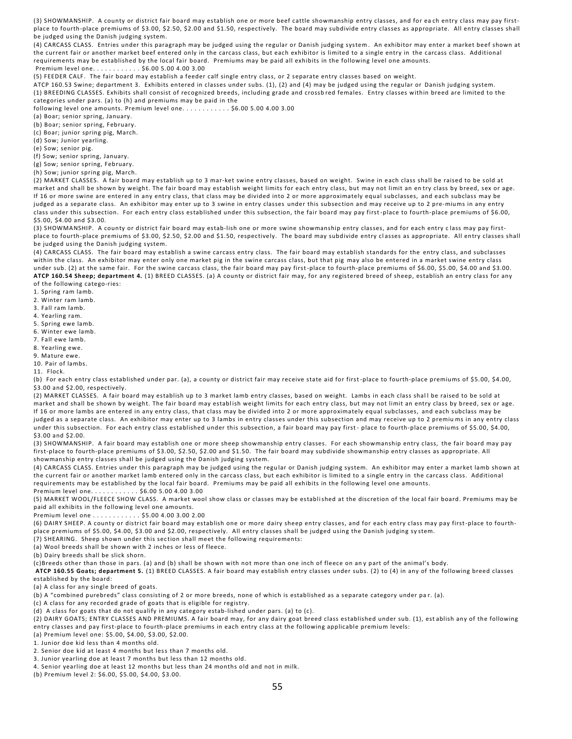(3) SHOWMANSHIP. A county or district fair board may establish one or more beef cattle showmanship entry classes, and for ea ch entry class may pay firstplace to fourth-place premiums of \$3.00, \$2.50, \$2.00 and \$1.50, respectively. The board may subdivide entry classes as appropriate. All entry classes shall be judged using the Danish judging system.

(4) CARCASS CLASS. Entries under this paragraph may be judged using the regular or Danish judging system . An exhibitor may enter a market beef shown at the current fair or another market beef entered only in the carcass class, but each exhibitor is limited to a single entry in the carcass class. Additional requirements may be established by the local fair board. Premiums may be paid all exhibits in the following level one amounts. Premium level one. . . . . . . . . . . . \$6.00 5.00 4.00 3.00

(5) FEEDER CALF. The fair board may establish a feeder calf single entry class, or 2 separate entry classes based on weight.

ATCP 160.53 Swine; department 3. Exhibits entered in classes under subs. (1), (2) and (4) may be judged using the regular or Danish judging system. (1) BREEDING CLASSES. Exhibits shall consist of recognized breeds, including grade and crossb red females. Entry classes within breed are limited to the categories under pars. (a) to (h) and premiums may be paid in the

following level one amounts. Premium level one. . . . . . . . . . . . \$6.00 5.00 4.00 3.00

(a) Boar; senior spring, January.

(b) Boar; senior spring, February.

(c) Boar; junior spring pig, March.

(d) Sow; Junior yearling.

(e) Sow; senior pig.

(f) Sow; senior spring, January.

(g) Sow; senior spring, February.

(h) Sow; junior spring pig, March.

(2) MARKET CLASSES. A fair board may establish up to 3 mar-ket swine entry classes, based on weight. Swine in each class shall be raised to be sold at market and shall be shown by weight. The fair board may establish weight limits for each entry class, but may not limit an en try class by breed, sex or age. If 16 or more swine are entered in any entry class, that class may be divided into 2 or more approximately equal subclasses, and each subclass may be judged as a separate class. An exhibitor may enter up to 3 swine in entry classes under this subsection and may receive up to 2 pre-miums in any entry class under this subsection. For each entry class established under this subsection, the fair board may pay first -place to fourth-place premiums of \$6.00, \$5.00, \$4.00 and \$3.00.

(3) SHOWMANSHIP. A county or district fair board may estab-lish one or more swine showmanship entry classes, and for each entry c lass may pay firstplace to fourth-place premiums of \$3.00, \$2.50, \$2.00 and \$1.50, respectively. The board may subdivide entry cl asses as appropriate. All entry classes shall be judged using the Danish judging system.

(4) CARCASS CLASS. The fair board may establish a swine carcass entry class. The fair board may establish standards for the entry class, and subclasses within the class. An exhibitor may enter only one market pig in the swine carcass class, but that pig may also be entered in a market swine entry class under sub. (2) at the same fair. For the swine carcass class, the fair board may pay first-place to fourth-place premiums of \$6.00, \$5.00, \$4.00 and \$3.00. **ATCP 160.54 Sheep; department 4.** (1) BREED CLASSES. (a) A county or district fair may, for any registered breed of sheep, establish an entry class for any

of the following catego-ries:

1. Spring ram lamb.

2. Winter ram lamb.

3. Fall ram lamb.

4. Yearling ram.

5. Spring ewe lamb.

6. Winter ewe lamb.

7. Fall ewe lamb.

8. Yearling ewe.

9. Mature ewe. 10. Pair of lambs.

11. Flock.

(b) For each entry class established under par. (a), a county or district fair may receive state aid for first -place to fourth-place premiums of \$5.00, \$4.00, \$3.00 and \$2.00, respectively.

(2) MARKET CLASSES. A fair board may establish up to 3 market lamb entry classes, based on weight. Lambs in each class shal l be raised to be sold at market and shall be shown by weight. The fair board may establish weight limits for each entry class, but may not limit an entry class by breed, sex or age. If 16 or more lambs are entered in any entry class, that class may be divided into 2 or more approximately equal subclasses, and each subclass may be judged as a separate class. An exhibitor may enter up to 3 lambs in entry classes under this subsection and may receive up to 2 premiu ms in any entry class under this subsection. For each entry class established under this subsection, a fair board may pay first-place to fourth-place premiums of \$5.00, \$4.00, \$3.00 and \$2.00.

(3) SHOWMANSHIP. A fair board may establish one or more sheep showmanship entry classes. For each showmanship entry class, the fair board may pay first-place to fourth-place premiums of \$3.00, \$2.50, \$2.00 and \$1.50. The fair board may subdivide showmanship entry classes as appropriate. All showmanship entry classes shall be judged using the Danish judging system.

(4) CARCASS CLASS. Entries under this paragraph may be judged using the regu lar or Danish judging system. An exhibitor may enter a market lamb shown at the current fair or another market lamb entered only in the carcass class, but each exhibitor is limited to a single entry in the carcass class. Additional requirements may be established by the local fair board. Premiums may be paid all exhibits in the following level one amounts.

Premium level one. . . . . . . . . . . . \$6.00 5.00 4.00 3.00

(5) MARKET WOOL/FLEECE SHOW CLASS. A market wool show class or classes may be established at the discretion of the local fair board. Premiums may be paid all exhibits in the following level one amounts.

Premium level one . . . . . . . . . . . . \$5.00 4.00 3.00 2.00

(6) DAIRY SHEEP. A county or district fair board may establish one or more dairy sheep entry classes, and for each entry class may pay first-place to fourthplace premiums of \$5.00, \$4.00, \$3.00 and \$2.00, respectively. All entry classes shall be judged using the Danish judging sy stem.

(7) SHEARING. Sheep shown under this sec tion shall meet the following requirements:

(a) Wool breeds shall be shown with 2 inches or less of fleece.

(b) Dairy breeds shall be slick shorn.

(c)Breeds other than those in pars. (a) and (b) shall be shown with not more than one inch of fleece on an y part of the animal's body.

**ATCP 160.55 Goats; department 5.** (1) BREED CLASSES. A fair board may establish entry classes under subs. (2) to (4) in any of the following breed classes established by the board:

(a) A class for any single breed of goats.

(b) A "combined purebreds" class consisting of 2 or more breeds, none of which is established as a separate category under pa r. (a).

(c) A class for any recorded grade of goats that is eligible for registry.

(d) A class for goats that do not qualify in any category estab-lished under pars. (a) to (c).

(2) DAIRY GOATS; ENTRY CLASSES AND PREMIUMS. A fair board may, for any dairy goat breed class established under sub. (1), est ablish any of the following entry classes and pay first-place to fourth-place premiums in each entry class at the following applicable premium levels:

(a) Premium level one: \$5.00, \$4.00, \$3.00, \$2.00.

1. Junior doe kid less than 4 months old.

2. Senior doe kid at least 4 months but less than 7 months old.

3. Junior yearling doe at least 7 months but less than 12 months old.

4. Senior yearling doe at least 12 months but less than 24 months old and not in milk.

(b) Premium level 2: \$6.00, \$5.00, \$4.00, \$3.00.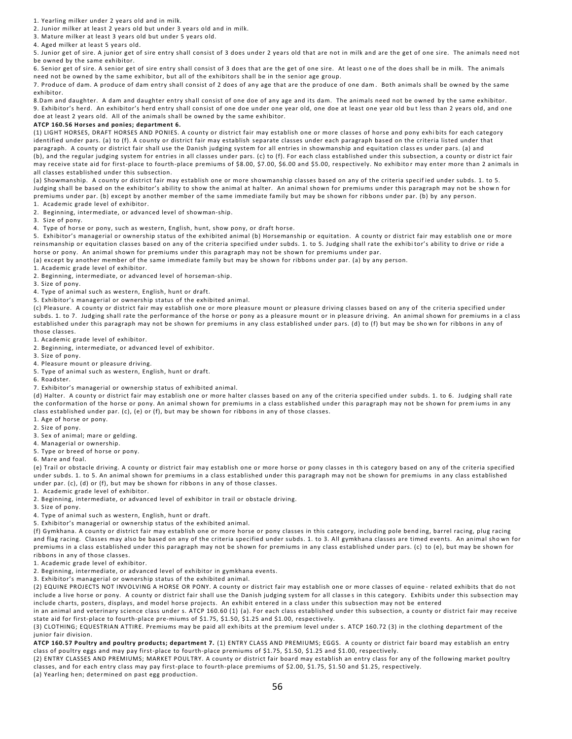1. Yearling milker under 2 years old and in milk.

2. Junior milker at least 2 years old but under 3 years old and in milk.

3. Mature milker at least 3 years old but under 5 years old.

4. Aged milker at least 5 years old.

5. Junior get of sire. A junior get of sire entry shall consist of 3 does under 2 years old that are not in milk and are the get of one sire. The animals need not be owned by the same exhibitor.

6. Senior get of sire. A senior get of sire entry shall consist of 3 does that are the get of one sire. At least o ne of the does shall be in milk. The animals need not be owned by the same exhibitor, but all of the exhibitors shall be in the senior age group.

7. Produce of dam. A produce of dam entry shall consist of 2 does of any age that are the produce of one dam . Both animals shall be owned by the same exhibitor.

8.Dam and daughter. A dam and daughter entry shall consist of one doe of any age and its dam. The animals need not be owned by the same exhibitor. 9. Exhibitor's herd. An exhibitor's herd entry shall consist of one doe under one year old, one doe at least one year old bu t less than 2 years old, and one doe at least 2 years old. All of the animals shall be owned by the same exhibitor.

### **ATCP 160.56 Horses and ponies; department 6.**

(1) LIGHT HORSES, DRAFT HORSES AND PONIES. A county or district fair may establish one or more classes of horse and pony exhi bits for each category identified under pars. (a) to (f). A county or district fair may establish separate classes under each paragraph based on the criteria listed under that paragraph. A county or district fair shall use the Danish judging system for all entries in showmanship and equitation class es under pars. (a) and (b), and the regular judging system for entries in all classes under pars. (c) to (f). For each class established under this subsection, a county or distr ict fair may receive state aid for first-place to fourth-place premiums of \$8.00, \$7.00, \$6.00 and \$5.00, respectively. No exhibito r may enter more than 2 animals in all classes established under this subsection.

(a) Showmanship. A county or district fair may establish one or more showmanship classes based on any of the criteria specif ied under subds. 1. to 5. Judging shall be based on the exhibitor's ability to show the animal at halter. An animal shown for premiums under this paragraph may not be show n for premiums under par. (b) except by another member of the same immediate family but may be shown for ribbons under par. (b) by any person. 1. Academic grade level of exhibitor.

2. Beginning, intermediate, or advanced level of showman-ship.

3. Size of pony.

4. Type of horse or pony, such as western, English, hunt, show pony, or draft horse.

5. Exhibitor's managerial or ownership status of the exhibited animal (b) Horsemanship or equitation. A county or district fair may establish one or more reinsmanship or equitation classes based on any of the criteria specified under subds. 1. to 5. Judging shall rate the exhibi tor's ability to drive or ride a horse or pony. An animal shown for premiums under this paragraph may not be shown for premiums under par.

(a) except by another member of the same immediate family but may be shown for ribbons under par. (a) by any person.

1. Academic grade level of exhibitor.

2. Beginning, intermediate, or advanced level of horseman-ship.

3. Size of pony.

4. Type of animal such as western, English, hunt or draft.

5. Exhibitor's managerial or ownership status of the exhibited animal.

(c) Pleasure. A county or district fair may establish one or more pleasure mount or pleasure driving classes based on any of the criteria specified under subds. 1. to 7. Judging shall rate the performance of the horse or pony as a pleasure mount or in pleasure driving. An animal shown for premiums in a class established under this paragraph may not be shown for premiums in any class established under pars. (d) to (f) but may be sho wn for ribbons in any of those classes.

1. Academic grade level of exhibitor.

2. Beginning, intermediate, or advanced level of exhibitor.

3. Size of pony.

4. Pleasure mount or pleasure driving.

5. Type of animal such as western, English, hunt or draft.

6. Roadster.

7. Exhibitor's managerial or ownership status of exhibited animal.

(d) Halter. A county or district fair may establish one or more halter classes based on any of the criteria specified under subds. 1. to 6. Judging shall rate the conformation of the horse or pony. An animal shown for premiums in a class established under this paragraph may not be shown for prem iums in any class established under par. (c), (e) or (f), but may be shown for ribbons in any of those classes.

1. Age of horse or pony.

2. Size of pony.

3. Sex of animal; mare or gelding.

4. Managerial or ownership.

5. Type or breed of horse or pony.

6. Mare and foal.

(e) Trail or obstacle driving. A county or district fair may establish one or more horse or pony classes in th is category based on any of the criteria specified under subds. 1. to 5. An animal shown for premiums in a class established under this paragraph may not be shown for premiums in any class established under par. (c), (d) or (f), but may be shown for ribbons in any of those classes.

1. Academic grade level of exhibitor.

2. Beginning, intermediate, or advanced level of exhibitor in trail or obstacle driving.

3. Size of pony.

4. Type of animal such as western, English, hunt or draft.

5. Exhibitor's managerial or ownership status of the exhibited animal.

(f) Gymkhana. A county or district fair may establish one or more horse or pony classes in this category, including pole bend ing, barrel racing, plug racing and flag racing. Classes may also be based on any of the criteria specified under subds. 1. to 3. All gymkhana classes are timed events. An animal sho wn for premiums in a class established under this paragraph may not be shown for premiums in any class established under pars. (c) to (e), but may be shown for ribbons in any of those classes.

1. Academic grade level of exhibitor.

2. Beginning, intermediate, or advanced level of exhibitor in gymkhana events.

3. Exhibitor's managerial or ownership status of the exhibited animal.

(2) EQUINE PROJECTS NOT INVOLVING A HORSE OR PONY. A county or district fair may establish one or more classes of equine - related exhibits that do not include a live horse or pony. A county or district fair shall use the Danish judging system for all classe s in this category. Exhibits under this subsection may include charts, posters, displays, and model horse projects. An exhibit entered in a class under this subsection may not be entered

in an animal and veterinary science class under s. ATCP 160.60 (1) (a). For each class established under this subsection, a county or district fair may receive state aid for first-place to fourth-place pre-miums of \$1.75, \$1.50, \$1.25 and \$1.00, respectively.

(3) CLOTHING; EQUESTRIAN ATTIRE. Premiums may be paid all exh ibits at the premium level under s. ATCP 160.72 (3) in the clothing department of the junior fair division.

**ATCP 160.57 Poultry and poultry products; department 7.** (1) ENTRY CLASS AND PREMIUMS; EGGS. A county or district fair board may establish an entry class of poultry eggs and may pay first-place to fourth-place premiums of \$1.75, \$1.50, \$1.25 and \$1.00, respectively.

(2) ENTRY CLASSES AND PREMIUMS; MARKET POULTRY. A county or district fair board may establish an entry class for any of the following market poultry classes, and for each entry class may pay first-place to fourth-place premiums of \$2.00, \$1.75, \$1.50 and \$1.25, respectively.

(a) Yearling hen; determined on past egg production.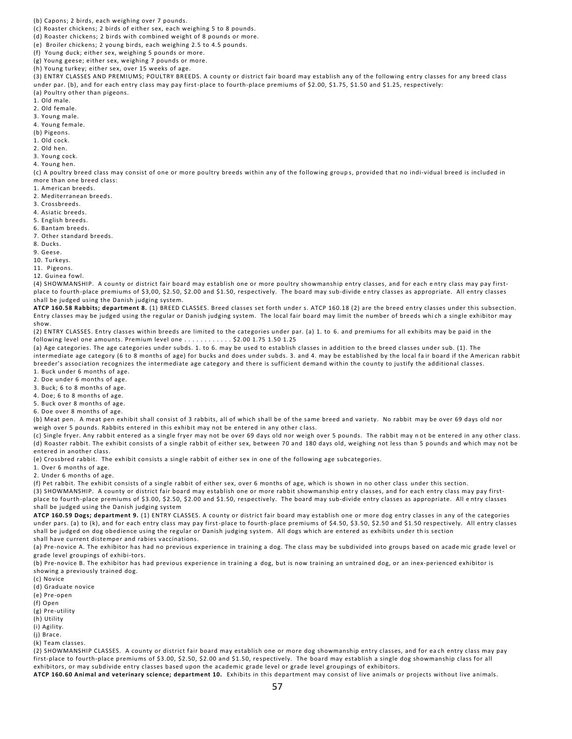(b) Capons; 2 birds, each weighing over 7 pounds.

(c) Roaster chickens; 2 birds of either sex, each weighing 5 to 8 pounds.

(d) Roaster chickens; 2 birds with combined weight of 8 pounds or more.

(e) Broiler chickens; 2 young birds, each weighing 2.5 to 4.5 pounds.

(f) Young duck; either sex, weighing 5 pounds or more.

(g) Young geese; either sex, weighing 7 pounds or more.

(h) Young turkey; either sex, over 15 weeks of age.

(3) ENTRY CLASSES AND PREMIUMS; POULTRY BREEDS. A county or district fair board may establish any of the following entry classes for any breed class under par. (b), and for each entry class may pay first-place to fourth-place premiums of \$2.00, \$1.75, \$1.50 and \$1.25, respectively: (a) Poultry other than pigeons.

1. Old male.

2. Old female.

3. Young male.

4. Young female.

(b) Pigeons.

1. Old cock.

2. Old hen.

3. Young cock.

4. Young hen.

(c) A poultry breed class may consist of one or more poultry breeds within any of the following group s, provided that no indi-vidual breed is included in more than one breed class:

1. American breeds.

2. Mediterranean breeds.

3. Crossbreeds.

4. Asiatic breeds.

5. English breeds.

6. Bantam breeds.

7. Other standard breeds.

8. Ducks.

9. Geese.

10. Turkeys.

11. Pigeons.

12. Guinea fowl.

(4) SHOWMANSHIP. A county or district fair board may establish one or more poultry showmanship entry classes, and for each e ntry class may pay firstplace to fourth-place premiums of \$3,00, \$2.50, \$2.00 and \$1.50, respectively. The board may sub-divide e ntry classes as appropriate. All entry classes shall be judged using the Danish judging system.

**ATCP 160.58 Rabbits; department 8.** (1) BREED CLASSES. Breed classes set forth under s. ATCP 160.18 (2) are the breed entry classes under this subsection. Entry classes may be judged using the regular or Danish judging system. The local fair board may limit the number of breeds which a single exhibitor may show.

(2) ENTRY CLASSES. Entry classes within breeds are limited to the categories under par. (a) 1. to 6. and premiums for all exhibits may be paid in the following level one amounts. Premium level one . . . . . . . . . . . . \$2.00 1.75 1.50 1.25

(a) Age categories. The age categories under subds. 1. to 6. may be used to establish classes in addition to the breed classes under sub. (1). The intermediate age category (6 to 8 months of age) for bucks and does under subds. 3. and 4. may be established by the local fa ir board if the American rabbit breeder's association recognizes the intermediate age category and there is sufficient demand within the county to justify the additional classes.

1. Buck under 6 months of age.

2. Doe under 6 months of age.

3. Buck; 6 to 8 months of age.

4. Doe; 6 to 8 months of age.

5. Buck over 8 months of age.

6. Doe over 8 months of age.

(b) Meat pen. A meat pen exhibit shall consist of 3 rabbits, all of which shall be of the same breed and variety. No rabbit may be over 69 days old nor weigh over 5 pounds. Rabbits entered in this exhibit may not be entered in any other c lass.

(c) Single fryer. Any rabbit entered as a single fryer may not be over 69 days old nor weigh over 5 pounds. The rabbit may n ot be entered in any other class. (d) Roaster rabbit. The exhibit consists of a single rabbit of either sex, between 70 and 180 days old, weighing not less than 5 pounds and which may not be entered in another class.

(e) Crossbred rabbit. The exhibit consists a single rabbit of either sex in one of the following age subcategories.

1. Over 6 months of age.

2. Under 6 months of age.

(f) Pet rabbit. The exhibit consists of a single rabbit of either sex, over 6 months of age, which is shown in no other class under this section. (3) SHOWMANSHIP. A county or district fair board may establish one or more rabbit showmanship entry classes, and for each entry class may pay firstplace to fourth-place premiums of \$3.00, \$2.50, \$2.00 and \$1.50, respectively. The board may sub-divide entry classes as appropriate. All e ntry classes shall be judged using the Danish judging system

**ATCP 160.59 Dogs; department 9.** (1) ENTRY CLASSES. A county or district fair board may establish one or more dog entry classes in any of the categories under pars. (a) to (k), and for each entry class may pay first-place to fourth-place premiums of \$4.50, \$3.50, \$2.50 and \$1.50 respectively. All entry classes shall be judged on dog obedience using the regular or Danish judging system. All dogs which are entered as exhibits under th is section shall have current distemper and rabies vaccinations.

(a) Pre-novice A. The exhibitor has had no previous experience in training a dog. The class may be subdivided into groups based on acade mic grade level or grade level groupings of exhibi-tors.

(b) Pre-novice B. The exhibitor has had previous experience in training a dog, but is now training an untrained dog, or an inex-perienced exhibitor is showing a previously trained dog.

(c) Novice

(d) Graduate novice

(e) Pre-open

(f) Open

(g) Pre-utility

(h) Utility

(i) Agility.

(j) Brace.

(k) Team classes.

(2) SHOWMANSHIP CLASSES. A county or district fair board may establish one or more dog showmanship entry classes, and for ea ch entry class may pay first-place to fourth-place premiums of \$3.00, \$2.50, \$2.00 and \$1.50, respectively. The board may establish a single dog showmanship class for all exhibitors, or may subdivide entry classes based upon the academic grade level or grade level groupings of exhibitors.

**ATCP 160.60 Animal and veterinary science; department 10.** Exhibits in this department may consist of live animals or projects without live animals.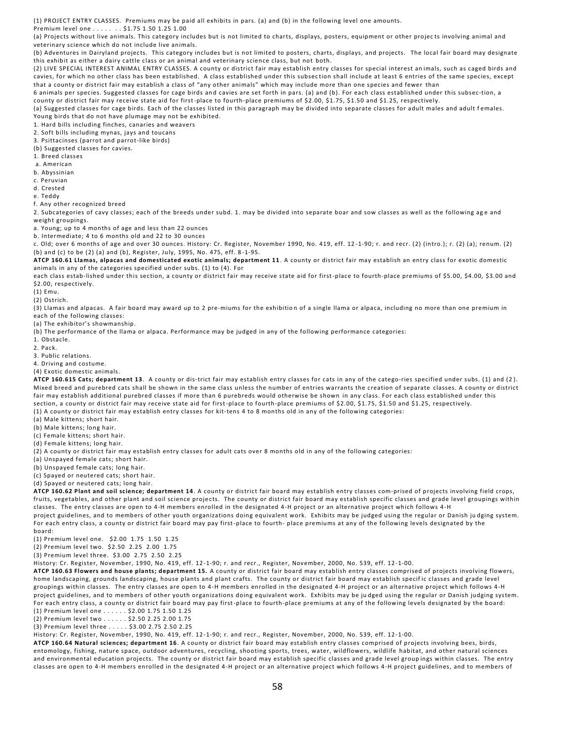(1) PROJECT ENTRY CLASSES. Premiums may be paid all exhibits in pars. (a) and (b) in the following level one amounts.

Premium level one . . . . . . . \$1.75 1.50 1.25 1.00

(a) Projects without live animals. This category includes but is not limited to charts, displays, posters, equipment or other projec ts involving animal and veterinary science which do not include live animals.

(b) Adventures in Dairyland projects. This category includes but is not limited to posters, charts, displays, and projects. The local fair board may designate this exhibit as either a dairy cattle class or an animal and veterinary science class, but not both.

(2) LIVE SPECIAL INTEREST ANIMAL ENTRY CLASSES. A county or district fair may establish entry classes for special interest an imals, such as caged birds and cavies, for which no other class has been established. A class established under this subsec tion shall include at least 6 entries of the same species, except that a county or district fair may establish a class of "any other animals" which may include more than one species and fewer than

6 animals per species. Suggested classes for cage birds and cavies are set forth in pars. (a) and (b). For each class established under this subsec-tion, a county or district fair may receive state aid for first-place to fourth-place premiums of \$2.00, \$1.75, \$1.50 and \$1.25, respectively.

(a) Suggested classes for cage birds. Each of the classes listed in this paragraph may be divided into separate classes for adult males and adult females. Young birds that do not have plumage may not be exhibited.

1. Hard bills including finches, canaries and weavers

2. Soft bills including mynas, jays and toucans

3. Psittacinses (parrot and parrot-like birds)

(b) Suggested classes for cavies.

1. Breed classes

a. American

b. Abyssinian

c. Peruvian

d. Crested

e. Teddy

f. Any other recognized breed

2. Subcategories of cavy classes; each of the breeds under subd. 1. may be divided into separate boar and sow classes as well as the following age and weight groupings.

a. Young; up to 4 months of age and less than 22 ounces

b. Intermediate; 4 to 6 months old and 22 to 30 ounces

c. Old; over 6 months of age and over 30 ounces. History: Cr. Register, November 1990, No. 419, eff. 12 -1-90; r. and recr. (2) (intro.); r. (2) (a); renum. (2) (b) and (c) to be (2) (a) and (b), Register, July, 1995, No. 475, eff. 8 -1-95.

**ATCP 160.61 Llamas, alpacas and domesticated exotic animals; department 11** . A county or district fair may establish an entry class for exotic domestic animals in any of the categories specified under subs. (1) to (4). For

each class estab-lished under this section, a county or district fair may receive state aid for first-place to fourth-place premiums of \$5.00, \$4.00, \$3.00 and \$2.00, respectively.

(1) Emu.

(2) Ostrich.

(3) Llamas and alpacas. A fair board may award up to 2 pre-miums for the exhibition of a single llama or alpaca, including no more than one premium in each of the following classes:

(a) The exhibitor's showmanship.

(b) The performance of the llama or alpaca. Performance may be judged in any of the following performance categories:

1. Obstacle.

2. Pack.

3. Public relations.

4. Driving and costume.

(4) Exotic domestic animals.

**ATCP 160.615 Cats; department 13**. A county or dis-trict fair may establish entry classes for cats in any of the catego-ries specified under subs. (1) and (2 ). Mixed breed and purebred cats shall be shown in the same class unless the number of entries warrants the creation of separate classes. A county or district fair may establish additional purebred classes if more than 6 purebreds would otherwise be shown in any class. For each class established under this section, a county or district fair may receive state aid for first-place to fourth-place premiums of \$2.00, \$1.75, \$1.50 and \$1.25, respectively. (1) A county or district fair may establish entry classes for kit-tens 4 to 8 months old in any of the following categories:

(a) Male kittens; short hair.

(b) Male kittens; long hair.

(c) Female kittens; short hair.

(d) Female kittens; long hair.

(2) A county or district fair may establish entry classes for adult cats over 8 months old in any of the following categories:

(a) Unspayed female cats; short hair.

(b) Unspayed female cats; long hair.

(c) Spayed or neutered cats; short hair.

(d) Spayed or neutered cats; long hair.

**ATCP 160.62 Plant and soil science; department 14**. A county or district fair board may establish entry classes com-prised of projects involving field crops, fruits, vegetables, and other plant and soil science projects. The county or district fair board may establish specific classes and grade level groupings within classes. The entry classes are open to 4-H members enrolled in the designated 4-H project or an alternative project which follows 4-H project guidelines, and to members of other youth organizations doing equivalent work. Exhibits may be judged using the regular or Danish ju dging system. For each entry class, a county or district fair board may pay first-place to fourth- place premiums at any of the following levels designated by the board:

(1) Premium level one. \$2.00 1.75 1.50 1.25

(2) Premium level two. \$2.50 2.25 2.00 1.75

(3) Premium level three. \$3.00 2.75 2.50 2.25

History: Cr. Register, November, 1990, No. 419, eff. 12-1-90; r. and recr., Register, November, 2000, No. 539, eff. 12-1-00.

**ATCP 160.63 Flowers and house plants; department 15.** A county or district fair board may establish entry classes comprised of projects involving flowers, home landscaping, grounds landscaping, house plants and plant crafts. The county or district fair board may establish specif ic classes and grade level groupings within classes. The entry classes are open to 4-H members enrolled in the designated 4-H project or an alternative project which follows 4-H project guidelines, and to members of other youth organizations doing equivalent work. Exhibits may be ju dged using the regular or Danish judging system. For each entry class, a county or district fair board may pay first-place to fourth-place premiums at any of the following levels designated by the board: (1) Premium level one . . . . . . \$2.00 1.75 1.50 1.25

(2) Premium level two . . . . . . \$2.50 2.25 2.00 1.75

(3) Premium level three . . . . . \$3.00 2.75 2.50 2.25

History: Cr. Register, November, 1990, No. 419, eff. 12-1-90; r. and recr., Register, November, 2000, No. 539, eff. 12-1-00.

**ATCP 160.64 Natural sciences; department 16**. A county or district fair board may establish entry classes comprised of projects involving bees, birds, entomology, fishing, nature space, outdoor adventures, recycling, shooting sports, trees, water, wildflowers, wildlife habitat, and other natural sciences and environmental education projects. The county or district fair board may establish specific classes and grade level group ings within classes. The entry classes are open to 4-H members enrolled in the designated 4-H project or an alternative project which follows 4-H project guidelines, and to members of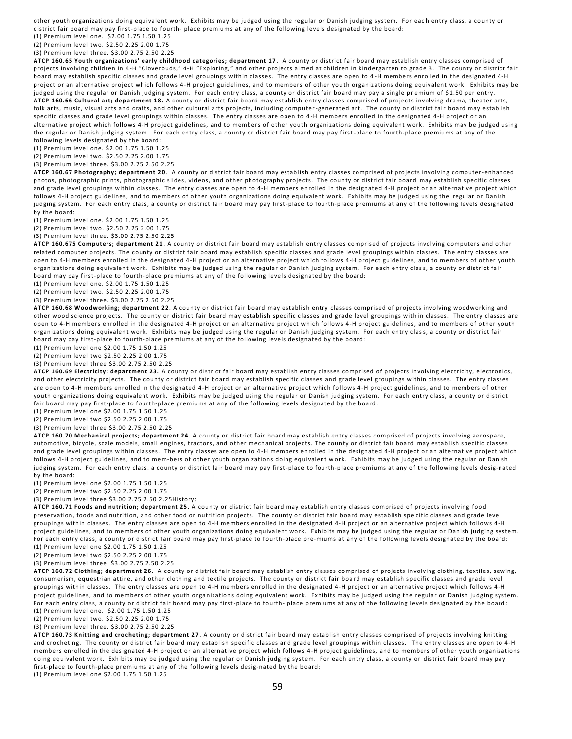other youth organizations doing equivalent work. Exhibits may be judged using the regular or Danish judging system. For eac h entry class, a county or district fair board may pay first-place to fourth- place premiums at any of the following levels designated by the board:

(1) Premium level one. \$2.00 1.75 1.50 1.25

(2) Premium level two. \$2.50 2.25 2.00 1.75

(3) Premium level three. \$3.00 2.75 2.50 2.25

**ATCP 160.65 Youth organizations' early childhood categories; department 17** . A county or district fair board may establish entry classes comprised of projects involving children in 4-H "Cloverbuds," 4-H "Exploring," and other projects aimed at children in kindergarten to grade 3. The county or district fair board may establish specific classes and grade level groupings within classes. The entry classes are open to 4 -H members enrolled in the designated 4-H project or an alternative project which follows 4-H project guidelines, and to members of other youth organizations doing equivalent work. Exhibits may be judged using the regular or Danish judging system. For each entry class, a county or district fair board may pay a single premium of \$1.50 per entry. **ATCP 160.66 Cultural art; department 18.** A county or district fair board may establish entry classes comprised of projects involving drama, theater arts, folk arts, music, visual arts and crafts, and other cultural arts projects, including computer-generated art. The county or district fair board may establish specific classes and grade level groupings within classes. The entry classes are open to 4 -H members enrolled in the designated 4-H project or an alternative project which follows 4-H project guidelines, and to members of other youth organizations doing equivalent work. Exhibits may be judged using the regular or Danish judging system. For each entry class, a county or district fair board may pay first -place to fourth-place premiums at any of the following levels designated by the board:

(1) Premium level one. \$2.00 1.75 1.50 1.25

(2) Premium level two. \$2.50 2.25 2.00 1.75

(3) Premium level three. \$3.00 2.75 2.50 2.25

**ATCP 160.67 Photography; department 20**. A county or district fair board may establish entry classes comprised of projects involving computer-enhanced photos, photographic prints, photographic slides, videos, and other photography projects. The county or district fair board may establish specific classes and grade level groupings within classes. The entry classes are open to 4-H members enrolled in the designated 4-H project or an alternative project which follows 4-H project guidelines, and to members of other youth organizations doing equivalent work. Exhibits may be judged using the regular or Danish judging system. For each entry class, a county or district fair board may pay first-place to fourth-place premiums at any of the following levels designated by the board:

(1) Premium level one. \$2.00 1.75 1.50 1.25

(2) Premium level two. \$2.50 2.25 2.00 1.75

(3) Premium level three. \$3.00 2.75 2.50 2.25

**ATCP 160.675 Computers; department 21**. A county or district fair board may establish entry classes comprised of projects involving computers and other related computer projects. The county or district fair board may establish specific classes and grade level groupings within classes. The entry classes are open to 4-H members enrolled in the designated 4-H project or an alternative project which follows 4-H project guidelines, and to members of other youth organizations doing equivalent work. Exhibits may be judged using the regular or Danish judging system. For each entry clas s, a county or district fair board may pay first-place to fourth-place premiums at any of the following levels designated by the board:

(1) Premium level one. \$2.00 1.75 1.50 1.25

(2) Premium level two. \$2.50 2.25 2.00 1.75

(3) Premium level three. \$3.00 2.75 2.50 2.25

**ATCP 160.68 Woodworking; department 22**. A county or district fair board may establish entry classes comprised of projects involving woodworking and other wood science projects. The county or district fair board may establish specific classes and grade level groupings with in classes. The entry classes are open to 4-H members enrolled in the designated 4-H project or an alternative project which follows 4-H project guidelines, and to members of other youth organizations doing equivalent work. Exhibits may be judged using the regular or Danish judging system. For each entry clas s, a county or district fair board may pay first-place to fourth-place premiums at any of the following levels designated by the board:

(1) Premium level one \$2.00 1.75 1.50 1.25

(2) Premium level two \$2.50 2.25 2.00 1.75

(3) Premium level three \$3.00 2.75 2.50 2.25

**ATCP 160.69 Electricity; department 23.** A county or district fair board may establish entry classes comprised of projects involving electricity, electronics, and other electricity projects. The county or district fair board may establish specific classes and grade level groupings within classes. The entry classes are open to 4-H members enrolled in the designated 4-H project or an alternative project which follows 4-H project guidelines, and to members of other youth organizations doing equivalent work. Exhibits may be judged using the regular or Danish judging system. For each entry class, a county or district fair board may pay first-place to fourth-place premiums at any of the following levels designated by the board:

(1) Premium level one \$2.00 1.75 1.50 1.25

(2) Premium level two \$2.50 2.25 2.00 1.75

(3) Premium level three \$3.00 2.75 2.50 2.25

**ATCP 160.70 Mechanical projects; department 24**. A county or district fair board may establish entry classes comprised of projects involving aerospace, automotive, bicycle, scale models, small engines, tractors, and other mechanical projects. The county or district fair board may establish specific classes and grade level groupings within classes. The entry classes are open to 4 -H members enrolled in the designated 4-H project or an alternative project which follows 4-H project guidelines, and to mem-bers of other youth organizations doing equivalent work. Exhibits may be judged using the regular or Danish judging system. For each entry class, a county or district fair board may pay first-place to fourth-place premiums at any of the following levels desig-nated by the board:

(1) Premium level one \$2.00 1.75 1.50 1.25

(2) Premium level two \$2.50 2.25 2.00 1.75

(3) Premium level three \$3.00 2.75 2.50 2.25History:

**ATCP 160.71 Foods and nutrition; department 25**. A county or district fair board may establish entry classes comprised of projects involving food preservation, foods and nutrition, and other food or nutrition projects. The county or district fair board may establish spe cific classes and grade level groupings within classes. The entry classes are open to 4 -H members enrolled in the designated 4-H project or an alternative project which follows 4-H project guidelines, and to members of other youth organizations doing equivalent work. Exhibits may be judged using the regu lar or Danish judging system. For each entry class, a county or district fair board may pay first-place to fourth-place pre-miums at any of the following levels designated by the board: (1) Premium level one \$2.00 1.75 1.50 1.25

(2) Premium level two \$2.50 2.25 2.00 1.75

(3) Premium level three \$3.00 2.75 2.50 2.25

**ATCP 160.72 Clothing; department 26**. A county or district fair board may establish entry classes comprised of projects involving clothing, textiles, sewing, consumerism, equestrian attire, and other clothing and textile projects. The county or district fair boa rd may establish specific classes and grade level groupings within classes. The entry classes are open to 4 -H members enrolled in the designated 4-H project or an alternative project which follows 4-H project guidelines, and to members of other youth organizations doing equivalent work. Exhibits may be judged using the regular or Danish judging system. For each entry class, a county or district fair board may pay first-place to fourth- place premiums at any of the following levels designated by the board: (1) Premium level one. \$2.00 1.75 1.50 1.25

(2) Premium level two. \$2.50 2.25 2.00 1.75

(3) Premium level three. \$3.00 2.75 2.50 2.25

**ATCP 160.73 Knitting and crocheting; department 27**. A county or district fair board may establish entry classes comprised of projects involving knitting and crocheting. The county or district fair board may establish specific classes and grade level groupings within classes. The entry classes are open to 4-H members enrolled in the designated 4-H project or an alternative project which follows 4-H project guidelines, and to members of other youth organizations doing equivalent work. Exhibits may be judged using the regular or Danish judging system. For each entry class, a county or district fair board may pay first-place to fourth-place premiums at any of the following levels desig-nated by the board:

(1) Premium level one \$2.00 1.75 1.50 1.25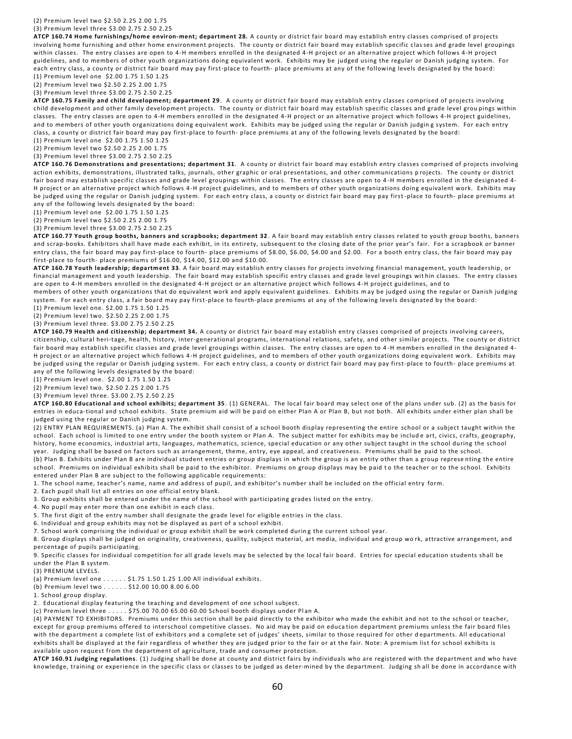### (2) Premium level two \$2.50 2.25 2.00 1.75

### (3) Premium level three \$3.00 2.75 2.50 2.25

**ATCP 160.74 Home furnishings/home environ-ment; department 28.** A county or district fair board may establish entry classes comprised of projects involving home furnishing and other home environment projects. The county or district fair board may establish specific clas ses and grade level groupings within classes. The entry classes are open to 4-H members enrolled in the designated 4-H project or an alternative project which follows 4-H project guidelines, and to members of other youth organizations doing equivalent work. Exhibits may be judged using the regular or Danish judging system. For each entry class, a county or district fair board may pay first-place to fourth- place premiums at any of the following levels designated by the board:

(1) Premium level one \$2.00 1.75 1.50 1.25

(2) Premium level two \$2.50 2.25 2.00 1.75

(3) Premium level three \$3.00 2.75 2.50 2.25

**ATCP 160.75 Family and child development; department 29** . A county or district fair board may establish entry classes comprised of projects involving child development and other family development projects. The county or district fair board may establish specific classes and grade level grou pings within classes. The entry classes are open to 4-H members enrolled in the designated 4-H project or an alternative project which follows 4-H project guidelines, and to members of other youth organizations doing equivalent work. Exhibits may be judged using the regular or Danish judgin g system. For each entry class, a county or district fair board may pay first-place to fourth- place premiums at any of the following levels designated by the board:

(1) Premium level one \$2.00 1.75 1.50 1.25

(2) Premium level two \$2.50 2.25 2.00 1.75

(3) Premium level three \$3.00 2.75 2.50 2.25

**ATCP 160.76 Demonstrations and presentations; department 31**. A county or district fair board may establish entry classes comprised of projects involving action exhibits, demonstrations, illustrated talks, journals, other graphic or oral presentations, and other communications p rojects. The county or district fair board may establish specific classes and grade level groupings within classes. The entry classes are open to 4 -H members enrolled in the designated 4- H project or an alternative project which follows 4-H project guidelines, and to members of other youth organizations doing equivalent work. Exhibits may be judged using the regular or Danish judging system. For each entry class, a county or district fair board may pay first -place to fourth- place premiums at any of the following levels designated by the board:

(1) Premium level one \$2.00 1.75 1.50 1.25

(2) Premium level two \$2.50 2.25 2.00 1.75

(3) Premium level three \$3.00 2.75 2.50 2.25

**ATCP 160.77 Youth group booths, banners and scrapbooks; department 32** . A fair board may establish entry classes related to youth group booths, banners and scrap-books. Exhibitors shall have made each exhibit, in its entirety, subsequent to the closing date of the prior year's fair. For a scrapbook or banner entry class, the fair board may pay first-place to fourth- place premiums of \$8.00, \$6.00, \$4.00 and \$2.00. For a booth entry class, the fair board may pay first-place to fourth- place premiums of \$16.00, \$14.00, \$12.00 and \$10.00.

**ATCP 160.78 Youth leadership; department 33**. A fair board may establish entry classes for projects involving financial management, youth leadership, or financial management and youth leadership. The fair board may establish specific entry classes and grade level groupings wit hin classes. The entry classes are open to 4-H members enrolled in the designated 4-H project or an alternative project which follows 4-H project guidelines, and to

members of other youth organizations that do equivalent work and apply equivalent guidelines. Exhibits m ay be judged using the regular or Danish judging system. For each entry class, a fair board may pay first-place to fourth-place premiums at any of the following levels designated by the board:

(1) Premium level one. \$2.00 1.75 1.50 1.25

(2) Premium level two. \$2.50 2.25 2.00 1.75

(3) Premium level three. \$3.00 2.75 2.50 2.25

**ATCP 160.79 Health and citizenship; department 34.** A county or district fair board may establish entry classes comprised of projects involving careers, citizenship, cultural heri-tage, health, history, inter-generational programs, international relations, safety, and other similar projects. The county or district fair board may establish specific classes and grade level groupings within classes. The entry classes are open to 4 -H members enrolled in the designated 4- H project or an alternative project which follows 4-H project guidelines, and to members of other youth organizations doing equivalent work. Exhibits may be judged using the regular or Danish judging system. For each e ntry class, a county or district fair board may pay first-place to fourth- place premiums at any of the following levels designated by the board:

(1) Premium level one. \$2.00 1.75 1.50 1.25

(2) Premium level two. \$2.50 2.25 2.00 1.75

(3) Premium level three. \$3.00 2.75 2.50 2.25

**ATCP 160.80 Educational and school exhibits; department 35** . (1) GENERAL. The local fair board may select one of the plans under sub. (2) as the basis for entries in educa-tional and school exhibits. State premium aid will be paid on either Plan A or Plan B, but not both. All exhibits under either plan shall be judged using the regular or Danish judging system.

(2) ENTRY PLAN REQUIREMENTS. (a) Plan A. The exhibit shall consist of a school booth display representing the entire school or a subject taught within the school. Each school is limited to one entry under the booth system or Plan A. The subject matter for exhibits may be includ e art, civics, crafts, geography, history, home economics, industrial arts, languages, mathematics, science, special education or any other subject taught in the school during the school year. Judging shall be based on factors such as arrangement, theme, entry, eye appeal, and creativeness. Premiums shall be paid to the school.

(b) Plan B. Exhibits under Plan B are individual student entries or group displays in which the group is an entity other than a group represe nting the entire school. Premiums on individual exhibits shall be paid to the exhibitor. Premiums on group displays may be paid t o the teacher or to the school. Exhibits entered under Plan B are subject to the following applicable requirements:

1. The school name, teacher's name, name and address of pupil, and exhibitor's number shall be included on the official entry form.

2. Each pupil shall list all entries on one official entry blank.

3. Group exhibits shall be entered under the name of the school with participating grades listed on the entry.

4. No pupil may enter more than one exhibit in each class.

5. The first digit of the entry number shall designate the grade level for eligible entries in the class.

6. Individual and group exhibits may not be displayed as part of a school exhibit.

7. School work comprising the individual or group exhibit shall be work completed durin g the current school year.

8. Group displays shall be judged on originality, creativeness, quality, subject material, art media, individual and group wo rk, attractive arrangement, and percentage of pupils participating.

9. Specific classes for individual competition for all grade levels may be selected by the local fair board. Entries for special education students shall be under the Plan B system.

(3) PREMIUM LEVELS.

(a) Premium level one  $\dots \dots$ \$1.75 1.50 1.25 1.00 All individual exhibits.

(b) Premium level two . . . . . . \$12.00 10.00 8.00 6.00

1. School group display.

2. Educational display featuring the teaching and development of one school subject.

(c) Premium level three . . . . . \$75.00 70.00 65.00 60.00 School booth displays under Plan A.

(4) PAYMENT TO EXHIBITORS. Premiums under this section shall be paid directly to the exhibitor who made the exhibit and not to the school or teacher, except for group premiums offered to interschool competitive classes. No aid may be paid on educa tion department premiums unless the fair board files with the department a complete list of exhibitors and a complete set of judges' sheets, similar to those required for other d epartments. All educational exhibits shall be displayed at the fair regardless of whether they are judged prior to the fair or at the fair. Note: A premium list for school exhibits is available upon request from the department of agriculture, trade and consumer protection.

**ATCP 160.91 Judging regulations**. (1) Judging shall be done at county and district fairs by individuals who are registered with the department and who have knowledge, training or experience in the specific class or classes to be judged as deter-mined by the department. Judging sh all be done in accordance with